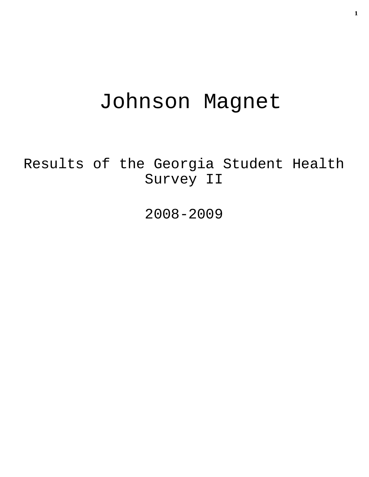# Johnson Magnet

Results of the Georgia Student Health Survey II

2008-2009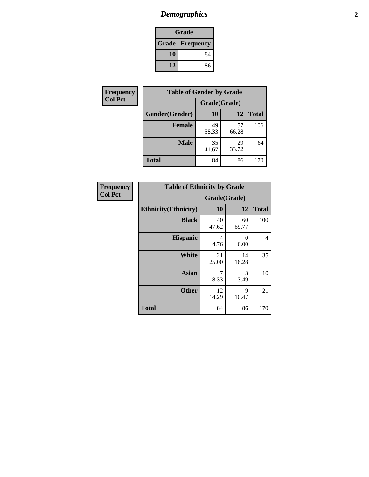# *Demographics* **2**

| Grade                    |    |  |  |  |
|--------------------------|----|--|--|--|
| <b>Grade   Frequency</b> |    |  |  |  |
| 10                       | 84 |  |  |  |
| 12<br>86                 |    |  |  |  |

| <b>Frequency</b> | <b>Table of Gender by Grade</b> |              |             |              |  |  |
|------------------|---------------------------------|--------------|-------------|--------------|--|--|
| <b>Col Pct</b>   |                                 | Grade(Grade) |             |              |  |  |
|                  | Gender(Gender)                  | 10           | 12          | <b>Total</b> |  |  |
|                  | <b>Female</b>                   | 49<br>58.33  | 57<br>66.28 | 106          |  |  |
|                  | <b>Male</b>                     | 35<br>41.67  | 29<br>33.72 | 64           |  |  |
|                  | <b>Total</b>                    | 84           | 86          | 170          |  |  |

| <b>Frequency</b><br>Col Pct |
|-----------------------------|
|                             |

| <b>Table of Ethnicity by Grade</b> |              |             |              |  |  |  |
|------------------------------------|--------------|-------------|--------------|--|--|--|
|                                    | Grade(Grade) |             |              |  |  |  |
| <b>Ethnicity</b> (Ethnicity)       | 10           | 12          | <b>Total</b> |  |  |  |
| <b>Black</b>                       | 40<br>47.62  | 60<br>69.77 | 100          |  |  |  |
| <b>Hispanic</b>                    | 4<br>4.76    | 0<br>0.00   | 4            |  |  |  |
| <b>White</b>                       | 21<br>25.00  | 14<br>16.28 | 35           |  |  |  |
| <b>Asian</b>                       | 7<br>8.33    | 3<br>3.49   | 10           |  |  |  |
| <b>Other</b>                       | 12<br>14.29  | 9<br>10.47  | 21           |  |  |  |
| <b>Total</b>                       | 84           | 86          | 170          |  |  |  |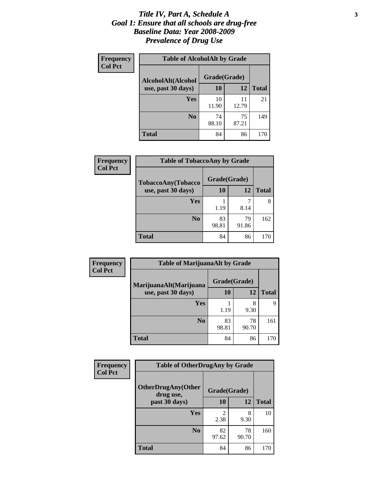### *Title IV, Part A, Schedule A* **3** *Goal 1: Ensure that all schools are drug-free Baseline Data: Year 2008-2009 Prevalence of Drug Use*

| Frequency<br><b>Col Pct</b> | <b>Table of AlcoholAlt by Grade</b> |              |             |              |  |  |
|-----------------------------|-------------------------------------|--------------|-------------|--------------|--|--|
|                             | AlcoholAlt(Alcohol                  | Grade(Grade) |             |              |  |  |
|                             | use, past 30 days)                  | 10           | 12          | <b>Total</b> |  |  |
|                             | Yes                                 | 10<br>11.90  | 11<br>12.79 | 21           |  |  |
|                             | N <sub>0</sub>                      | 74<br>88.10  | 75<br>87.21 | 149          |  |  |
|                             | <b>Total</b>                        | 84           | 86          | 170          |  |  |

| <b>Frequency</b> | <b>Table of TobaccoAny by Grade</b> |              |             |              |  |
|------------------|-------------------------------------|--------------|-------------|--------------|--|
| <b>Col Pct</b>   | TobaccoAny(Tobacco                  | Grade(Grade) |             |              |  |
|                  | use, past 30 days)                  | 10           | 12          | <b>Total</b> |  |
|                  | Yes                                 |              | 7           |              |  |
|                  |                                     | 1.19         | 8.14        |              |  |
|                  | N <sub>0</sub>                      | 83<br>98.81  | 79<br>91.86 | 162          |  |
|                  | Total                               | 84           | 86          | 170          |  |

| Frequency<br><b>Col Pct</b> | <b>Table of MarijuanaAlt by Grade</b> |              |             |              |  |
|-----------------------------|---------------------------------------|--------------|-------------|--------------|--|
|                             | MarijuanaAlt(Marijuana                | Grade(Grade) |             |              |  |
|                             | use, past 30 days)                    | 10           | 12          | <b>Total</b> |  |
|                             | Yes                                   | 1.19         | 8<br>9.30   | Q            |  |
|                             | N <sub>0</sub>                        | 83<br>98.81  | 78<br>90.70 | 161          |  |
|                             | <b>Total</b>                          | 84           | 86          | 170          |  |

| <b>Frequency</b> | <b>Table of OtherDrugAny by Grade</b>  |                        |             |              |  |  |
|------------------|----------------------------------------|------------------------|-------------|--------------|--|--|
| <b>Col Pct</b>   | <b>OtherDrugAny(Other</b><br>drug use, | Grade(Grade)           |             |              |  |  |
|                  | past 30 days)                          | 10                     | 12          | <b>Total</b> |  |  |
|                  | <b>Yes</b>                             | $\mathfrak{D}$<br>2.38 | 8<br>9.30   | 10           |  |  |
|                  | N <sub>0</sub>                         | 82<br>97.62            | 78<br>90.70 | 160          |  |  |
|                  | <b>Total</b>                           | 84                     | 86          | 170          |  |  |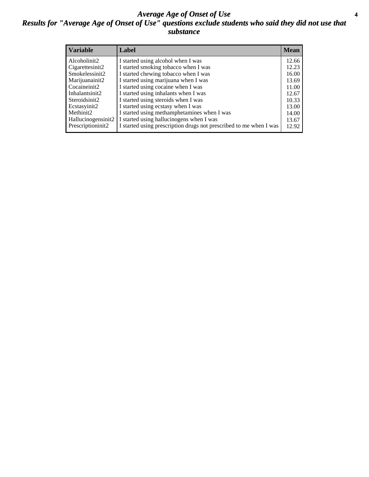### *Average Age of Onset of Use* **4** *Results for "Average Age of Onset of Use" questions exclude students who said they did not use that substance*

| <b>Variable</b>    | Label                                                              | <b>Mean</b> |
|--------------------|--------------------------------------------------------------------|-------------|
| Alcoholinit2       | I started using alcohol when I was                                 | 12.66       |
| Cigarettesinit2    | I started smoking tobacco when I was                               | 12.23       |
| Smokelessinit2     | I started chewing tobacco when I was                               | 16.00       |
| Marijuanainit2     | I started using marijuana when I was                               | 13.69       |
| Cocaineinit2       | I started using cocaine when I was                                 | 11.00       |
| Inhalantsinit2     | I started using inhalants when I was                               | 12.67       |
| Steroidsinit2      | I started using steroids when I was                                | 10.33       |
| Ecstasyinit2       | I started using ecstasy when I was                                 | 13.00       |
| Methinit2          | I started using methamphetamines when I was                        | 14.00       |
| Hallucinogensinit2 | I started using hallucinogens when I was                           | 13.67       |
| Prescriptioninit2  | I started using prescription drugs not prescribed to me when I was | 12.92       |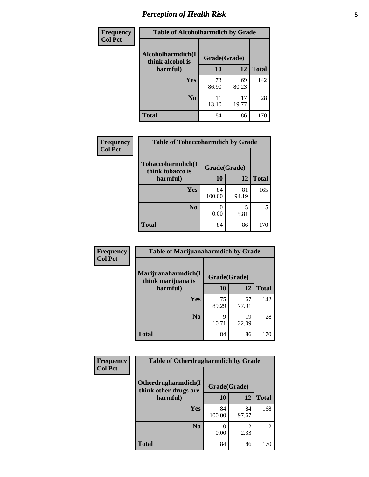# *Perception of Health Risk* **5**

| <b>Frequency</b> | <b>Table of Alcoholharmdich by Grade</b> |              |             |              |  |
|------------------|------------------------------------------|--------------|-------------|--------------|--|
| <b>Col Pct</b>   | Alcoholharmdich(I<br>think alcohol is    | Grade(Grade) |             |              |  |
|                  | harmful)                                 | 10           | 12          | <b>Total</b> |  |
|                  | <b>Yes</b>                               | 73<br>86.90  | 69<br>80.23 | 142          |  |
|                  | N <sub>0</sub>                           | 11<br>13.10  | 17<br>19.77 | 28           |  |
|                  | <b>Total</b>                             | 84           | 86          | 170          |  |

| Frequency      | <b>Table of Tobaccoharmdich by Grade</b> |              |             |              |  |
|----------------|------------------------------------------|--------------|-------------|--------------|--|
| <b>Col Pct</b> | Tobaccoharmdich(I<br>think tobacco is    | Grade(Grade) |             |              |  |
|                | harmful)                                 | 10           | 12          | <b>Total</b> |  |
|                | <b>Yes</b>                               | 84<br>100.00 | 81<br>94.19 | 165          |  |
|                | N <sub>0</sub>                           | 0.00         | 5<br>5.81   |              |  |
|                | <b>Total</b>                             | 84           | 86          | 170          |  |

| Frequency      | <b>Table of Marijuanaharmdich by Grade</b> |              |             |              |  |  |
|----------------|--------------------------------------------|--------------|-------------|--------------|--|--|
| <b>Col Pct</b> | Marijuanaharmdich(I<br>think marijuana is  | Grade(Grade) |             |              |  |  |
|                | harmful)                                   | <b>10</b>    | 12          | <b>Total</b> |  |  |
|                | Yes                                        | 75<br>89.29  | 67<br>77.91 | 142          |  |  |
|                | N <sub>0</sub>                             | Q<br>10.71   | 19<br>22.09 | 28           |  |  |
|                | <b>Total</b>                               | 84           | 86          | 170          |  |  |

| <b>Frequency</b> | <b>Table of Otherdrugharmdich by Grade</b>   |              |             |                |  |  |  |  |
|------------------|----------------------------------------------|--------------|-------------|----------------|--|--|--|--|
| <b>Col Pct</b>   | Otherdrugharmdich(I<br>think other drugs are | Grade(Grade) |             |                |  |  |  |  |
|                  | harmful)                                     | 10           | 12          | <b>Total</b>   |  |  |  |  |
|                  | Yes                                          | 84<br>100.00 | 84<br>97.67 | 168            |  |  |  |  |
|                  | N <sub>0</sub>                               | 0.00         | 2.33        | $\overline{2}$ |  |  |  |  |
|                  | <b>Total</b>                                 | 84           | 86          | 170            |  |  |  |  |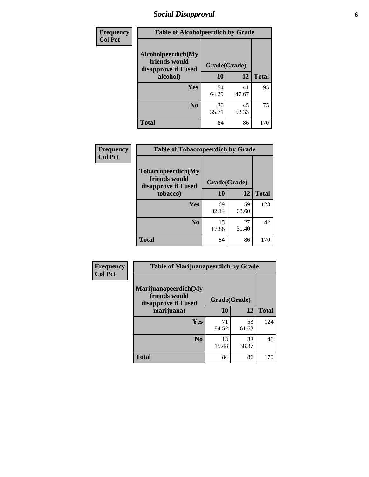# *Social Disapproval* **6**

| Frequency      | <b>Table of Alcoholpeerdich by Grade</b>                    |              |             |              |  |  |  |
|----------------|-------------------------------------------------------------|--------------|-------------|--------------|--|--|--|
| <b>Col Pct</b> | Alcoholpeerdich(My<br>friends would<br>disapprove if I used | Grade(Grade) |             |              |  |  |  |
|                | alcohol)                                                    | 10           | 12          | <b>Total</b> |  |  |  |
|                | <b>Yes</b>                                                  | 54<br>64.29  | 41<br>47.67 | 95           |  |  |  |
|                | N <sub>0</sub>                                              | 30<br>35.71  | 45<br>52.33 | 75           |  |  |  |
|                | <b>Total</b>                                                | 84           | 86          | 170          |  |  |  |

| <b>Frequency</b> |
|------------------|
| <b>Col Pct</b>   |

| <b>Table of Tobaccopeerdich by Grade</b>                    |              |             |              |  |  |  |
|-------------------------------------------------------------|--------------|-------------|--------------|--|--|--|
| Tobaccopeerdich(My<br>friends would<br>disapprove if I used | Grade(Grade) |             |              |  |  |  |
| tobacco)                                                    | 10           | 12          | <b>Total</b> |  |  |  |
| Yes                                                         | 69<br>82.14  | 59<br>68.60 | 128          |  |  |  |
| N <sub>0</sub>                                              | 15<br>17.86  | 27<br>31.40 | 42           |  |  |  |
| <b>Total</b>                                                | 84           | 86          | 170          |  |  |  |

| <b>Frequency</b> | <b>Table of Marijuanapeerdich by Grade</b>                    |              |             |              |  |  |  |  |
|------------------|---------------------------------------------------------------|--------------|-------------|--------------|--|--|--|--|
| <b>Col Pct</b>   | Marijuanapeerdich(My<br>friends would<br>disapprove if I used | Grade(Grade) |             |              |  |  |  |  |
|                  | marijuana)                                                    | 10           | 12          | <b>Total</b> |  |  |  |  |
|                  | <b>Yes</b>                                                    | 71<br>84.52  | 53<br>61.63 | 124          |  |  |  |  |
|                  | N <sub>0</sub>                                                | 13<br>15.48  | 33<br>38.37 | 46           |  |  |  |  |
|                  | <b>Total</b>                                                  | 84           | 86          | 170          |  |  |  |  |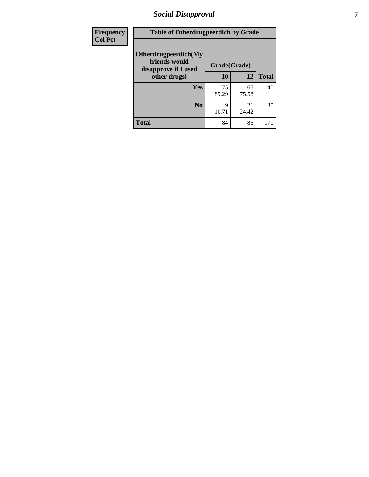# *Social Disapproval* **7**

| Frequency      | <b>Table of Otherdrugpeerdich by Grade</b>                    |              |             |              |  |  |  |  |
|----------------|---------------------------------------------------------------|--------------|-------------|--------------|--|--|--|--|
| <b>Col Pct</b> | Otherdrugpeerdich(My<br>friends would<br>disapprove if I used | Grade(Grade) |             |              |  |  |  |  |
|                | other drugs)                                                  | 10           | 12          | <b>Total</b> |  |  |  |  |
|                | Yes                                                           | 75<br>89.29  | 65<br>75.58 | 140          |  |  |  |  |
|                | N <sub>0</sub>                                                | 9<br>10.71   | 21<br>24.42 | 30           |  |  |  |  |
|                | <b>Total</b>                                                  | 84           | 86          | 170          |  |  |  |  |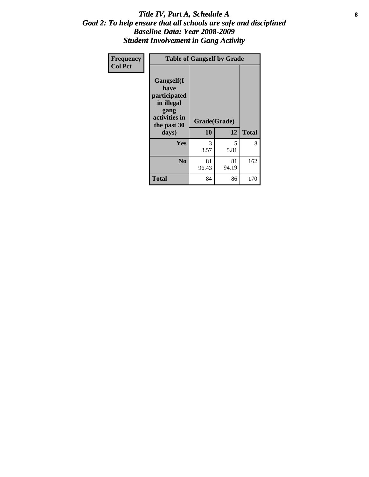### Title IV, Part A, Schedule A **8** *Goal 2: To help ensure that all schools are safe and disciplined Baseline Data: Year 2008-2009 Student Involvement in Gang Activity*

| Frequency      | <b>Table of Gangself by Grade</b>                                                                 |                    |             |              |  |  |
|----------------|---------------------------------------------------------------------------------------------------|--------------------|-------------|--------------|--|--|
| <b>Col Pct</b> | Gangself(I<br>have<br>participated<br>in illegal<br>gang<br>activities in<br>the past 30<br>days) | Grade(Grade)<br>10 | 12          | <b>Total</b> |  |  |
|                | Yes                                                                                               | 3<br>3.57          | 5<br>5.81   | 8            |  |  |
|                | N <sub>0</sub>                                                                                    | 81<br>96.43        | 81<br>94.19 | 162          |  |  |
|                | Total                                                                                             | 84                 | 86          | 170          |  |  |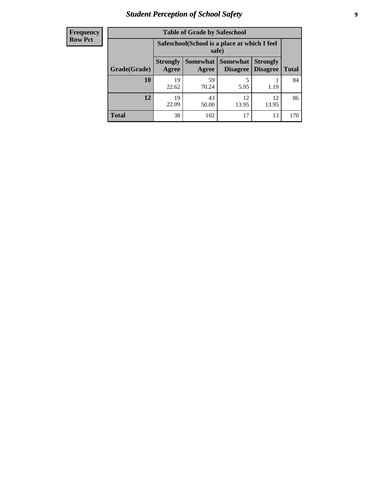# *Student Perception of School Safety* **9**

| <b>Frequency</b><br>Row Pct |
|-----------------------------|
|                             |

| <b>Table of Grade by Safeschool</b> |                                                        |                                                                                                   |             |             |      |  |  |  |
|-------------------------------------|--------------------------------------------------------|---------------------------------------------------------------------------------------------------|-------------|-------------|------|--|--|--|
|                                     | Safeschool (School is a place at which I feel<br>safe) |                                                                                                   |             |             |      |  |  |  |
| Grade(Grade)                        | <b>Strongly</b><br>Agree                               | Somewhat  <br>Somewhat<br><b>Strongly</b><br><b>Disagree</b><br>Disagree<br><b>Total</b><br>Agree |             |             |      |  |  |  |
| <b>10</b>                           | 19<br>22.62                                            | 59<br>70.24                                                                                       | 5<br>5.95   | 1.19        | 84   |  |  |  |
| 12                                  | 19<br>22.09                                            | 43<br>50.00                                                                                       | 12<br>13.95 | 12<br>13.95 | 86   |  |  |  |
| <b>Total</b>                        | 38                                                     | 102                                                                                               | 17          | 13          | 170. |  |  |  |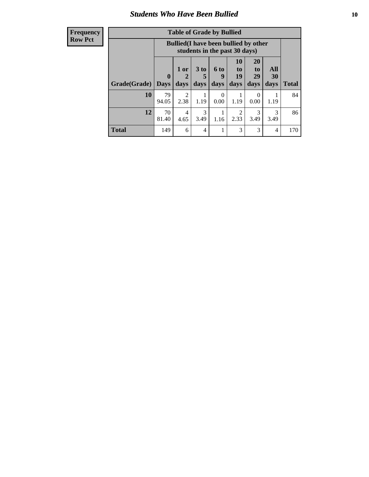### *Students Who Have Been Bullied* **10**

### **Frequency Row Pct**

| <b>Table of Grade by Bullied</b>                                                                                                                                                          |             |                                                                               |           |                  |      |                  |           |     |
|-------------------------------------------------------------------------------------------------------------------------------------------------------------------------------------------|-------------|-------------------------------------------------------------------------------|-----------|------------------|------|------------------|-----------|-----|
|                                                                                                                                                                                           |             | <b>Bullied</b> (I have been bullied by other<br>students in the past 30 days) |           |                  |      |                  |           |     |
| 20<br>10<br>All<br>3 <sub>to</sub><br>6 to<br>1 or<br>to<br>to<br>$\mathbf{0}$<br>19<br>29<br>30<br>9<br>5<br>Grade(Grade)<br>days<br>days<br>days<br>days<br>days<br><b>Days</b><br>days |             |                                                                               |           |                  |      | <b>Total</b>     |           |     |
| 10                                                                                                                                                                                        | 79<br>94.05 | $\overline{2}$<br>2.38                                                        | 1.19      | $\Omega$<br>0.00 | 1.19 | $\theta$<br>0.00 | 1.19      | 84  |
| 12                                                                                                                                                                                        | 70<br>81.40 | 4<br>4.65                                                                     | 3<br>3.49 | 1.16             | 2.33 | 3<br>3.49        | 3<br>3.49 | 86  |
| <b>Total</b>                                                                                                                                                                              | 149         | 6                                                                             | 4         |                  | 3    | 3                | 4         | 170 |

 $\blacksquare$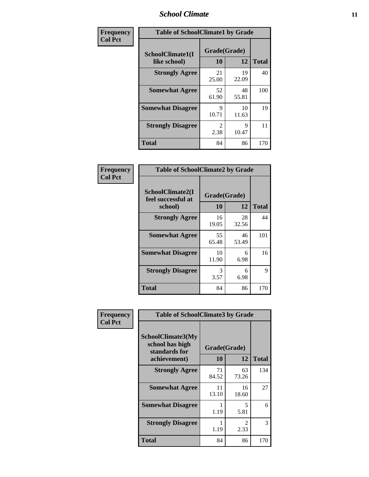### *School Climate* **11**

| Frequency      | <b>Table of SchoolClimate1 by Grade</b> |                        |             |              |  |  |
|----------------|-----------------------------------------|------------------------|-------------|--------------|--|--|
| <b>Col Pct</b> | SchoolClimate1(I<br>like school)        | Grade(Grade)<br>10     | 12          | <b>Total</b> |  |  |
|                | <b>Strongly Agree</b>                   | 21<br>25.00            | 19<br>22.09 | 40           |  |  |
|                | <b>Somewhat Agree</b>                   | 52<br>61.90            | 48<br>55.81 | 100          |  |  |
|                | <b>Somewhat Disagree</b>                | 9<br>10.71             | 10<br>11.63 | 19           |  |  |
|                | <b>Strongly Disagree</b>                | $\mathfrak{D}$<br>2.38 | 9<br>10.47  | 11           |  |  |
|                | <b>Total</b>                            | 84                     | 86          | 170          |  |  |

| Frequency      |  |
|----------------|--|
| <b>Col Pct</b> |  |

| <b>Table of SchoolClimate2 by Grade</b>           |                    |             |              |  |
|---------------------------------------------------|--------------------|-------------|--------------|--|
| SchoolClimate2(I<br>feel successful at<br>school) | Grade(Grade)<br>10 | 12          | <b>Total</b> |  |
| <b>Strongly Agree</b>                             | 16<br>19.05        | 28<br>32.56 | 44           |  |
| <b>Somewhat Agree</b>                             | 55<br>65.48        | 46<br>53.49 | 101          |  |
| <b>Somewhat Disagree</b>                          | 10<br>11.90        | 6<br>6.98   | 16           |  |
| <b>Strongly Disagree</b>                          | 3<br>3.57          | 6<br>6.98   | 9            |  |
| <b>Total</b>                                      | 84                 | 86          | 170          |  |

| Frequency      | <b>Table of SchoolClimate3 by Grade</b>                               |             |                    |              |
|----------------|-----------------------------------------------------------------------|-------------|--------------------|--------------|
| <b>Col Pct</b> | SchoolClimate3(My<br>school has high<br>standards for<br>achievement) | <b>10</b>   | Grade(Grade)<br>12 | <b>Total</b> |
|                | <b>Strongly Agree</b>                                                 | 71<br>84.52 | 63<br>73.26        | 134          |
|                | <b>Somewhat Agree</b>                                                 | 11<br>13.10 | 16<br>18.60        | 27           |
|                | <b>Somewhat Disagree</b>                                              | 1.19        | 5<br>5.81          | 6            |
|                | <b>Strongly Disagree</b>                                              | 1.19        | 2<br>2.33          | 3            |
|                | Total                                                                 | 84          | 86                 | 170          |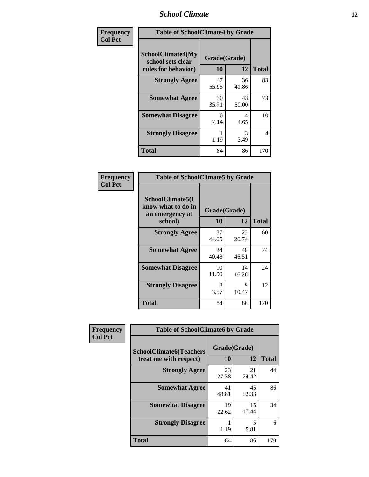### *School Climate* **12**

| Frequency      | <b>Table of SchoolClimate4 by Grade</b>                       |                    |             |              |
|----------------|---------------------------------------------------------------|--------------------|-------------|--------------|
| <b>Col Pct</b> | SchoolClimate4(My<br>school sets clear<br>rules for behavior) | Grade(Grade)<br>10 | 12          | <b>Total</b> |
|                | <b>Strongly Agree</b>                                         | 47<br>55.95        | 36<br>41.86 | 83           |
|                | <b>Somewhat Agree</b>                                         | 30<br>35.71        | 43<br>50.00 | 73           |
|                | <b>Somewhat Disagree</b>                                      | 6<br>7.14          | 4<br>4.65   | 10           |
|                | <b>Strongly Disagree</b>                                      | 1.19               | 3<br>3.49   | 4            |
|                | <b>Total</b>                                                  | 84                 | 86          | 170          |

| <b>Table of SchoolClimate5 by Grade</b>                              |                    |             |              |  |  |
|----------------------------------------------------------------------|--------------------|-------------|--------------|--|--|
| SchoolClimate5(I<br>know what to do in<br>an emergency at<br>school) | Grade(Grade)<br>10 | 12          | <b>Total</b> |  |  |
| <b>Strongly Agree</b>                                                | 37<br>44.05        | 23<br>26.74 | 60           |  |  |
| <b>Somewhat Agree</b>                                                | 34<br>40.48        | 40<br>46.51 | 74           |  |  |
| <b>Somewhat Disagree</b>                                             | 10<br>11.90        | 14<br>16.28 | 24           |  |  |
| <b>Strongly Disagree</b>                                             | 3<br>3.57          | 9<br>10.47  | 12           |  |  |
| <b>Total</b>                                                         | 84                 | 86          | 170          |  |  |

| Frequency      | <b>Table of SchoolClimate6 by Grade</b>                  |                    |             |              |
|----------------|----------------------------------------------------------|--------------------|-------------|--------------|
| <b>Col Pct</b> | <b>SchoolClimate6(Teachers</b><br>treat me with respect) | Grade(Grade)<br>10 | 12          | <b>Total</b> |
|                | <b>Strongly Agree</b>                                    | 23<br>27.38        | 21<br>24.42 | 44           |
|                | <b>Somewhat Agree</b>                                    | 41<br>48.81        | 45<br>52.33 | 86           |
|                | <b>Somewhat Disagree</b>                                 | 19<br>22.62        | 15<br>17.44 | 34           |
|                | <b>Strongly Disagree</b>                                 | 1.19               | 5<br>5.81   | 6            |
|                | <b>Total</b>                                             | 84                 | 86          | 170          |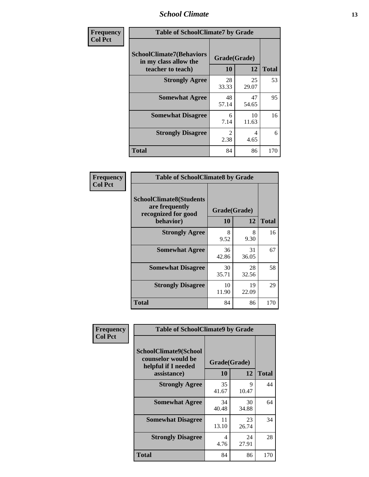### *School Climate* **13**

| Frequency      | <b>Table of SchoolClimate7 by Grade</b>                                       |                           |             |              |
|----------------|-------------------------------------------------------------------------------|---------------------------|-------------|--------------|
| <b>Col Pct</b> | <b>SchoolClimate7(Behaviors</b><br>in my class allow the<br>teacher to teach) | Grade(Grade)<br><b>10</b> | 12          | <b>Total</b> |
|                | <b>Strongly Agree</b>                                                         | 28<br>33.33               | 25<br>29.07 | 53           |
|                | <b>Somewhat Agree</b>                                                         | 48<br>57.14               | 47<br>54.65 | 95           |
|                | <b>Somewhat Disagree</b>                                                      | 6<br>7.14                 | 10<br>11.63 | 16           |
|                | <b>Strongly Disagree</b>                                                      | $\mathfrak{D}$<br>2.38    | 4<br>4.65   | 6            |
|                | <b>Total</b>                                                                  | 84                        | 86          | 170          |

| Frequency      | <b>Table of SchoolClimate8 by Grade</b>                                              |                    |             |              |
|----------------|--------------------------------------------------------------------------------------|--------------------|-------------|--------------|
| <b>Col Pct</b> | <b>SchoolClimate8(Students</b><br>are frequently<br>recognized for good<br>behavior) | Grade(Grade)<br>10 | 12          | <b>Total</b> |
|                | <b>Strongly Agree</b>                                                                | 8<br>9.52          | 8<br>9.30   | 16           |
|                | <b>Somewhat Agree</b>                                                                | 36<br>42.86        | 31<br>36.05 | 67           |
|                | <b>Somewhat Disagree</b>                                                             | 30<br>35.71        | 28<br>32.56 | 58           |
|                | <b>Strongly Disagree</b>                                                             | 10<br>11.90        | 19<br>22.09 | 29           |
|                | <b>Total</b>                                                                         | 84                 | 86          | 170          |

| Frequency      | <b>Table of SchoolClimate9 by Grade</b>                                                  |                    |                      |              |
|----------------|------------------------------------------------------------------------------------------|--------------------|----------------------|--------------|
| <b>Col Pct</b> | <b>SchoolClimate9(School</b><br>counselor would be<br>helpful if I needed<br>assistance) | Grade(Grade)<br>10 | 12                   | <b>Total</b> |
|                | <b>Strongly Agree</b>                                                                    | 35<br>41.67        | $\mathbf Q$<br>10.47 | 44           |
|                | <b>Somewhat Agree</b>                                                                    | 34<br>40.48        | 30<br>34.88          | 64           |
|                | <b>Somewhat Disagree</b>                                                                 | 11<br>13.10        | 23<br>26.74          | 34           |
|                | <b>Strongly Disagree</b>                                                                 | 4<br>4.76          | 24<br>27.91          | 28           |
|                | <b>Total</b>                                                                             | 84                 | 86                   | 170          |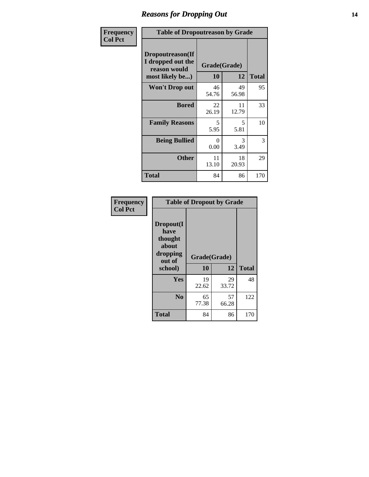### *Reasons for Dropping Out* **14**

| Frequency      | <b>Table of Dropoutreason by Grade</b>                                   |                    |             |              |
|----------------|--------------------------------------------------------------------------|--------------------|-------------|--------------|
| <b>Col Pct</b> | Dropoutreason(If<br>I dropped out the<br>reason would<br>most likely be) | Grade(Grade)<br>10 | 12          | <b>Total</b> |
|                | Won't Drop out                                                           | 46<br>54.76        | 49<br>56.98 | 95           |
|                | <b>Bored</b>                                                             | 22<br>26.19        | 11<br>12.79 | 33           |
|                | <b>Family Reasons</b>                                                    | 5<br>5.95          | 5<br>5.81   | 10           |
|                | <b>Being Bullied</b>                                                     | 0<br>0.00          | 3<br>3.49   | 3            |
|                | <b>Other</b>                                                             | 11<br>13.10        | 18<br>20.93 | 29           |
|                | <b>Total</b>                                                             | 84                 | 86          | 170          |

| Frequency      | <b>Table of Dropout by Grade</b>                                       |                    |             |              |  |
|----------------|------------------------------------------------------------------------|--------------------|-------------|--------------|--|
| <b>Col Pct</b> | Dropout(I<br>have<br>thought<br>about<br>dropping<br>out of<br>school) | Grade(Grade)<br>10 | 12          | <b>Total</b> |  |
|                | Yes                                                                    | 19<br>22.62        | 29<br>33.72 | 48           |  |
|                | N <sub>0</sub>                                                         | 65<br>77.38        | 57<br>66.28 | 122          |  |
|                | <b>Total</b>                                                           | 84                 | 86          | 170          |  |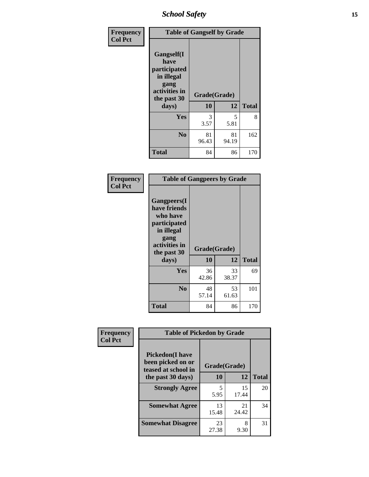*School Safety* **15**

| Frequency      | <b>Table of Gangself by Grade</b>                                                                 |                    |             |              |
|----------------|---------------------------------------------------------------------------------------------------|--------------------|-------------|--------------|
| <b>Col Pct</b> | Gangself(I<br>have<br>participated<br>in illegal<br>gang<br>activities in<br>the past 30<br>days) | Grade(Grade)<br>10 | 12          | <b>Total</b> |
|                | Yes                                                                                               | 3<br>3.57          | 5<br>5.81   | 8            |
|                | N <sub>0</sub>                                                                                    | 81<br>96.43        | 81<br>94.19 | 162          |
|                | <b>Total</b>                                                                                      | 84                 | 86          | 170          |

| Frequency<br><b>Col Pct</b> | <b>Table of Gangpeers by Grade</b>                                                                                             |                    |             |              |
|-----------------------------|--------------------------------------------------------------------------------------------------------------------------------|--------------------|-------------|--------------|
|                             | <b>Gangpeers</b> (I<br>have friends<br>who have<br>participated<br>in illegal<br>gang<br>activities in<br>the past 30<br>days) | Grade(Grade)<br>10 | 12          | <b>Total</b> |
|                             | <b>Yes</b>                                                                                                                     | 36<br>42.86        | 33<br>38.37 | 69           |
|                             | N <sub>0</sub>                                                                                                                 | 48<br>57.14        | 53<br>61.63 | 101          |
|                             | <b>Total</b>                                                                                                                   | 84                 | 86          | 170          |

| Frequency      |                                                                    | <b>Table of Pickedon by Grade</b> |             |              |  |  |  |  |  |  |  |
|----------------|--------------------------------------------------------------------|-----------------------------------|-------------|--------------|--|--|--|--|--|--|--|
| <b>Col Pct</b> | <b>Pickedon(I have</b><br>been picked on or<br>teased at school in | Grade(Grade)                      |             |              |  |  |  |  |  |  |  |
|                | the past 30 days)                                                  | 10                                | 12          | <b>Total</b> |  |  |  |  |  |  |  |
|                | <b>Strongly Agree</b>                                              | 5<br>5.95                         | 15<br>17.44 | 20           |  |  |  |  |  |  |  |
|                | <b>Somewhat Agree</b>                                              | 13<br>15.48                       | 21<br>24.42 | 34           |  |  |  |  |  |  |  |
|                | <b>Somewhat Disagree</b>                                           | 23<br>27.38                       | 8<br>9.30   | 31           |  |  |  |  |  |  |  |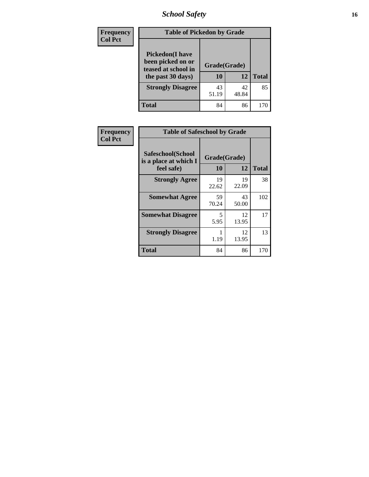*School Safety* **16**

| <b>Frequency</b> |                                                                                          | <b>Table of Pickedon by Grade</b> |              |     |  |  |  |  |  |  |
|------------------|------------------------------------------------------------------------------------------|-----------------------------------|--------------|-----|--|--|--|--|--|--|
| <b>Col Pct</b>   | <b>Pickedon</b> (I have<br>been picked on or<br>teased at school in<br>the past 30 days) | Grade(Grade)<br>10                | <b>Total</b> |     |  |  |  |  |  |  |
|                  | <b>Strongly Disagree</b>                                                                 | 43<br>51.19                       | 42<br>48.84  | 85  |  |  |  |  |  |  |
|                  | <b>Total</b>                                                                             | 84                                | 86           | 170 |  |  |  |  |  |  |

| Frequency      | <b>Table of Safeschool by Grade</b>                      |                    |             |              |  |  |  |  |  |  |
|----------------|----------------------------------------------------------|--------------------|-------------|--------------|--|--|--|--|--|--|
| <b>Col Pct</b> | Safeschool(School<br>is a place at which I<br>feel safe) | Grade(Grade)<br>10 | 12          | <b>Total</b> |  |  |  |  |  |  |
|                | <b>Strongly Agree</b>                                    | 19<br>22.62        | 19<br>22.09 | 38           |  |  |  |  |  |  |
|                | <b>Somewhat Agree</b>                                    | 59<br>70.24        | 43<br>50.00 | 102          |  |  |  |  |  |  |
|                | <b>Somewhat Disagree</b>                                 | 5<br>5.95          | 12<br>13.95 | 17           |  |  |  |  |  |  |
|                | <b>Strongly Disagree</b>                                 | 1.19               | 12<br>13.95 | 13           |  |  |  |  |  |  |
|                | Total                                                    | 84                 | 86          | 170          |  |  |  |  |  |  |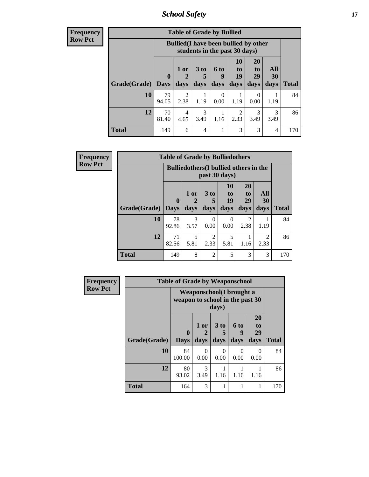*School Safety* **17**

| <b>Frequency</b> |
|------------------|
| <b>Row Pct</b>   |

| V | <b>Table of Grade by Bullied</b> |                             |                                                                               |                          |                          |                               |                               |                          |              |  |  |
|---|----------------------------------|-----------------------------|-------------------------------------------------------------------------------|--------------------------|--------------------------|-------------------------------|-------------------------------|--------------------------|--------------|--|--|
|   |                                  |                             | <b>Bullied</b> (I have been bullied by other<br>students in the past 30 days) |                          |                          |                               |                               |                          |              |  |  |
|   | Grade(Grade)                     | $\mathbf{0}$<br><b>Days</b> | 1 or<br>2<br>days                                                             | 3 <sub>to</sub><br>days  | <b>6 to</b><br>9<br>days | <b>10</b><br>to<br>19<br>days | <b>20</b><br>to<br>29<br>days | All<br><b>30</b><br>days | <b>Total</b> |  |  |
|   | 10                               | 79<br>94.05                 | 2<br>2.38                                                                     | 1.19                     | 0<br>0.00                | 1.19                          | $\theta$<br>0.00              | 1.19                     | 84           |  |  |
|   | 12                               | 70<br>81.40                 | 4<br>4.65                                                                     | 3<br>3.49                | 1.16                     | $\overline{2}$<br>2.33        | 3<br>3.49                     | 3<br>3.49                | 86           |  |  |
|   | <b>Total</b>                     | 149                         | 6                                                                             | $\overline{\mathcal{A}}$ |                          | 3                             | 3                             | 4                        | 170          |  |  |

| <b>Frequency</b> | <b>Table of Grade by Bulliedothers</b> |                  |                                                                |                        |                |                       |           |              |  |  |
|------------------|----------------------------------------|------------------|----------------------------------------------------------------|------------------------|----------------|-----------------------|-----------|--------------|--|--|
| <b>Row Pct</b>   |                                        |                  | <b>Bulliedothers</b> (I bullied others in the<br>past 30 days) |                        |                |                       |           |              |  |  |
|                  |                                        | $\boldsymbol{0}$ | 1 or                                                           | 3 to<br>5              | 10<br>to<br>19 | <b>20</b><br>to<br>29 | All<br>30 |              |  |  |
|                  | <b>Grade</b> (Grade) Days              |                  | days                                                           | days                   | days           | days                  | days      | <b>Total</b> |  |  |
|                  | 10                                     | 78<br>92.86      | 3<br>3.57                                                      | 0<br>0.00              | 0<br>0.00      | 2<br>2.38             | 1.19      | 84           |  |  |
|                  | 12                                     | 71<br>82.56      | 5<br>5.81                                                      | $\mathfrak{D}$<br>2.33 | 5<br>5.81      | 1.16                  | 2<br>2.33 | 86           |  |  |
|                  | <b>Total</b>                           | 149              | 8                                                              | $\overline{2}$         | 5              | 3                     | 3         | 170          |  |  |

| <b>Frequency</b> | <b>Table of Grade by Weaponschool</b> |                                 |                                    |                              |                   |                        |              |  |  |  |
|------------------|---------------------------------------|---------------------------------|------------------------------------|------------------------------|-------------------|------------------------|--------------|--|--|--|
| <b>Row Pct</b>   |                                       | weapon to school in the past 30 | Weaponschool (I brought a<br>days) |                              |                   |                        |              |  |  |  |
|                  | Grade(Grade)                          | $\mathbf{0}$<br><b>Days</b>     | 1 or<br>days                       | 3 <sub>to</sub><br>5<br>days | 6 to<br>9<br>days | 20<br>to<br>29<br>days | <b>Total</b> |  |  |  |
|                  | 10                                    | 84<br>100.00                    | $\Omega$<br>0.00                   | $\Omega$<br>0.00             | $\Omega$<br>0.00  | 0<br>0.00              | 84           |  |  |  |
|                  | 12                                    | 80<br>93.02                     | 3<br>3.49                          | 1.16                         | 1.16              | 1.16                   | 86           |  |  |  |
|                  | <b>Total</b>                          | 164                             | $\mathcal{R}$                      |                              |                   |                        | 170          |  |  |  |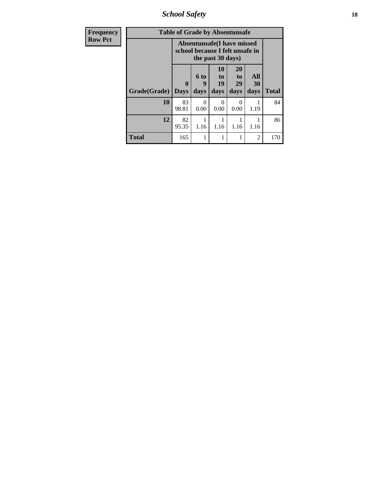*School Safety* **18**

| <b>Frequency</b> | <b>Table of Grade by Absentunsafe</b> |                  |                                                                                           |                        |                        |                   |              |  |  |  |
|------------------|---------------------------------------|------------------|-------------------------------------------------------------------------------------------|------------------------|------------------------|-------------------|--------------|--|--|--|
| <b>Row Pct</b>   |                                       |                  | <b>Absentunsafe(I have missed</b><br>school because I felt unsafe in<br>the past 30 days) |                        |                        |                   |              |  |  |  |
|                  | Grade(Grade)                          | 0<br><b>Days</b> | <b>6 to</b><br>9<br>days                                                                  | 10<br>to<br>19<br>days | 20<br>to<br>29<br>days | All<br>30<br>days | <b>Total</b> |  |  |  |
|                  | 10                                    | 83<br>98.81      | $\Omega$<br>0.00                                                                          | 0<br>0.00              | 0<br>0.00              | 1.19              | 84           |  |  |  |
|                  | 12                                    | 82<br>95.35      | 1.16                                                                                      | 1.16                   | 1.16                   | 1.16              | 86           |  |  |  |
|                  | Total                                 | 165              |                                                                                           | 1                      |                        | 2                 | 170          |  |  |  |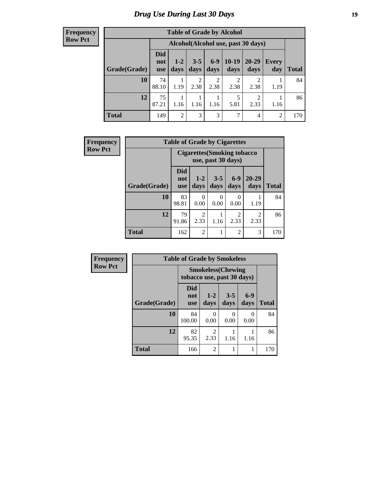# *Drug Use During Last 30 Days* **19**

#### **Frequency Row Pct**

| <b>Table of Grade by Alcohol</b> |                                 |                                    |                        |                        |                 |                        |              |       |  |  |  |
|----------------------------------|---------------------------------|------------------------------------|------------------------|------------------------|-----------------|------------------------|--------------|-------|--|--|--|
|                                  |                                 | Alcohol(Alcohol use, past 30 days) |                        |                        |                 |                        |              |       |  |  |  |
| Grade(Grade)                     | <b>Did</b><br>not<br><b>use</b> | $1-2$<br>days                      | $3 - 5$<br>days        | $6-9$<br>days          | $10-19$<br>days | $20 - 29$<br>days      | Every<br>day | Total |  |  |  |
| 10                               | 74<br>88.10                     | 1.19                               | $\mathfrak{D}$<br>2.38 | $\overline{c}$<br>2.38 | 2<br>2.38       | $\overline{2}$<br>2.38 | 1.19         | 84    |  |  |  |
| 12                               | 75<br>87.21                     | 1.16                               | 1.16                   | 1.16                   | 5<br>5.81       | $\overline{2}$<br>2.33 | 1.16         | 86    |  |  |  |
| <b>Total</b>                     | 149                             | $\overline{2}$                     | 3                      | 3                      | 7               | 4                      | 2            | 170   |  |  |  |

| Frequency      | <b>Table of Grade by Cigarettes</b> |                                 |                                                          |                 |                  |                        |              |  |  |  |
|----------------|-------------------------------------|---------------------------------|----------------------------------------------------------|-----------------|------------------|------------------------|--------------|--|--|--|
| <b>Row Pct</b> |                                     |                                 | <b>Cigarettes (Smoking tobacco</b><br>use, past 30 days) |                 |                  |                        |              |  |  |  |
|                | Grade(Grade)                        | <b>Did</b><br>not<br><b>use</b> | $1 - 2$<br>days                                          | $3 - 5$<br>days | $6-9$<br>days    | $20 - 29$<br>days      | <b>Total</b> |  |  |  |
|                | 10                                  | 83<br>98.81                     | $\theta$<br>0.00                                         | 0<br>0.00       | $\Omega$<br>0.00 | 1.19                   | 84           |  |  |  |
|                | 12                                  | 79<br>91.86                     | $\overline{c}$<br>2.33                                   | 1.16            | 2<br>2.33        | $\mathfrak{D}$<br>2.33 | 86           |  |  |  |
|                | <b>Total</b>                        | 162                             | $\overline{2}$                                           |                 | $\overline{2}$   | 3                      | 170          |  |  |  |

| Frequency      | <b>Table of Grade by Smokeless</b> |                            |                           |                  |               |              |
|----------------|------------------------------------|----------------------------|---------------------------|------------------|---------------|--------------|
| <b>Row Pct</b> |                                    | tobacco use, past 30 days) | <b>Smokeless</b> (Chewing |                  |               |              |
|                | Grade(Grade)                       | Did<br>not<br><b>use</b>   | $1 - 2$<br>days           | $3 - 5$<br>days  | $6-9$<br>days | <b>Total</b> |
|                | 10                                 | 84<br>100.00               | 0<br>0.00                 | $\Omega$<br>0.00 | 0<br>0.00     | 84           |
|                | 12                                 | 82<br>95.35                | $\overline{2}$<br>2.33    | 1.16             | 1.16          | 86           |
|                | <b>Total</b>                       | 166                        | $\overline{2}$            |                  | 1             | 170          |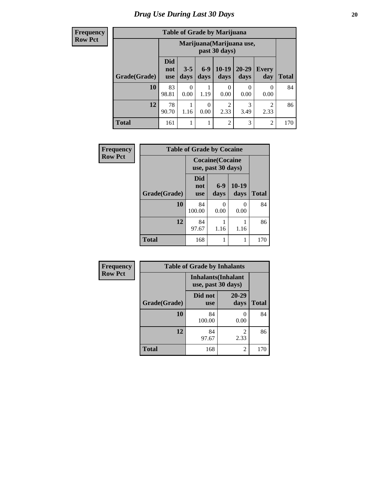**Frequency Row Pct**

| <b>Table of Grade by Marijuana</b> |                                 |                                            |      |                        |           |                |     |  |  |  |
|------------------------------------|---------------------------------|--------------------------------------------|------|------------------------|-----------|----------------|-----|--|--|--|
|                                    |                                 | Marijuana (Marijuana use,<br>past 30 days) |      |                        |           |                |     |  |  |  |
| Grade(Grade)                       | <b>Did</b><br>not<br><b>use</b> | <b>Total</b>                               |      |                        |           |                |     |  |  |  |
| 10                                 | 83<br>98.81                     | 0<br>0.00                                  | 1.19 | 0<br>0.00              | 0<br>0.00 | 0<br>0.00      | 84  |  |  |  |
| 12                                 | 78<br>90.70                     | 1.16                                       | 0.00 | $\overline{2}$<br>2.33 | 3<br>3.49 | 2<br>2.33      | 86  |  |  |  |
| <b>Total</b>                       | 161                             |                                            |      | $\overline{c}$         | 3         | $\overline{c}$ | 170 |  |  |  |

| Frequency      | <b>Table of Grade by Cocaine</b> |                          |                                               |                   |              |
|----------------|----------------------------------|--------------------------|-----------------------------------------------|-------------------|--------------|
| <b>Row Pct</b> |                                  |                          | <b>Cocaine</b> (Cocaine<br>use, past 30 days) |                   |              |
|                | Grade(Grade)                     | Did<br>not<br><b>use</b> | $6-9$<br>days                                 | $10 - 19$<br>days | <b>Total</b> |
|                | 10                               | 84<br>100.00             | 0<br>0.00                                     | 0.00              | 84           |
|                | 12                               | 84<br>97.67              | 1.16                                          | 1.16              | 86           |
|                | <b>Total</b>                     | 168                      |                                               |                   | 170          |

| Frequency      | <b>Table of Grade by Inhalants</b> |                                                  |                        |              |  |
|----------------|------------------------------------|--------------------------------------------------|------------------------|--------------|--|
| <b>Row Pct</b> |                                    | <b>Inhalants</b> (Inhalant<br>use, past 30 days) |                        |              |  |
|                | Grade(Grade)                       | Did not<br><b>use</b>                            | 20-29<br>days          | <b>Total</b> |  |
|                | 10                                 | 84<br>100.00                                     | 0.00                   | 84           |  |
|                | 12                                 | 84<br>97.67                                      | $\mathfrak{D}$<br>2.33 | 86           |  |
|                | <b>Total</b>                       | 168                                              | 2                      | 170          |  |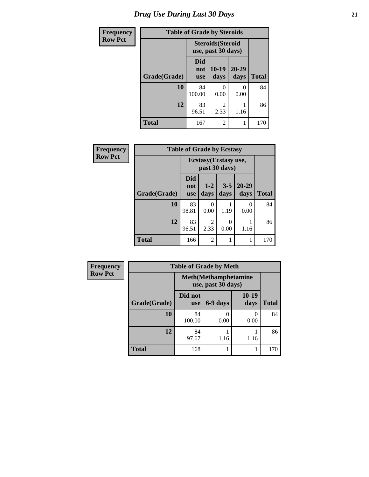# *Drug Use During Last 30 Days* **21**

| <b>Frequency</b> | <b>Table of Grade by Steroids</b> |                                                |                |                           |              |  |
|------------------|-----------------------------------|------------------------------------------------|----------------|---------------------------|--------------|--|
| <b>Row Pct</b>   |                                   | <b>Steroids</b> (Steroid<br>use, past 30 days) |                |                           |              |  |
|                  | Grade(Grade)                      | Did<br>not<br><b>use</b>                       | 10-19<br>days  | $20 - 29$<br>days         | <b>Total</b> |  |
|                  | 10                                | 84<br>100.00                                   | O<br>0.00      | $\mathbf{\Omega}$<br>0.00 | 84           |  |
|                  | 12                                | 83<br>96.51                                    | 2<br>2.33      | 1.16                      | 86           |  |
|                  | <b>Total</b>                      | 167                                            | $\overline{2}$ |                           | 170          |  |

| <b>Frequency</b> | <b>Table of Grade by Ecstasy</b> |                                        |                 |                          |                   |              |  |
|------------------|----------------------------------|----------------------------------------|-----------------|--------------------------|-------------------|--------------|--|
| <b>Row Pct</b>   |                                  | Ecstasy (Ecstasy use,<br>past 30 days) |                 |                          |                   |              |  |
|                  | Grade(Grade)                     | <b>Did</b><br>not<br><b>use</b>        | $1 - 2$<br>days | $3 - 5$<br>days          | $20 - 29$<br>days | <b>Total</b> |  |
|                  | 10                               | 83<br>98.81                            | 0<br>0.00       | 1.19                     | 0<br>0.00         | 84           |  |
|                  | 12                               | 83<br>96.51                            | 2<br>2.33       | $\left( \right)$<br>0.00 | 1.16              | 86           |  |
|                  | <b>Total</b>                     | 166                                    | 2               |                          |                   | 170          |  |

| <b>Frequency</b> | <b>Table of Grade by Meth</b> |                                                    |          |                      |              |  |  |
|------------------|-------------------------------|----------------------------------------------------|----------|----------------------|--------------|--|--|
| <b>Row Pct</b>   |                               | <b>Meth</b> (Methamphetamine<br>use, past 30 days) |          |                      |              |  |  |
|                  | Grade(Grade)                  | Did not<br><b>use</b>                              | 6-9 days | $10-19$<br>days      | <b>Total</b> |  |  |
|                  | 10                            | 84<br>100.00                                       | 0.00     | $\mathbf{0}$<br>0.00 | 84           |  |  |
|                  | 12                            | 84<br>97.67                                        | 1.16     | 1.16                 | 86           |  |  |
|                  | <b>Total</b>                  | 168                                                |          |                      | 170          |  |  |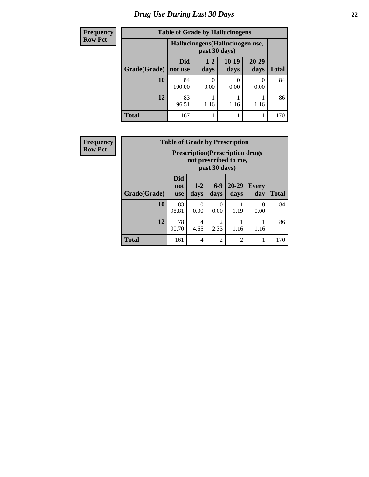| <b>Frequency</b> | <b>Table of Grade by Hallucinogens</b> |                                  |                 |                 |                   |              |
|------------------|----------------------------------------|----------------------------------|-----------------|-----------------|-------------------|--------------|
| Row Pct          |                                        | Hallucinogens (Hallucinogen use, |                 |                 |                   |              |
|                  | Grade(Grade)                           | <b>Did</b><br>not use            | $1 - 2$<br>days | $10-19$<br>days | $20 - 29$<br>days | <b>Total</b> |
|                  | 10                                     | 84<br>100.00                     | 0.00            | 0<br>0.00       | $\theta$<br>0.00  | 84           |
|                  | 12                                     | 83<br>96.51                      | 1.16            | 1.16            | 1.16              | 86           |
|                  | <b>Total</b>                           | 167                              |                 |                 |                   | 170          |

| <b>Frequency</b> | <b>Table of Grade by Prescription</b> |                                                                                    |               |                        |                   |                     |              |  |
|------------------|---------------------------------------|------------------------------------------------------------------------------------|---------------|------------------------|-------------------|---------------------|--------------|--|
| <b>Row Pct</b>   |                                       | <b>Prescription</b> (Prescription drugs)<br>not prescribed to me,<br>past 30 days) |               |                        |                   |                     |              |  |
|                  | Grade(Grade)                          | <b>Did</b><br>not<br><b>use</b>                                                    | $1-2$<br>days | $6-9$<br>days          | $20 - 29$<br>days | <b>Every</b><br>day | <b>Total</b> |  |
|                  | 10                                    | 83<br>98.81                                                                        | 0<br>0.00     | $\Omega$<br>0.00       | 1.19              | $\theta$<br>0.00    | 84           |  |
|                  | 12                                    | 78<br>90.70                                                                        | 4<br>4.65     | $\mathfrak{D}$<br>2.33 | 1.16              | 1.16                | 86           |  |
|                  | <b>Total</b>                          | 161                                                                                | 4             | $\mathfrak{D}$         | $\overline{2}$    | 1                   | 170          |  |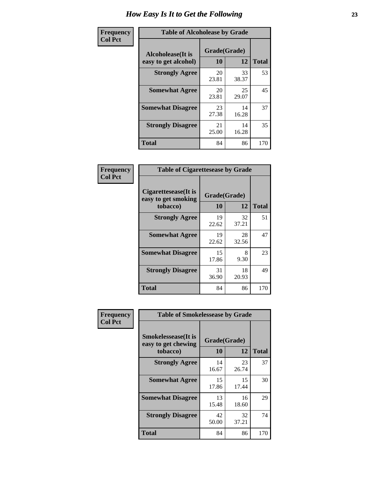| Frequency      | <b>Table of Alcoholease by Grade</b>              |                    |             |              |  |
|----------------|---------------------------------------------------|--------------------|-------------|--------------|--|
| <b>Col Pct</b> | <b>Alcoholease</b> (It is<br>easy to get alcohol) | Grade(Grade)<br>10 | 12          | <b>Total</b> |  |
|                | <b>Strongly Agree</b>                             | 20<br>23.81        | 33<br>38.37 | 53           |  |
|                | <b>Somewhat Agree</b>                             | 20<br>23.81        | 25<br>29.07 | 45           |  |
|                | <b>Somewhat Disagree</b>                          | 23<br>27.38        | 14<br>16.28 | 37           |  |
|                | <b>Strongly Disagree</b>                          | 21<br>25.00        | 14<br>16.28 | 35           |  |
|                | <b>Total</b>                                      | 84                 | 86          | 170          |  |

| Frequency      | <b>Table of Cigarettesease by Grade</b>                 |                           |             |              |  |
|----------------|---------------------------------------------------------|---------------------------|-------------|--------------|--|
| <b>Col Pct</b> | Cigarettesease(It is<br>easy to get smoking<br>tobacco) | Grade(Grade)<br><b>10</b> | 12          | <b>Total</b> |  |
|                | <b>Strongly Agree</b>                                   | 19<br>22.62               | 32<br>37.21 | 51           |  |
|                | <b>Somewhat Agree</b>                                   | 19<br>22.62               | 28<br>32.56 | 47           |  |
|                | <b>Somewhat Disagree</b>                                | 15<br>17.86               | 8<br>9.30   | 23           |  |
|                | <b>Strongly Disagree</b>                                | 31<br>36.90               | 18<br>20.93 | 49           |  |
|                | <b>Total</b>                                            | 84                        | 86          | 170          |  |

| Frequency      | <b>Table of Smokelessease by Grade</b>                         |                    |             |              |  |  |  |
|----------------|----------------------------------------------------------------|--------------------|-------------|--------------|--|--|--|
| <b>Col Pct</b> | <b>Smokelessease</b> (It is<br>easy to get chewing<br>tobacco) | Grade(Grade)<br>10 | 12          | <b>Total</b> |  |  |  |
|                | <b>Strongly Agree</b>                                          | 14<br>16.67        | 23<br>26.74 | 37           |  |  |  |
|                | <b>Somewhat Agree</b>                                          | 15<br>17.86        | 15<br>17.44 | 30           |  |  |  |
|                | <b>Somewhat Disagree</b>                                       | 13<br>15.48        | 16<br>18.60 | 29           |  |  |  |
|                | <b>Strongly Disagree</b>                                       | 42<br>50.00        | 32<br>37.21 | 74           |  |  |  |
|                | <b>Total</b>                                                   | 84                 | 86          | 170          |  |  |  |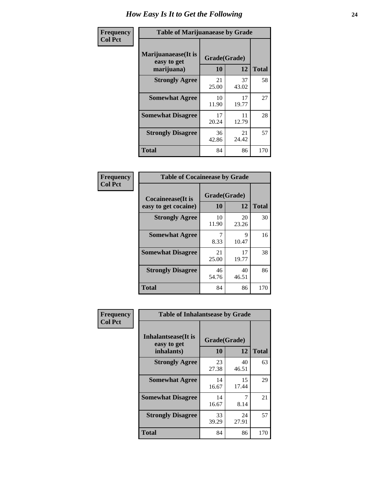| Frequency      | <b>Table of Marijuanaease by Grade</b>            |                           |             |              |  |
|----------------|---------------------------------------------------|---------------------------|-------------|--------------|--|
| <b>Col Pct</b> | Marijuanaease (It is<br>easy to get<br>marijuana) | Grade(Grade)<br><b>10</b> | 12          | <b>Total</b> |  |
|                | <b>Strongly Agree</b>                             | 21<br>25.00               | 37<br>43.02 | 58           |  |
|                | <b>Somewhat Agree</b>                             | 10<br>11.90               | 17<br>19.77 | 27           |  |
|                | <b>Somewhat Disagree</b>                          | 17<br>20.24               | 11<br>12.79 | 28           |  |
|                | <b>Strongly Disagree</b>                          | 36<br>42.86               | 21<br>24.42 | 57           |  |
|                | <b>Total</b>                                      | 84                        | 86          | 170          |  |

| <b>Table of Cocaineease by Grade</b> |              |             |              |  |  |  |
|--------------------------------------|--------------|-------------|--------------|--|--|--|
| <b>Cocaineease</b> (It is            | Grade(Grade) |             |              |  |  |  |
| easy to get cocaine)                 | 10           | 12          | <b>Total</b> |  |  |  |
| <b>Strongly Agree</b>                | 10<br>11.90  | 20<br>23.26 | 30           |  |  |  |
| <b>Somewhat Agree</b>                | 8.33         | 9<br>10.47  | 16           |  |  |  |
| <b>Somewhat Disagree</b>             | 21<br>25.00  | 17<br>19.77 | 38           |  |  |  |
| <b>Strongly Disagree</b>             | 46<br>54.76  | 40<br>46.51 | 86           |  |  |  |
| <b>Total</b>                         | 84           | 86          | 170          |  |  |  |

| Frequency      | <b>Table of Inhalantsease by Grade</b>                   |                    |             |              |
|----------------|----------------------------------------------------------|--------------------|-------------|--------------|
| <b>Col Pct</b> | <b>Inhalantsease</b> (It is<br>easy to get<br>inhalants) | Grade(Grade)<br>10 | 12          | <b>Total</b> |
|                | <b>Strongly Agree</b>                                    | 23<br>27.38        | 40<br>46.51 | 63           |
|                | <b>Somewhat Agree</b>                                    | 14<br>16.67        | 15<br>17.44 | 29           |
|                | <b>Somewhat Disagree</b>                                 | 14<br>16.67        | 8.14        | 21           |
|                | <b>Strongly Disagree</b>                                 | 33<br>39.29        | 24<br>27.91 | 57           |
|                | <b>Total</b>                                             | 84                 | 86          | 170          |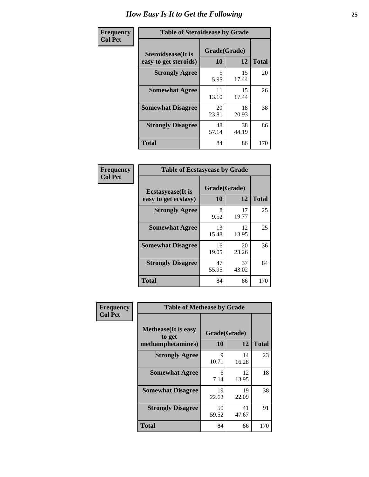| Frequency      |                            | <b>Table of Steroidsease by Grade</b>             |             |     |  |  |  |  |  |  |
|----------------|----------------------------|---------------------------------------------------|-------------|-----|--|--|--|--|--|--|
| <b>Col Pct</b> | <b>Steroidsease</b> (It is | Grade(Grade)<br>10<br>12<br>easy to get steroids) |             |     |  |  |  |  |  |  |
|                | <b>Strongly Agree</b>      | 5<br>5.95                                         | 15<br>17.44 | 20  |  |  |  |  |  |  |
|                | <b>Somewhat Agree</b>      | 11<br>13.10                                       | 15<br>17.44 | 26  |  |  |  |  |  |  |
|                | <b>Somewhat Disagree</b>   | 20<br>23.81                                       | 18<br>20.93 | 38  |  |  |  |  |  |  |
|                | <b>Strongly Disagree</b>   | 48<br>57.14                                       | 38<br>44.19 | 86  |  |  |  |  |  |  |
|                | <b>Total</b>               | 84                                                | 86          | 170 |  |  |  |  |  |  |

| Frequency      | <b>Table of Ecstasyease by Grade</b>              |                    |             |              |  |  |  |  |  |
|----------------|---------------------------------------------------|--------------------|-------------|--------------|--|--|--|--|--|
| <b>Col Pct</b> | <b>Ecstasyease</b> (It is<br>easy to get ecstasy) | Grade(Grade)<br>10 | 12          | <b>Total</b> |  |  |  |  |  |
|                | <b>Strongly Agree</b>                             | 8<br>9.52          | 17<br>19.77 | 25           |  |  |  |  |  |
|                | <b>Somewhat Agree</b>                             | 13<br>15.48        | 12<br>13.95 | 25           |  |  |  |  |  |
|                | <b>Somewhat Disagree</b>                          | 16<br>19.05        | 20<br>23.26 | 36           |  |  |  |  |  |
|                | <b>Strongly Disagree</b>                          | 47<br>55.95        | 37<br>43.02 | 84           |  |  |  |  |  |
|                | <b>Total</b>                                      | 84                 | 86          | 170          |  |  |  |  |  |

| Frequency      | <b>Table of Methease by Grade</b>     |                      |             |              |
|----------------|---------------------------------------|----------------------|-------------|--------------|
| <b>Col Pct</b> | <b>Methease</b> (It is easy<br>to get | Grade(Grade)         |             |              |
|                | methamphetamines)                     | 10                   | 12          | <b>Total</b> |
|                | <b>Strongly Agree</b>                 | $\mathbf Q$<br>10.71 | 14<br>16.28 | 23           |
|                | <b>Somewhat Agree</b>                 | 6<br>7.14            | 12<br>13.95 | 18           |
|                | <b>Somewhat Disagree</b>              | 19<br>22.62          | 19<br>22.09 | 38           |
|                | <b>Strongly Disagree</b>              | 50<br>59.52          | 41<br>47.67 | 91           |
|                | <b>Total</b>                          | 84                   | 86          | 170          |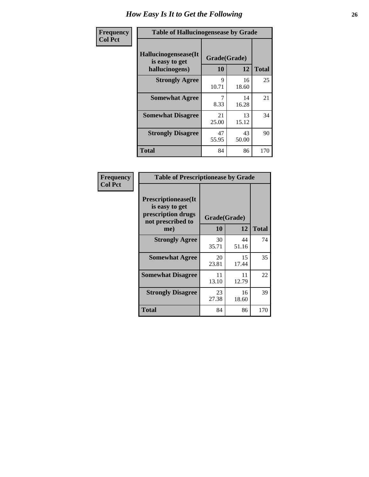| Frequency      | <b>Table of Hallucinogensease by Grade</b>               |                    |             |              |  |  |  |  |  |  |
|----------------|----------------------------------------------------------|--------------------|-------------|--------------|--|--|--|--|--|--|
| <b>Col Pct</b> | Hallucinogensease(It<br>is easy to get<br>hallucinogens) | Grade(Grade)<br>10 | 12          | <b>Total</b> |  |  |  |  |  |  |
|                | <b>Strongly Agree</b>                                    | 9<br>10.71         | 16<br>18.60 | 25           |  |  |  |  |  |  |
|                | <b>Somewhat Agree</b>                                    | 7<br>8.33          | 14<br>16.28 | 21           |  |  |  |  |  |  |
|                | <b>Somewhat Disagree</b>                                 | 21<br>25.00        | 13<br>15.12 | 34           |  |  |  |  |  |  |
|                | <b>Strongly Disagree</b>                                 | 47<br>55.95        | 43<br>50.00 | 90           |  |  |  |  |  |  |
|                | <b>Total</b>                                             | 84                 | 86          | 170          |  |  |  |  |  |  |

| <b>Frequency</b><br>Col Pct |
|-----------------------------|
|                             |

| <b>Table of Prescriptionease by Grade</b>                                                |             |              |              |  |  |  |  |  |
|------------------------------------------------------------------------------------------|-------------|--------------|--------------|--|--|--|--|--|
| <b>Prescriptionease</b> (It<br>is easy to get<br>prescription drugs<br>not prescribed to |             | Grade(Grade) |              |  |  |  |  |  |
| me)                                                                                      | 10          | 12           | <b>Total</b> |  |  |  |  |  |
| <b>Strongly Agree</b>                                                                    | 30<br>35.71 | 44<br>51.16  | 74           |  |  |  |  |  |
| <b>Somewhat Agree</b>                                                                    | 20<br>23.81 | 15<br>17.44  | 35           |  |  |  |  |  |
| <b>Somewhat Disagree</b>                                                                 | 11<br>13.10 | 11<br>12.79  | 22           |  |  |  |  |  |
| <b>Strongly Disagree</b>                                                                 | 23<br>27.38 | 16<br>18.60  | 39           |  |  |  |  |  |
| Total                                                                                    | 84          | 86           | 170          |  |  |  |  |  |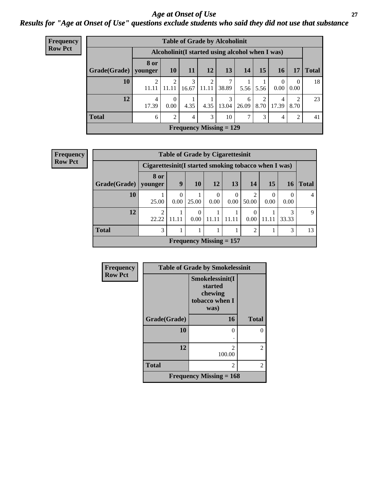### *Age at Onset of Use* **27** *Results for "Age at Onset of Use" questions exclude students who said they did not use that substance*

| <b>Frequency</b> | <b>Table of Grade by Alcoholinit</b>             |                 |                  |            |            |                                             |            |           |                  |                        |              |  |
|------------------|--------------------------------------------------|-----------------|------------------|------------|------------|---------------------------------------------|------------|-----------|------------------|------------------------|--------------|--|
| <b>Row Pct</b>   | Alcoholinit (I started using alcohol when I was) |                 |                  |            |            |                                             |            |           |                  |                        |              |  |
|                  | Grade(Grade)                                     | 8 or<br>younger | <b>10</b>        | <b>11</b>  | 12         | 13                                          | <b>14</b>  | 15        | 16               | 17                     | <b>Total</b> |  |
|                  | 10                                               | 11.11           | 2<br>11.11       | 3<br>16.67 | 2<br>11.11 | 38.89                                       | 5.56       | 5.56      | $\Omega$<br>0.00 | $\theta$<br>0.00       | 18           |  |
|                  | 12                                               | 4<br>17.39      | $\theta$<br>0.00 | 4.35       | 4.35       | 3<br>13.04                                  | 6<br>26.09 | 2<br>8.70 | 4<br>17.39       | $\overline{2}$<br>8.70 | 23           |  |
|                  | <b>Total</b>                                     | 6               | $\overline{2}$   | 4          | 3          | 10                                          | 7          | 3         | $\overline{4}$   | 2                      | 41           |  |
|                  |                                                  |                 |                  |            |            | <b>Frequency Missing <math>= 129</math></b> |            |           |                  |                        |              |  |

| <b>Frequency</b> | <b>Table of Grade by Cigarettesinit</b>              |                         |                  |                  |                           |                  |            |                  |                 |              |  |
|------------------|------------------------------------------------------|-------------------------|------------------|------------------|---------------------------|------------------|------------|------------------|-----------------|--------------|--|
| <b>Row Pct</b>   | Cigarettesinit(I started smoking tobacco when I was) |                         |                  |                  |                           |                  |            |                  |                 |              |  |
|                  | Grade(Grade)                                         | 8 or<br>younger         | 9                | 10               | <b>12</b>                 | <b>13</b>        | 14         | 15               | 16 <sup>1</sup> | <b>Total</b> |  |
|                  | 10                                                   | 25.00                   | $\Omega$<br>0.00 | 25.00            | $\theta$<br>0.00          | $\theta$<br>0.00 | 2<br>50.00 | $\Omega$<br>0.00 | 0<br>0.00       | 4            |  |
|                  | 12                                                   | $\overline{2}$<br>22.22 | 11.11            | $\Omega$<br>0.00 | 11.11                     | 11.11            | 0<br>0.00  | 11.11            | 3<br>33.33      | 9            |  |
|                  | <b>Total</b>                                         | 3                       |                  |                  |                           |                  | 2          |                  | 3               | 13           |  |
|                  |                                                      |                         |                  |                  | Frequency Missing $= 157$ |                  |            |                  |                 |              |  |

| Frequency      |              | <b>Table of Grade by Smokelessinit</b>                          |               |
|----------------|--------------|-----------------------------------------------------------------|---------------|
| <b>Row Pct</b> |              | Smokelessinit(I<br>started<br>chewing<br>tobacco when I<br>was) |               |
|                | Grade(Grade) | 16                                                              | <b>Total</b>  |
|                | 10           | 0                                                               |               |
|                | 12           | $\overline{c}$<br>100.00                                        | $\mathcal{L}$ |
|                | <b>Total</b> | $\overline{\mathcal{L}}$                                        | 2             |
|                |              | Frequency Missing $= 168$                                       |               |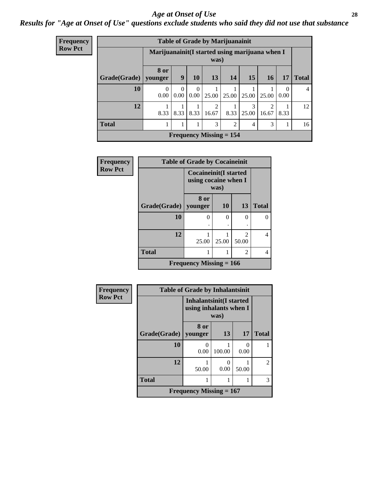### *Age at Onset of Use* **28**

### *Results for "Age at Onset of Use" questions exclude students who said they did not use that substance*

| <b>Frequency</b> |              |                                                 |                  |                  |            | <b>Table of Grade by Marijuanainit</b> |                        |                                      |                  |                |
|------------------|--------------|-------------------------------------------------|------------------|------------------|------------|----------------------------------------|------------------------|--------------------------------------|------------------|----------------|
| <b>Row Pct</b>   |              | Marijuanainit (I started using marijuana when I |                  |                  | was)       |                                        |                        |                                      |                  |                |
|                  | Grade(Grade) | 8 or<br>younger                                 | 9                | <b>10</b>        | 13         | 14                                     | 15                     | 16                                   | 17               | <b>Total</b>   |
|                  | 10           | $\mathbf{0}$<br>0.00                            | $\Omega$<br>0.00 | $\Omega$<br>0.00 | 25.00      | 25.00                                  | 25.00                  | 25.00                                | $\Omega$<br>0.00 | $\overline{4}$ |
|                  | 12           | 8.33                                            | 8.33             | 8.33             | 2<br>16.67 | 8.33                                   | $\mathcal{F}$<br>25.00 | $\mathcal{D}_{\mathcal{L}}$<br>16.67 | 8.33             | 12             |
|                  | <b>Total</b> | 1<br>T                                          |                  |                  | 3          | $\overline{2}$                         | 4                      | 3                                    |                  | 16             |
|                  |              |                                                 |                  |                  |            | Frequency Missing $= 154$              |                        |                                      |                  |                |

| <b>Frequency</b> | <b>Table of Grade by Cocaineinit</b> |                                                              |           |                                      |              |  |  |
|------------------|--------------------------------------|--------------------------------------------------------------|-----------|--------------------------------------|--------------|--|--|
| <b>Row Pct</b>   |                                      | <b>Cocaineinit(I started</b><br>using cocaine when I<br>was) |           |                                      |              |  |  |
|                  | Grade(Grade)                         | 8 or<br>younger                                              | <b>10</b> | 13                                   | <b>Total</b> |  |  |
|                  | 10                                   | 0                                                            | 0         | $\Omega$                             | 0            |  |  |
|                  | 12                                   | 25.00                                                        | 25.00     | $\mathcal{D}_{\mathcal{L}}$<br>50.00 | 4            |  |  |
|                  | <b>Total</b>                         |                                                              |           | $\overline{2}$                       | 4            |  |  |
|                  |                                      | Frequency Missing $= 166$                                    |           |                                      |              |  |  |

| <b>Frequency</b> | <b>Table of Grade by Inhalantsinit</b>                           |                           |           |       |                |
|------------------|------------------------------------------------------------------|---------------------------|-----------|-------|----------------|
| <b>Row Pct</b>   | <b>Inhalantsinit(I started</b><br>using inhalants when I<br>was) |                           |           |       |                |
|                  | Grade(Grade)                                                     | 8 or<br>vounger           | 13        | 17    | <b>Total</b>   |
|                  | 10                                                               | 0<br>0.00                 | 100.00    | 0.00  |                |
|                  | 12                                                               | 50.00                     | 0<br>0.00 | 50.00 | $\mathfrak{D}$ |
|                  | <b>Total</b>                                                     |                           |           | 1     | 3              |
|                  |                                                                  | Frequency Missing $= 167$ |           |       |                |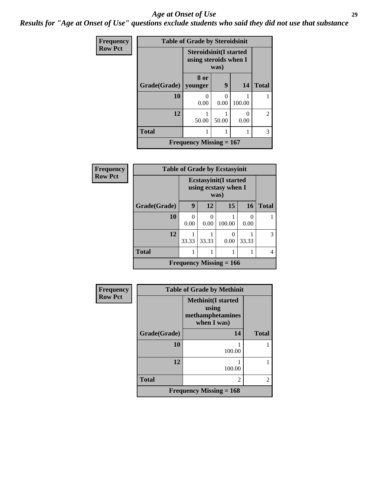### *Age at Onset of Use* **29**

*Results for "Age at Onset of Use" questions exclude students who said they did not use that substance*

| Frequency      | <b>Table of Grade by Steroidsinit</b> |                                                                |       |        |                |  |
|----------------|---------------------------------------|----------------------------------------------------------------|-------|--------|----------------|--|
| <b>Row Pct</b> |                                       | <b>Steroidsinit(I started</b><br>using steroids when I<br>was) |       |        |                |  |
|                | Grade(Grade)                          | 8 or<br>younger                                                | 9     | 14     | <b>Total</b>   |  |
|                | 10                                    | 0.00                                                           | 0.00  | 100.00 |                |  |
|                | 12                                    | 50.00                                                          | 50.00 | 0.00   | $\overline{c}$ |  |
|                | <b>Total</b>                          | 1                                                              |       |        | 3              |  |
|                |                                       | <b>Frequency Missing = 167</b>                                 |       |        |                |  |

| Frequency      | <b>Table of Grade by Ecstasyinit</b> |                                                              |           |                           |                  |              |  |
|----------------|--------------------------------------|--------------------------------------------------------------|-----------|---------------------------|------------------|--------------|--|
| <b>Row Pct</b> |                                      | <b>Ecstasyinit(I started</b><br>using ecstasy when I<br>was) |           |                           |                  |              |  |
|                | Grade(Grade)                         | 9                                                            | 12        | 15                        | 16               | <b>Total</b> |  |
|                | 10                                   | 0<br>0.00                                                    | O<br>0.00 | 100.00                    | $\theta$<br>0.00 |              |  |
|                | 12                                   | 33.33                                                        | 33.33     | 0.00                      | 33.33            | 3            |  |
|                | <b>Total</b>                         |                                                              |           |                           |                  | 4            |  |
|                |                                      |                                                              |           | Frequency Missing $= 166$ |                  |              |  |

| Frequency      |              | <b>Table of Grade by Methinit</b>                                     |                |  |  |
|----------------|--------------|-----------------------------------------------------------------------|----------------|--|--|
| <b>Row Pct</b> |              | <b>Methinit(I started</b><br>using<br>methamphetamines<br>when I was) |                |  |  |
|                | Grade(Grade) | 14                                                                    | <b>Total</b>   |  |  |
|                | 10           | 100.00                                                                |                |  |  |
|                | 12           | 100.00                                                                |                |  |  |
|                | <b>Total</b> | $\mathfrak{D}$                                                        | $\mathfrak{D}$ |  |  |
|                |              | Frequency Missing $= 168$                                             |                |  |  |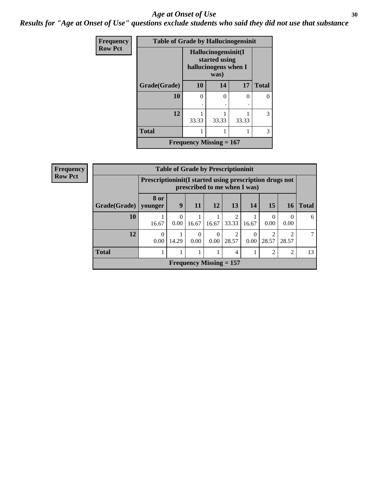### Age at Onset of Use **30**

*Results for "Age at Onset of Use" questions exclude students who said they did not use that substance*

| <b>Frequency</b> | <b>Table of Grade by Hallucinogensinit</b> |                                                              |          |       |              |  |
|------------------|--------------------------------------------|--------------------------------------------------------------|----------|-------|--------------|--|
| <b>Row Pct</b>   |                                            | Hallucinogensinit(I<br>started using<br>hallucinogens when I |          |       |              |  |
|                  | Grade(Grade)                               | 10                                                           | 14       | 17    | <b>Total</b> |  |
|                  | 10                                         | 0                                                            | $\Omega$ | 0     | 0            |  |
|                  |                                            |                                                              |          |       |              |  |
|                  | 12                                         | 33.33                                                        | 33.33    | 33.33 | 3            |  |
|                  | <b>Total</b>                               |                                                              | 1        |       | 3            |  |
|                  |                                            | Frequency Missing $= 167$                                    |          |       |              |  |

| Frequency      | <b>Table of Grade by Prescriptioninit</b> |                        |                                                                                          |                           |                  |                         |                  |                         |                         |              |
|----------------|-------------------------------------------|------------------------|------------------------------------------------------------------------------------------|---------------------------|------------------|-------------------------|------------------|-------------------------|-------------------------|--------------|
| <b>Row Pct</b> |                                           |                        | Prescriptioninit (I started using prescription drugs not<br>prescribed to me when I was) |                           |                  |                         |                  |                         |                         |              |
|                | Grade(Grade)                              | <b>8 or</b><br>vounger | 9                                                                                        | <b>11</b>                 | 12               | 13                      | <b>14</b>        | 15                      | 16                      | <b>Total</b> |
|                | 10                                        | 16.67                  | 0.00                                                                                     | 16.67                     | 16.67            | $\mathfrak{D}$<br>33.33 | 16.67            | $\Omega$<br>0.00        | $\theta$<br>0.00        | 6            |
|                | 12                                        | $\theta$<br>0.00       | 14.29                                                                                    | 0<br>0.00                 | $\theta$<br>0.00 | $\mathfrak{D}$<br>28.57 | $\Omega$<br>0.00 | $\overline{c}$<br>28.57 | $\mathfrak{D}$<br>28.57 | 7            |
|                | <b>Total</b>                              |                        |                                                                                          |                           |                  | 4                       |                  | $\overline{2}$          | $\overline{2}$          | 13           |
|                |                                           |                        |                                                                                          | Frequency Missing $= 157$ |                  |                         |                  |                         |                         |              |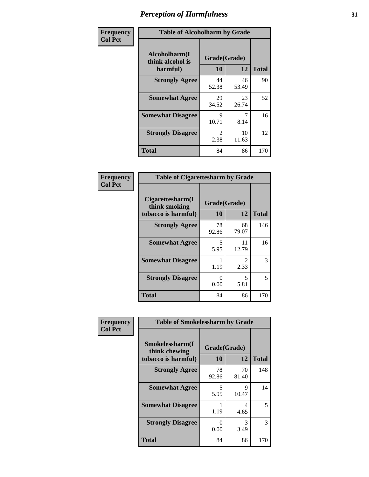| Frequency      | <b>Table of Alcoholharm by Grade</b>          |                        |             |              |  |
|----------------|-----------------------------------------------|------------------------|-------------|--------------|--|
| <b>Col Pct</b> | Alcoholharm(I<br>think alcohol is<br>harmful) | Grade(Grade)<br>10     | 12          | <b>Total</b> |  |
|                | <b>Strongly Agree</b>                         | 44<br>52.38            | 46<br>53.49 | 90           |  |
|                | <b>Somewhat Agree</b>                         | 29<br>34.52            | 23<br>26.74 | 52           |  |
|                | <b>Somewhat Disagree</b>                      | 9<br>10.71             | 7<br>8.14   | 16           |  |
|                | <b>Strongly Disagree</b>                      | $\mathfrak{D}$<br>2.38 | 10<br>11.63 | 12           |  |
|                | <b>Total</b>                                  | 84                     | 86          | 170          |  |

| <b>Table of Cigarettesharm by Grade</b>                  |                    |                        |              |  |  |  |
|----------------------------------------------------------|--------------------|------------------------|--------------|--|--|--|
| Cigarettesharm(I<br>think smoking<br>tobacco is harmful) | Grade(Grade)<br>10 | 12                     | <b>Total</b> |  |  |  |
| <b>Strongly Agree</b>                                    | 78<br>92.86        | 68<br>79.07            | 146          |  |  |  |
| <b>Somewhat Agree</b>                                    | 5<br>5.95          | 11<br>12.79            | 16           |  |  |  |
| <b>Somewhat Disagree</b>                                 | 1<br>1.19          | $\mathfrak{D}$<br>2.33 | 3            |  |  |  |
| <b>Strongly Disagree</b>                                 | 0<br>0.00          | 5<br>5.81              | 5            |  |  |  |
| <b>Total</b>                                             | 84                 | 86                     | 170          |  |  |  |

| Frequency      | <b>Table of Smokelessharm by Grade</b>                  |                    |             |              |  |
|----------------|---------------------------------------------------------|--------------------|-------------|--------------|--|
| <b>Col Pct</b> | Smokelessharm(I<br>think chewing<br>tobacco is harmful) | Grade(Grade)<br>10 | 12          | <b>Total</b> |  |
|                | <b>Strongly Agree</b>                                   | 78<br>92.86        | 70<br>81.40 | 148          |  |
|                | <b>Somewhat Agree</b>                                   | 5<br>5.95          | 9<br>10.47  | 14           |  |
|                | <b>Somewhat Disagree</b>                                | 1.19               | 4<br>4.65   | 5            |  |
|                | <b>Strongly Disagree</b>                                | 0<br>0.00          | 3<br>3.49   | 3            |  |
|                | <b>Total</b>                                            | 84                 | 86          | 170          |  |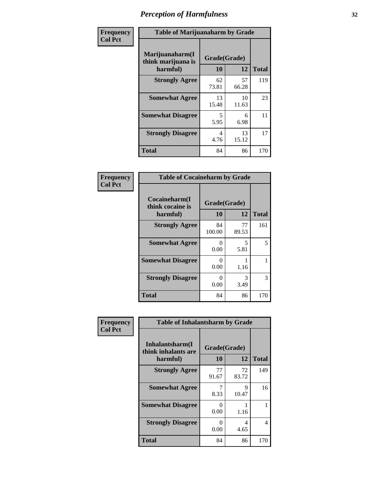| Frequency      |                                                   | <b>Table of Marijuanaharm by Grade</b> |             |              |  |  |
|----------------|---------------------------------------------------|----------------------------------------|-------------|--------------|--|--|
| <b>Col Pct</b> | Marijuanaharm(I<br>think marijuana is<br>harmful) | Grade(Grade)<br>10                     | 12          | <b>Total</b> |  |  |
|                | <b>Strongly Agree</b>                             | 62<br>73.81                            | 57<br>66.28 | 119          |  |  |
|                | <b>Somewhat Agree</b>                             | 13<br>15.48                            | 10<br>11.63 | 23           |  |  |
|                | <b>Somewhat Disagree</b>                          | 5<br>5.95                              | 6<br>6.98   | 11           |  |  |
|                | <b>Strongly Disagree</b>                          | 4<br>4.76                              | 13<br>15.12 | 17           |  |  |
|                | <b>Total</b>                                      | 84                                     | 86          | 170          |  |  |

| <b>Table of Cocaineharm by Grade</b>          |                    |             |              |  |  |  |
|-----------------------------------------------|--------------------|-------------|--------------|--|--|--|
| Cocaineharm(I<br>think cocaine is<br>harmful) | Grade(Grade)<br>10 | 12          | <b>Total</b> |  |  |  |
| <b>Strongly Agree</b>                         | 84<br>100.00       | 77<br>89.53 | 161          |  |  |  |
| <b>Somewhat Agree</b>                         | 0<br>0.00          | 5<br>5.81   | 5            |  |  |  |
| <b>Somewhat Disagree</b>                      | 0<br>0.00          | 1.16        | 1            |  |  |  |
| <b>Strongly Disagree</b>                      | 0<br>0.00          | 3<br>3.49   | 3            |  |  |  |
| <b>Total</b>                                  | 84                 | 86          | 170          |  |  |  |

| Frequency      | <b>Table of Inhalantsharm by Grade</b>             |                    |             |              |  |
|----------------|----------------------------------------------------|--------------------|-------------|--------------|--|
| <b>Col Pct</b> | Inhalantsharm(I<br>think inhalants are<br>harmful) | Grade(Grade)<br>10 | 12          | <b>Total</b> |  |
|                | <b>Strongly Agree</b>                              | 77<br>91.67        | 72<br>83.72 | 149          |  |
|                | <b>Somewhat Agree</b>                              | 8.33               | 9<br>10.47  | 16           |  |
|                | <b>Somewhat Disagree</b>                           | 0<br>0.00          | 1.16        |              |  |
|                | <b>Strongly Disagree</b>                           | 0<br>0.00          | 4<br>4.65   | 4            |  |
|                | <b>Total</b>                                       | 84                 | 86          | 170          |  |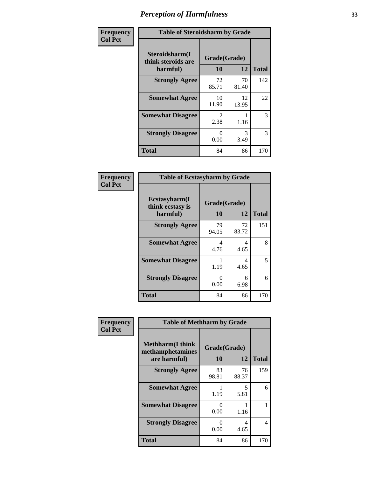| Frequency      | <b>Table of Steroidsharm by Grade</b>            |                           |             |              |
|----------------|--------------------------------------------------|---------------------------|-------------|--------------|
| <b>Col Pct</b> | Steroidsharm(I<br>think steroids are<br>harmful) | Grade(Grade)<br>10        | 12          | <b>Total</b> |
|                | <b>Strongly Agree</b>                            | 72<br>85.71               | 70<br>81.40 | 142          |
|                | <b>Somewhat Agree</b>                            | 10<br>11.90               | 12<br>13.95 | 22           |
|                | <b>Somewhat Disagree</b>                         | $\mathfrak{D}$<br>2.38    | 1.16        | 3            |
|                | <b>Strongly Disagree</b>                         | $\mathbf{\Omega}$<br>0.00 | 3<br>3.49   | 3            |
|                | <b>Total</b>                                     | 84                        | 86          | 170          |

| <b>Table of Ecstasyharm by Grade</b>          |                    |              |     |  |  |
|-----------------------------------------------|--------------------|--------------|-----|--|--|
| Ecstasyharm(I<br>think ecstasy is<br>harmful) | Grade(Grade)<br>10 | <b>Total</b> |     |  |  |
| <b>Strongly Agree</b>                         | 79<br>94.05        | 72<br>83.72  | 151 |  |  |
| <b>Somewhat Agree</b>                         | 4<br>4.76          | 4<br>4.65    | 8   |  |  |
| <b>Somewhat Disagree</b>                      | 1<br>1.19          | 4<br>4.65    | 5   |  |  |
| <b>Strongly Disagree</b>                      | 0<br>0.00          | 6<br>6.98    | 6   |  |  |
| Total                                         | 84                 | 86           | 170 |  |  |

| Frequency      | <b>Table of Methharm by Grade</b>                            |                    |             |              |
|----------------|--------------------------------------------------------------|--------------------|-------------|--------------|
| <b>Col Pct</b> | <b>Methharm</b> (I think<br>methamphetamines<br>are harmful) | Grade(Grade)<br>10 | 12          | <b>Total</b> |
|                | <b>Strongly Agree</b>                                        | 83<br>98.81        | 76<br>88.37 | 159          |
|                | <b>Somewhat Agree</b>                                        | 1.19               | 5<br>5.81   | 6            |
|                | <b>Somewhat Disagree</b>                                     | 0<br>0.00          | 1.16        |              |
|                | <b>Strongly Disagree</b>                                     | 0<br>0.00          | 4<br>4.65   | 4            |
|                | <b>Total</b>                                                 | 84                 | 86          | 170          |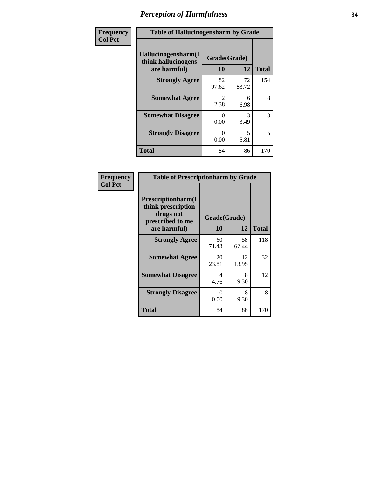| Frequency      | <b>Table of Hallucinogensharm by Grade</b>                 |                    |                                  |              |
|----------------|------------------------------------------------------------|--------------------|----------------------------------|--------------|
| <b>Col Pct</b> | Hallucinogensharm(I<br>think hallucinogens<br>are harmful) | Grade(Grade)<br>10 | 12                               | <b>Total</b> |
|                | <b>Strongly Agree</b>                                      | 82<br>97.62        | 72<br>83.72                      | 154          |
|                | <b>Somewhat Agree</b>                                      | 2<br>2.38          | 6<br>6.98                        | 8            |
|                | <b>Somewhat Disagree</b>                                   | 0<br>0.00          | 3<br>3.49                        | 3            |
|                | <b>Strongly Disagree</b>                                   | 0<br>0.00          | $\overline{\mathcal{L}}$<br>5.81 | 5            |
|                | <b>Total</b>                                               | 84                 | 86                               | 170          |

| <b>Table of Prescriptionharm by Grade</b>                                                 |                    |             |              |  |
|-------------------------------------------------------------------------------------------|--------------------|-------------|--------------|--|
| Prescriptionharm(I<br>think prescription<br>drugs not<br>prescribed to me<br>are harmful) | Grade(Grade)<br>10 | 12          | <b>Total</b> |  |
| <b>Strongly Agree</b>                                                                     | 60<br>71.43        | 58<br>67.44 | 118          |  |
| <b>Somewhat Agree</b>                                                                     | 20<br>23.81        | 12<br>13.95 | 32           |  |
| <b>Somewhat Disagree</b>                                                                  | 4<br>4.76          | 8<br>9.30   | 12           |  |
| <b>Strongly Disagree</b>                                                                  | 0<br>0.00          | 8<br>9.30   | 8            |  |
| <b>Total</b>                                                                              | 84                 | 86          | 170          |  |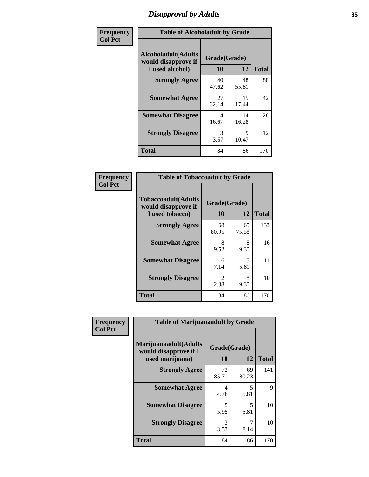# *Disapproval by Adults* **35**

| Frequency      | <b>Table of Alcoholadult by Grade</b>                                 |                    |             |              |
|----------------|-----------------------------------------------------------------------|--------------------|-------------|--------------|
| <b>Col Pct</b> | <b>Alcoholadult</b> (Adults<br>would disapprove if<br>I used alcohol) | Grade(Grade)<br>10 | 12          | <b>Total</b> |
|                | <b>Strongly Agree</b>                                                 | 40<br>47.62        | 48<br>55.81 | 88           |
|                | <b>Somewhat Agree</b>                                                 | 27<br>32.14        | 15<br>17.44 | 42           |
|                | <b>Somewhat Disagree</b>                                              | 14<br>16.67        | 14<br>16.28 | 28           |
|                | <b>Strongly Disagree</b>                                              | 3<br>3.57          | 9<br>10.47  | 12           |
|                | <b>Total</b>                                                          | 84                 | 86          | 170          |

| <b>Table of Tobaccoadult by Grade</b>                                 |                    |             |              |  |
|-----------------------------------------------------------------------|--------------------|-------------|--------------|--|
| <b>Tobaccoadult</b> (Adults<br>would disapprove if<br>I used tobacco) | Grade(Grade)<br>10 | 12          | <b>Total</b> |  |
| <b>Strongly Agree</b>                                                 | 68<br>80.95        | 65<br>75.58 | 133          |  |
| <b>Somewhat Agree</b>                                                 | 8<br>9.52          | 8<br>9.30   | 16           |  |
| <b>Somewhat Disagree</b>                                              | 6<br>7.14          | 5<br>5.81   | 11           |  |
| <b>Strongly Disagree</b>                                              | 2<br>2.38          | 8<br>9.30   | 10           |  |
| <b>Total</b>                                                          | 84                 | 86          | 170          |  |

| Frequency      | <b>Table of Marijuanaadult by Grade</b>                           |                    |             |              |
|----------------|-------------------------------------------------------------------|--------------------|-------------|--------------|
| <b>Col Pct</b> | Marijuanaadult(Adults<br>would disapprove if I<br>used marijuana) | Grade(Grade)<br>10 | 12          | <b>Total</b> |
|                | <b>Strongly Agree</b>                                             | 72<br>85.71        | 69<br>80.23 | 141          |
|                | <b>Somewhat Agree</b>                                             | 4<br>4.76          | 5<br>5.81   | $\mathbf Q$  |
|                | <b>Somewhat Disagree</b>                                          | 5<br>5.95          | 5<br>5.81   | 10           |
|                | <b>Strongly Disagree</b>                                          | 3<br>3.57          | 7<br>8.14   | 10           |
|                | <b>Total</b>                                                      | 84                 | 86          | 170          |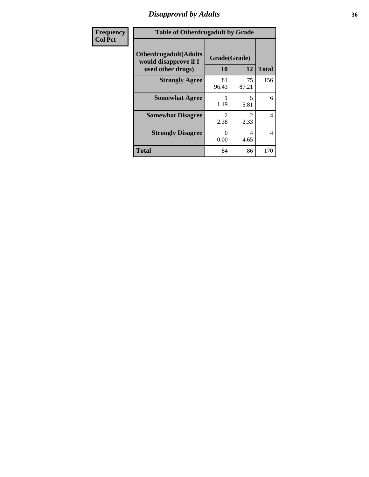### *Disapproval by Adults* **36**

| <b>Frequency</b> | <b>Table of Otherdrugadult by Grade</b>                                     |                           |                               |              |
|------------------|-----------------------------------------------------------------------------|---------------------------|-------------------------------|--------------|
| <b>Col Pct</b>   | <b>Otherdrugadult</b> (Adults<br>would disapprove if I<br>used other drugs) | Grade(Grade)<br>10        | 12                            | <b>Total</b> |
|                  | <b>Strongly Agree</b>                                                       | 81<br>96.43               | 75<br>87.21                   | 156          |
|                  | <b>Somewhat Agree</b>                                                       | 1.19                      | 5<br>5.81                     | 6            |
|                  | <b>Somewhat Disagree</b>                                                    | っ<br>2.38                 | $\mathcal{D}_{\cdot}$<br>2.33 | 4            |
|                  | <b>Strongly Disagree</b>                                                    | $\mathbf{\Omega}$<br>0.00 | 4<br>4.65                     | 4            |
|                  | <b>Total</b>                                                                | 84                        | 86                            | 170          |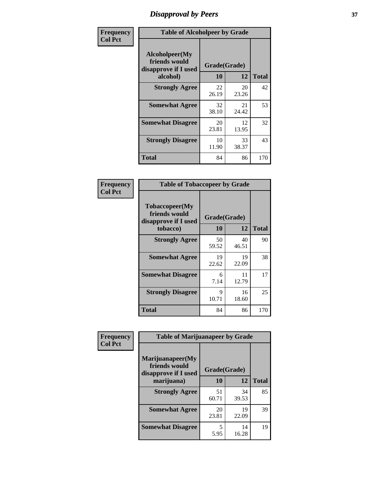# *Disapproval by Peers* **37**

| Frequency      | <b>Table of Alcoholpeer by Grade</b>                    |              |             |              |  |
|----------------|---------------------------------------------------------|--------------|-------------|--------------|--|
| <b>Col Pct</b> | Alcoholpeer(My<br>friends would<br>disapprove if I used | Grade(Grade) |             |              |  |
|                | alcohol)                                                | 10           | 12          | <b>Total</b> |  |
|                | <b>Strongly Agree</b>                                   | 22<br>26.19  | 20<br>23.26 | 42           |  |
|                | <b>Somewhat Agree</b>                                   | 32<br>38.10  | 21<br>24.42 | 53           |  |
|                | <b>Somewhat Disagree</b>                                | 20<br>23.81  | 12<br>13.95 | 32           |  |
|                | <b>Strongly Disagree</b>                                | 10<br>11.90  | 33<br>38.37 | 43           |  |
|                | Total                                                   | 84           | 86          | 170          |  |

| Frequency      | <b>Table of Tobaccopeer by Grade</b>                    |              |             |              |  |
|----------------|---------------------------------------------------------|--------------|-------------|--------------|--|
| <b>Col Pct</b> | Tobaccopeer(My<br>friends would<br>disapprove if I used | Grade(Grade) |             |              |  |
|                | tobacco)                                                | 10           | 12          | <b>Total</b> |  |
|                | <b>Strongly Agree</b>                                   | 50<br>59.52  | 40<br>46.51 | 90           |  |
|                | <b>Somewhat Agree</b>                                   | 19<br>22.62  | 19<br>22.09 | 38           |  |
|                | <b>Somewhat Disagree</b>                                | 6<br>7.14    | 11<br>12.79 | 17           |  |
|                | <b>Strongly Disagree</b>                                | 9<br>10.71   | 16<br>18.60 | 25           |  |
|                | Total                                                   | 84           | 86          | 170          |  |

| Frequency      | <b>Table of Marijuanapeer by Grade</b>                    |              |             |              |
|----------------|-----------------------------------------------------------|--------------|-------------|--------------|
| <b>Col Pct</b> | Marijuanapeer(My<br>friends would<br>disapprove if I used | Grade(Grade) |             |              |
|                | marijuana)                                                | 10           | 12          | <b>Total</b> |
|                | <b>Strongly Agree</b>                                     | 51<br>60.71  | 34<br>39.53 | 85           |
|                | <b>Somewhat Agree</b>                                     | 20<br>23.81  | 19<br>22.09 | 39           |
|                | <b>Somewhat Disagree</b>                                  | 5<br>5.95    | 14<br>16.28 | 19           |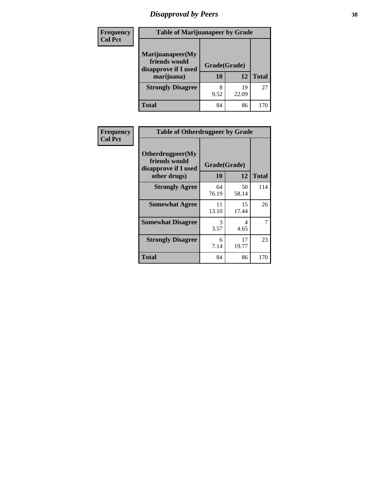# *Disapproval by Peers* **38**

| <b>Frequency</b> | <b>Table of Marijuanapeer by Grade</b>                                  |                    |             |              |  |
|------------------|-------------------------------------------------------------------------|--------------------|-------------|--------------|--|
| <b>Col Pct</b>   | Marijuanapeer(My<br>friends would<br>disapprove if I used<br>marijuana) | Grade(Grade)<br>10 | 12          | <b>Total</b> |  |
|                  | <b>Strongly Disagree</b>                                                | 9.52               | 19<br>22.09 | 27           |  |
|                  | <b>Total</b>                                                            | 84                 | 86          | 170          |  |

| <b>Frequency</b> | <b>Table of Otherdrugpeer by Grade</b>                                    |                           |             |              |
|------------------|---------------------------------------------------------------------------|---------------------------|-------------|--------------|
| <b>Col Pct</b>   | Otherdrugpeer(My<br>friends would<br>disapprove if I used<br>other drugs) | Grade(Grade)<br><b>10</b> | 12          | <b>Total</b> |
|                  | <b>Strongly Agree</b>                                                     | 64<br>76.19               | 50<br>58.14 | 114          |
|                  | <b>Somewhat Agree</b>                                                     | 11<br>13.10               | 15<br>17.44 | 26           |
|                  | <b>Somewhat Disagree</b>                                                  | 3<br>3.57                 | 4<br>4.65   |              |
|                  | <b>Strongly Disagree</b>                                                  | 6<br>7.14                 | 17<br>19.77 | 23           |
|                  | <b>Total</b>                                                              | 84                        | 86          | 170          |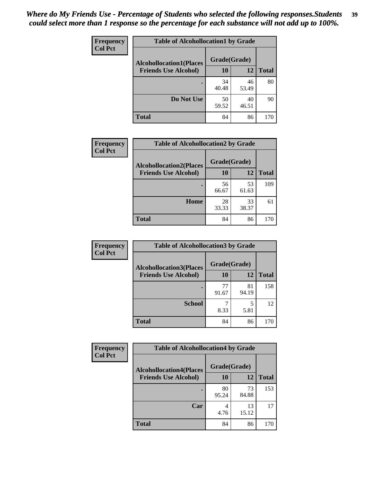| <b>Frequency</b> | <b>Table of Alcohollocation1 by Grade</b> |              |             |              |
|------------------|-------------------------------------------|--------------|-------------|--------------|
| <b>Col Pct</b>   | <b>Alcohollocation1(Places</b>            | Grade(Grade) |             |              |
|                  | <b>Friends Use Alcohol)</b>               | 10           | 12          | <b>Total</b> |
|                  |                                           | 34<br>40.48  | 46<br>53.49 | 80           |
|                  | Do Not Use                                | 50<br>59.52  | 40<br>46.51 | 90           |
|                  | <b>Total</b>                              | 84           | 86          | 170          |

| <b>Frequency</b> | <b>Table of Alcohollocation2 by Grade</b>                     |                    |             |              |
|------------------|---------------------------------------------------------------|--------------------|-------------|--------------|
| <b>Col Pct</b>   | <b>Alcohollocation2(Places</b><br><b>Friends Use Alcohol)</b> | Grade(Grade)<br>10 | 12          | <b>Total</b> |
|                  |                                                               |                    |             |              |
|                  |                                                               | 56<br>66.67        | 53<br>61.63 | 109          |
|                  | Home                                                          | 28<br>33.33        | 33<br>38.37 | 61           |
|                  | <b>Total</b>                                                  | 84                 | 86          | 170          |

| <b>Frequency</b><br><b>Col Pct</b> | <b>Table of Alcohollocation 3 by Grade</b>                    |                    |             |              |
|------------------------------------|---------------------------------------------------------------|--------------------|-------------|--------------|
|                                    | <b>Alcohollocation3(Places</b><br><b>Friends Use Alcohol)</b> | Grade(Grade)<br>10 | 12          | <b>Total</b> |
|                                    |                                                               | 77<br>91.67        | 81<br>94.19 | 158          |
|                                    | <b>School</b>                                                 | 8.33               | 5<br>5.81   | 12           |
|                                    | <b>Total</b>                                                  | 84                 | 86          | 170          |

| <b>Frequency</b> | <b>Table of Alcohollocation4 by Grade</b> |              |             |              |
|------------------|-------------------------------------------|--------------|-------------|--------------|
| <b>Col Pct</b>   | <b>Alcohollocation4(Places</b>            | Grade(Grade) |             |              |
|                  | <b>Friends Use Alcohol)</b>               | <b>10</b>    | 12          | <b>Total</b> |
|                  |                                           | 80<br>95.24  | 73<br>84.88 | 153          |
|                  | Car                                       | 4<br>4.76    | 13<br>15.12 | 17           |
|                  | <b>Total</b>                              | 84           | 86          | 170          |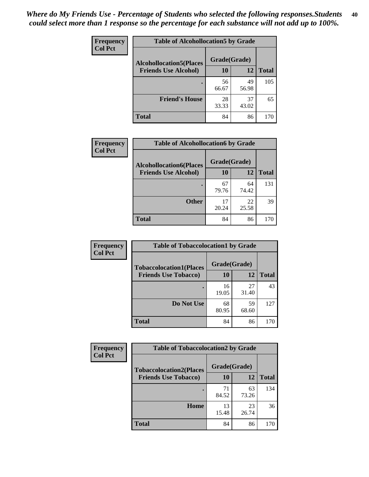| Frequency<br><b>Col Pct</b> | <b>Table of Alcohollocation5 by Grade</b><br>Grade(Grade)<br><b>Alcohollocation5(Places</b> |             |             |              |
|-----------------------------|---------------------------------------------------------------------------------------------|-------------|-------------|--------------|
|                             |                                                                                             |             |             |              |
|                             | <b>Friends Use Alcohol)</b>                                                                 | 10          | 12          | <b>Total</b> |
|                             |                                                                                             | 56<br>66.67 | 49<br>56.98 | 105          |
|                             | <b>Friend's House</b>                                                                       | 28<br>33.33 | 37<br>43.02 | 65           |
|                             | <b>Total</b>                                                                                | 84          | 86          | 170          |

| <b>Frequency</b> | <b>Table of Alcohollocation6 by Grade</b> |              |             |              |
|------------------|-------------------------------------------|--------------|-------------|--------------|
| <b>Col Pct</b>   | <b>Alcohollocation6(Places</b>            | Grade(Grade) |             |              |
|                  | <b>Friends Use Alcohol)</b>               | 10           | 12          | <b>Total</b> |
|                  |                                           | 67<br>79.76  | 64<br>74.42 | 131          |
|                  | <b>Other</b>                              | 17<br>20.24  | 22<br>25.58 | 39           |
|                  | <b>Total</b>                              | 84           | 86          | 170          |

| Frequency      | <b>Table of Tobaccolocation1 by Grade</b> |              |             |              |
|----------------|-------------------------------------------|--------------|-------------|--------------|
| <b>Col Pct</b> | <b>Tobaccolocation1(Places</b>            | Grade(Grade) |             |              |
|                | <b>Friends Use Tobacco)</b>               | 10           | 12          | <b>Total</b> |
|                |                                           | 16<br>19.05  | 27<br>31.40 | 43           |
|                | Do Not Use                                | 68<br>80.95  | 59<br>68.60 | 127          |
|                | <b>Total</b>                              | 84           | 86          | 170          |

| Frequency      | <b>Table of Tobaccolocation2 by Grade</b> |              |             |              |  |
|----------------|-------------------------------------------|--------------|-------------|--------------|--|
| <b>Col Pct</b> | <b>Tobaccolocation2(Places</b>            | Grade(Grade) |             |              |  |
|                | <b>Friends Use Tobacco)</b>               | 10           | 12          | <b>Total</b> |  |
|                |                                           | 71<br>84.52  | 63<br>73.26 | 134          |  |
|                | Home                                      | 13<br>15.48  | 23<br>26.74 | 36           |  |
|                | <b>Total</b>                              | 84           | 86          | 170          |  |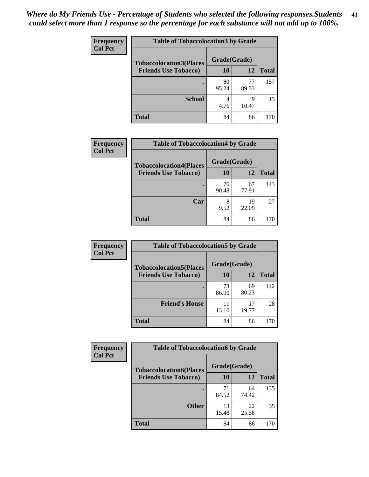| Frequency      | <b>Table of Tobaccolocation 3 by Grade</b> |              |             |              |
|----------------|--------------------------------------------|--------------|-------------|--------------|
| <b>Col Pct</b> | <b>Tobaccolocation3(Places</b>             | Grade(Grade) |             |              |
|                | <b>Friends Use Tobacco)</b>                | 10           | <b>12</b>   | <b>Total</b> |
|                | ٠                                          | 80<br>95.24  | 77<br>89.53 | 157          |
|                | <b>School</b>                              | 4.76         | 9<br>10.47  | 13           |
|                | <b>Total</b>                               | 84           | 86          | 170          |

| <b>Frequency</b> | <b>Table of Tobaccolocation4 by Grade</b> |              |             |              |
|------------------|-------------------------------------------|--------------|-------------|--------------|
| <b>Col Pct</b>   | <b>Tobaccolocation4(Places</b>            | Grade(Grade) |             |              |
|                  | <b>Friends Use Tobacco)</b>               | 10           | 12          | <b>Total</b> |
|                  |                                           | 76<br>90.48  | 67<br>77.91 | 143          |
|                  | Car                                       | 8<br>9.52    | 19<br>22.09 | 27           |
|                  | <b>Total</b>                              | 84           | 86          | 170          |

| Frequency      | <b>Table of Tobaccolocation5 by Grade</b> |              |             |              |
|----------------|-------------------------------------------|--------------|-------------|--------------|
| <b>Col Pct</b> | <b>Tobaccolocation5(Places</b>            | Grade(Grade) |             |              |
|                | <b>Friends Use Tobacco)</b>               | 10           | 12          | <b>Total</b> |
|                |                                           | 73<br>86.90  | 69<br>80.23 | 142          |
|                | <b>Friend's House</b>                     | 13.10        | 17<br>19.77 | 28           |
|                | <b>Total</b>                              | 84           | 86          | 170          |

| <b>Frequency</b> | <b>Table of Tobaccolocation6 by Grade</b> |              |             |              |  |
|------------------|-------------------------------------------|--------------|-------------|--------------|--|
| <b>Col Pct</b>   | <b>Tobaccolocation6(Places</b>            | Grade(Grade) |             |              |  |
|                  | <b>Friends Use Tobacco)</b>               | 10           | 12          | <b>Total</b> |  |
|                  |                                           | 71<br>84.52  | 64<br>74.42 | 135          |  |
|                  | <b>Other</b>                              | 13<br>15.48  | 22<br>25.58 | 35           |  |
|                  | <b>Total</b>                              | 84           | 86          | 170          |  |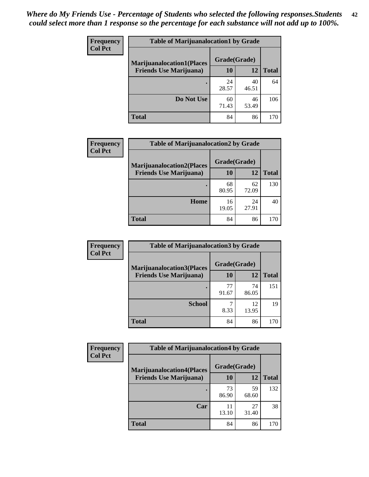| <b>Frequency</b> | <b>Table of Marijuanalocation1 by Grade</b> |              |             |              |
|------------------|---------------------------------------------|--------------|-------------|--------------|
| <b>Col Pct</b>   | <b>Marijuanalocation1(Places</b>            | Grade(Grade) |             |              |
|                  | <b>Friends Use Marijuana</b> )              | 10           | 12          | <b>Total</b> |
|                  |                                             | 24<br>28.57  | 40<br>46.51 | 64           |
|                  | Do Not Use                                  | 60<br>71.43  | 46<br>53.49 | 106          |
|                  | <b>Total</b>                                | 84           | 86          | 170          |

| <b>Frequency</b> | <b>Table of Marijuanalocation2 by Grade</b>                        |                    |             |              |
|------------------|--------------------------------------------------------------------|--------------------|-------------|--------------|
| <b>Col Pct</b>   | <b>Marijuanalocation2(Places</b><br><b>Friends Use Marijuana</b> ) | Grade(Grade)<br>10 | 12          | <b>Total</b> |
|                  |                                                                    | 68<br>80.95        | 62<br>72.09 | 130          |
|                  | <b>Home</b>                                                        | 16<br>19.05        | 24<br>27.91 | 40           |
|                  | <b>Total</b>                                                       | 84                 | 86          | 170          |

| Frequency      | <b>Table of Marijuanalocation3 by Grade</b> |              |             |              |
|----------------|---------------------------------------------|--------------|-------------|--------------|
| <b>Col Pct</b> | <b>Marijuanalocation3</b> (Places           | Grade(Grade) |             |              |
|                | <b>Friends Use Marijuana</b> )              | 10           | 12          | <b>Total</b> |
|                |                                             | 77<br>91.67  | 74<br>86.05 | 151          |
|                | <b>School</b>                               | 8.33         | 12<br>13.95 | 19           |
|                | <b>Total</b>                                | 84           | 86          | 170          |

| <b>Frequency</b> | <b>Table of Marijuanalocation4 by Grade</b> |              |             |              |  |
|------------------|---------------------------------------------|--------------|-------------|--------------|--|
| <b>Col Pct</b>   | <b>Marijuanalocation4(Places</b>            | Grade(Grade) |             |              |  |
|                  | <b>Friends Use Marijuana</b> )              | <b>10</b>    | 12          | <b>Total</b> |  |
|                  |                                             | 73<br>86.90  | 59<br>68.60 | 132          |  |
|                  | Car                                         | 11<br>13.10  | 27<br>31.40 | 38           |  |
|                  | <b>Total</b>                                | 84           | 86          | 170          |  |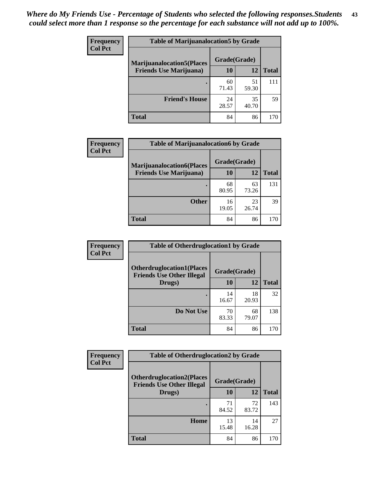| <b>Frequency</b> | <b>Table of Marijuanalocation5 by Grade</b> |              |             |              |
|------------------|---------------------------------------------|--------------|-------------|--------------|
| <b>Col Pct</b>   | <b>Marijuanalocation5</b> (Places           | Grade(Grade) |             |              |
|                  | <b>Friends Use Marijuana</b> )              | 10           | 12          | <b>Total</b> |
|                  |                                             | 60<br>71.43  | 51<br>59.30 | 111          |
|                  | <b>Friend's House</b>                       | 24<br>28.57  | 35<br>40.70 | 59           |
|                  | <b>Total</b>                                | 84           | 86          | 170          |

| <b>Frequency</b> | <b>Table of Marijuanalocation6 by Grade</b>                        |                           |             |       |
|------------------|--------------------------------------------------------------------|---------------------------|-------------|-------|
| <b>Col Pct</b>   | <b>Marijuanalocation6(Places</b><br><b>Friends Use Marijuana</b> ) | Grade(Grade)<br><b>10</b> | 12          | Total |
|                  |                                                                    | 68<br>80.95               | 63<br>73.26 | 131   |
|                  | <b>Other</b>                                                       | 16<br>19.05               | 23<br>26.74 | 39    |
|                  | <b>Total</b>                                                       | 84                        | 86          | 170   |

| <b>Frequency</b> | <b>Table of Otherdruglocation1 by Grade</b>                          |              |             |              |
|------------------|----------------------------------------------------------------------|--------------|-------------|--------------|
| <b>Col Pct</b>   | <b>Otherdruglocation1(Places</b><br><b>Friends Use Other Illegal</b> | Grade(Grade) |             |              |
|                  | Drugs)                                                               | 10           | 12          | <b>Total</b> |
|                  |                                                                      | 14<br>16.67  | 18<br>20.93 | 32           |
|                  | Do Not Use                                                           | 70<br>83.33  | 68<br>79.07 | 138          |
|                  | <b>Total</b>                                                         | 84           | 86          | 170          |

| <b>Frequency</b> | <b>Table of Otherdruglocation2 by Grade</b>                          |              |             |              |
|------------------|----------------------------------------------------------------------|--------------|-------------|--------------|
| <b>Col Pct</b>   | <b>Otherdruglocation2(Places</b><br><b>Friends Use Other Illegal</b> | Grade(Grade) |             |              |
|                  | Drugs)                                                               | 10           | 12          | <b>Total</b> |
|                  |                                                                      | 71<br>84.52  | 72<br>83.72 | 143          |
|                  | Home                                                                 | 13<br>15.48  | 14<br>16.28 | 27           |
|                  | <b>Total</b>                                                         | 84           | 86          | 170          |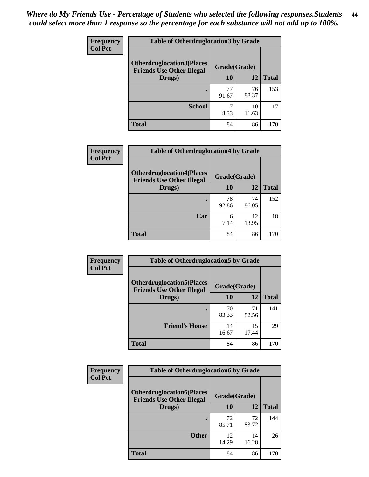| <b>Frequency</b> | <b>Table of Otherdruglocation 3 by Grade</b>                         |              |             |              |
|------------------|----------------------------------------------------------------------|--------------|-------------|--------------|
| <b>Col Pct</b>   | <b>Otherdruglocation3(Places</b><br><b>Friends Use Other Illegal</b> | Grade(Grade) |             |              |
|                  | Drugs)                                                               | 10           | 12          | <b>Total</b> |
|                  | ٠                                                                    | 77<br>91.67  | 76<br>88.37 | 153          |
|                  | <b>School</b>                                                        | 8.33         | 10<br>11.63 |              |
|                  | <b>Total</b>                                                         | 84           | 86          | 170          |

| Frequency      | <b>Table of Otherdruglocation4 by Grade</b>                          |              |             |              |
|----------------|----------------------------------------------------------------------|--------------|-------------|--------------|
| <b>Col Pct</b> | <b>Otherdruglocation4(Places</b><br><b>Friends Use Other Illegal</b> | Grade(Grade) |             |              |
|                | Drugs)                                                               | 10           | 12          | <b>Total</b> |
|                |                                                                      | 78<br>92.86  | 74<br>86.05 | 152          |
|                | Car                                                                  | 6<br>7.14    | 12<br>13.95 | 18           |
|                | <b>Total</b>                                                         | 84           | 86          | 170          |

| <b>Frequency</b> | <b>Table of Otherdruglocation5 by Grade</b>                          |              |             |              |
|------------------|----------------------------------------------------------------------|--------------|-------------|--------------|
| <b>Col Pct</b>   | <b>Otherdruglocation5(Places</b><br><b>Friends Use Other Illegal</b> | Grade(Grade) |             |              |
|                  | Drugs)                                                               | <b>10</b>    | 12          | <b>Total</b> |
|                  |                                                                      | 70<br>83.33  | 71<br>82.56 | 141          |
|                  | <b>Friend's House</b>                                                | 14<br>16.67  | 15<br>17.44 | 29           |
|                  | <b>Total</b>                                                         | 84           | 86          | 170          |

| <b>Frequency</b> | <b>Table of Otherdruglocation6 by Grade</b>                          |              |             |              |
|------------------|----------------------------------------------------------------------|--------------|-------------|--------------|
| <b>Col Pct</b>   | <b>Otherdruglocation6(Places</b><br><b>Friends Use Other Illegal</b> | Grade(Grade) |             |              |
|                  | Drugs)                                                               | <b>10</b>    | 12          | <b>Total</b> |
|                  |                                                                      | 72<br>85.71  | 72<br>83.72 | 144          |
|                  | <b>Other</b>                                                         | 12<br>14.29  | 14<br>16.28 | 26           |
|                  | <b>Total</b>                                                         | 84           | 86          | 170          |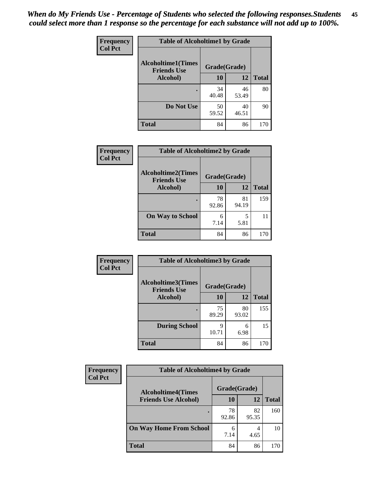| Frequency      | <b>Table of Alcoholtime1 by Grade</b>           |              |             |              |
|----------------|-------------------------------------------------|--------------|-------------|--------------|
| <b>Col Pct</b> | <b>Alcoholtime1(Times</b><br><b>Friends Use</b> | Grade(Grade) |             |              |
|                | Alcohol)                                        | <b>10</b>    | 12          | <b>Total</b> |
|                |                                                 | 34<br>40.48  | 46<br>53.49 | 80           |
|                | Do Not Use                                      | 50<br>59.52  | 40<br>46.51 | 90           |
|                | <b>Total</b>                                    | 84           | 86          | 170          |

| Frequency      | <b>Table of Alcoholtime2 by Grade</b>           |              |             |              |
|----------------|-------------------------------------------------|--------------|-------------|--------------|
| <b>Col Pct</b> | <b>Alcoholtime2(Times</b><br><b>Friends Use</b> | Grade(Grade) |             |              |
|                | Alcohol)                                        | 10           | 12          | <b>Total</b> |
|                |                                                 | 78<br>92.86  | 81<br>94.19 | 159          |
|                | <b>On Way to School</b>                         | 6<br>7.14    | 5<br>5.81   | 11           |
|                | <b>Total</b>                                    | 84           | 86          | 170          |

| Frequency      | <b>Table of Alcoholtime3 by Grade</b>           |              |             |              |
|----------------|-------------------------------------------------|--------------|-------------|--------------|
| <b>Col Pct</b> | <b>Alcoholtime3(Times</b><br><b>Friends Use</b> | Grade(Grade) |             |              |
|                | Alcohol)                                        | 10           | 12          | <b>Total</b> |
|                |                                                 | 75<br>89.29  | 80<br>93.02 | 155          |
|                | <b>During School</b>                            | 9<br>10.71   | 6<br>6.98   | 15           |
|                | <b>Total</b>                                    | 84           | 86          | 170          |

| <b>Frequency</b> | <b>Table of Alcoholtime4 by Grade</b> |              |             |              |
|------------------|---------------------------------------|--------------|-------------|--------------|
| <b>Col Pct</b>   | <b>Alcoholtime4(Times</b>             | Grade(Grade) |             |              |
|                  | <b>Friends Use Alcohol)</b>           | 10           | 12          | <b>Total</b> |
|                  | ٠                                     | 78<br>92.86  | 82<br>95.35 | 160          |
|                  | <b>On Way Home From School</b>        | 6<br>7.14    | 4.65        | 10           |
|                  | <b>Total</b>                          | 84           | 86          | 170          |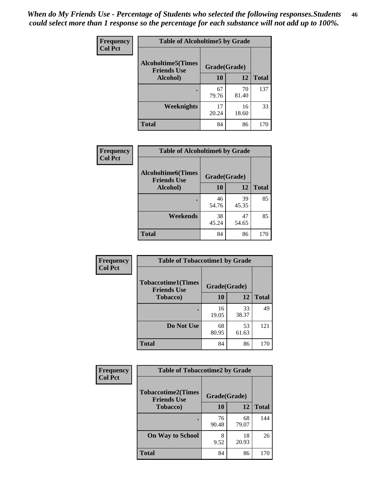*When do My Friends Use - Percentage of Students who selected the following responses.Students could select more than 1 response so the percentage for each substance will not add up to 100%.* **46**

| Frequency      | <b>Table of Alcoholtime5 by Grade</b>           |              |             |              |
|----------------|-------------------------------------------------|--------------|-------------|--------------|
| <b>Col Pct</b> | <b>Alcoholtime5(Times</b><br><b>Friends Use</b> | Grade(Grade) |             |              |
|                | Alcohol)                                        | 10           | 12          | <b>Total</b> |
|                |                                                 | 67<br>79.76  | 70<br>81.40 | 137          |
|                | Weeknights                                      | 17<br>20.24  | 16<br>18.60 | 33           |
|                | <b>Total</b>                                    | 84           | 86          | 170          |

| <b>Frequency</b> | <b>Table of Alcoholtime6 by Grade</b>           |              |             |              |
|------------------|-------------------------------------------------|--------------|-------------|--------------|
| <b>Col Pct</b>   | <b>Alcoholtime6(Times</b><br><b>Friends Use</b> | Grade(Grade) |             |              |
|                  | Alcohol)                                        | 10           | 12          | <b>Total</b> |
|                  |                                                 | 46<br>54.76  | 39<br>45.35 | 85           |
|                  | Weekends                                        | 38<br>45.24  | 47<br>54.65 | 85           |
|                  | <b>Total</b>                                    | 84           | 86          | 170          |

| Frequency      | <b>Table of Tobaccotime1 by Grade</b>           |              |             |              |
|----------------|-------------------------------------------------|--------------|-------------|--------------|
| <b>Col Pct</b> | <b>Tobaccotime1(Times</b><br><b>Friends Use</b> | Grade(Grade) |             |              |
|                | <b>Tobacco</b> )                                | 10           | 12          | <b>Total</b> |
|                | $\bullet$                                       | 16<br>19.05  | 33<br>38.37 | 49           |
|                | Do Not Use                                      | 68<br>80.95  | 53<br>61.63 | 121          |
|                | <b>Total</b>                                    | 84           | 86          | 170          |

| <b>Frequency</b> | <b>Table of Tobaccotime2 by Grade</b>           |              |             |              |
|------------------|-------------------------------------------------|--------------|-------------|--------------|
| <b>Col Pct</b>   | <b>Tobaccotime2(Times</b><br><b>Friends Use</b> | Grade(Grade) |             |              |
|                  | <b>Tobacco</b> )                                | 10           | 12          | <b>Total</b> |
|                  |                                                 | 76<br>90.48  | 68<br>79.07 | 144          |
|                  | <b>On Way to School</b>                         | 8<br>9.52    | 18<br>20.93 | 26           |
|                  | <b>Total</b>                                    | 84           | 86          | 170          |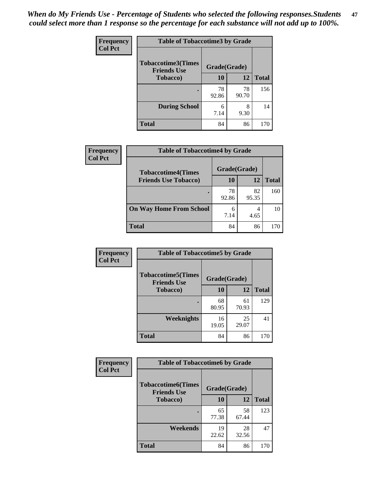*When do My Friends Use - Percentage of Students who selected the following responses.Students could select more than 1 response so the percentage for each substance will not add up to 100%.* **47**

| <b>Frequency</b> | <b>Table of Tobaccotime3 by Grade</b>           |              |             |              |  |
|------------------|-------------------------------------------------|--------------|-------------|--------------|--|
| <b>Col Pct</b>   | <b>Tobaccotime3(Times</b><br><b>Friends Use</b> | Grade(Grade) |             |              |  |
|                  | <b>Tobacco</b> )                                | 10           | 12          | <b>Total</b> |  |
|                  |                                                 | 78<br>92.86  | 78<br>90.70 | 156          |  |
|                  | <b>During School</b>                            | 6<br>7.14    | 8<br>9.30   | 14           |  |
|                  | <b>Total</b>                                    | 84           | 86          | 170          |  |

| <b>Frequency</b><br><b>Col Pct</b> | <b>Table of Tobaccotime4 by Grade</b> |              |             |              |
|------------------------------------|---------------------------------------|--------------|-------------|--------------|
|                                    | <b>Tobaccotime4(Times</b>             | Grade(Grade) |             |              |
|                                    | <b>Friends Use Tobacco)</b>           | 10           | 12          | <b>Total</b> |
|                                    |                                       | 78<br>92.86  | 82<br>95.35 | 160          |
|                                    | <b>On Way Home From School</b>        | 6<br>7.14    | 4.65        | 10           |
|                                    | <b>Total</b>                          | 84           | 86          | 170          |

| Frequency      | <b>Table of Tobaccotime5 by Grade</b>           |              |             |              |
|----------------|-------------------------------------------------|--------------|-------------|--------------|
| <b>Col Pct</b> | <b>Tobaccotime5(Times</b><br><b>Friends Use</b> | Grade(Grade) |             |              |
|                | <b>Tobacco</b> )                                | 10           | 12          | <b>Total</b> |
|                |                                                 | 68<br>80.95  | 61<br>70.93 | 129          |
|                | Weeknights                                      | 16<br>19.05  | 25<br>29.07 | 41           |
|                | <b>Total</b>                                    | 84           | 86          | 170          |

| Frequency      | <b>Table of Tobaccotime6 by Grade</b>           |              |             |              |  |
|----------------|-------------------------------------------------|--------------|-------------|--------------|--|
| <b>Col Pct</b> | <b>Tobaccotime6(Times</b><br><b>Friends Use</b> | Grade(Grade) |             |              |  |
|                | <b>Tobacco</b> )                                | 10           | 12          | <b>Total</b> |  |
|                | ٠                                               | 65<br>77.38  | 58<br>67.44 | 123          |  |
|                | Weekends                                        | 19<br>22.62  | 28<br>32.56 | 47           |  |
|                | <b>Total</b>                                    | 84           | 86          | 170          |  |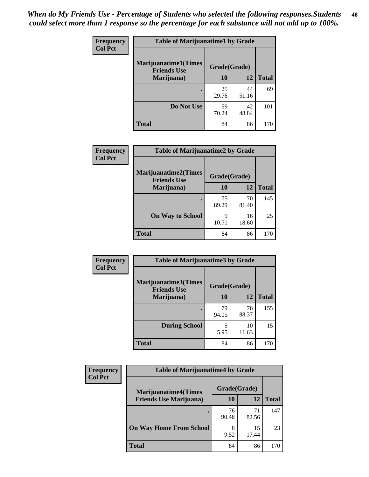| Frequency      | <b>Table of Marijuanatime1 by Grade</b>           |              |             |              |
|----------------|---------------------------------------------------|--------------|-------------|--------------|
| <b>Col Pct</b> | <b>Marijuanatime1(Times</b><br><b>Friends Use</b> | Grade(Grade) |             |              |
|                | Marijuana)                                        | 10           | 12          | <b>Total</b> |
|                |                                                   | 25<br>29.76  | 44<br>51.16 | 69           |
|                | Do Not Use                                        | 59<br>70.24  | 42<br>48.84 | 101          |
|                | <b>Total</b>                                      | 84           | 86          | 170          |

| Frequency      | <b>Table of Marijuanatime2 by Grade</b>           |              |             |              |
|----------------|---------------------------------------------------|--------------|-------------|--------------|
| <b>Col Pct</b> | <b>Marijuanatime2(Times</b><br><b>Friends Use</b> | Grade(Grade) |             |              |
|                | Marijuana)                                        | 10           | 12          | <b>Total</b> |
|                |                                                   | 75<br>89.29  | 70<br>81.40 | 145          |
|                | <b>On Way to School</b>                           | 9<br>10.71   | 16<br>18.60 | 25           |
|                | <b>Total</b>                                      | 84           | 86          | 170          |

| Frequency      | <b>Table of Marijuanatime3 by Grade</b>    |              |             |              |
|----------------|--------------------------------------------|--------------|-------------|--------------|
| <b>Col Pct</b> | Marijuanatime3(Times<br><b>Friends Use</b> | Grade(Grade) |             |              |
|                | Marijuana)                                 | 10           | 12          | <b>Total</b> |
|                |                                            | 79<br>94.05  | 76<br>88.37 | 155          |
|                | <b>During School</b>                       | 5<br>5.95    | 10<br>11.63 | 15           |
|                | <b>Total</b>                               | 84           | 86          | 170          |

| <b>Frequency</b> | <b>Table of Marijuanatime4 by Grade</b> |              |             |              |
|------------------|-----------------------------------------|--------------|-------------|--------------|
| <b>Col Pct</b>   | <b>Marijuanatime4(Times</b>             | Grade(Grade) |             |              |
|                  | <b>Friends Use Marijuana</b> )          | 10           | 12          | <b>Total</b> |
|                  |                                         | 76<br>90.48  | 71<br>82.56 | 147          |
|                  | <b>On Way Home From School</b>          | 8<br>9.52    | 15<br>17.44 | 23           |
|                  | <b>Total</b>                            | 84           | 86          | 170          |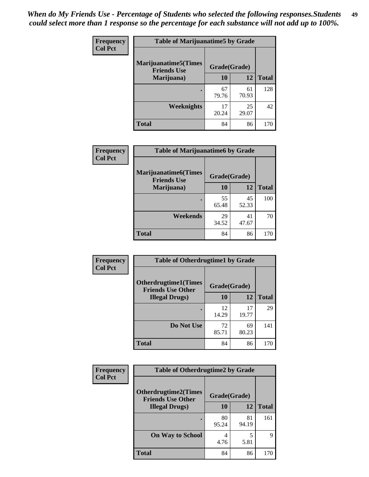| Frequency      | <b>Table of Marijuanatime5 by Grade</b>            |              |             |              |
|----------------|----------------------------------------------------|--------------|-------------|--------------|
| <b>Col Pct</b> | <b>Marijuanatime5</b> (Times<br><b>Friends Use</b> | Grade(Grade) |             |              |
|                | Marijuana)                                         | 10           | 12          | <b>Total</b> |
|                |                                                    | 67<br>79.76  | 61<br>70.93 | 128          |
|                | Weeknights                                         | 17<br>20.24  | 25<br>29.07 | 42           |
|                | <b>Total</b>                                       | 84           | 86          | 170          |

| Frequency      | <b>Table of Marijuanatime6 by Grade</b>    |              |             |              |
|----------------|--------------------------------------------|--------------|-------------|--------------|
| <b>Col Pct</b> | Marijuanatime6(Times<br><b>Friends Use</b> | Grade(Grade) |             |              |
|                | Marijuana)                                 | 10           | 12          | <b>Total</b> |
|                |                                            | 55<br>65.48  | 45<br>52.33 | 100          |
|                | Weekends                                   | 29<br>34.52  | 41<br>47.67 | 70           |
|                | <b>Total</b>                               | 84           | 86          | 170          |

| Frequency      | <b>Table of Otherdrugtime1 by Grade</b>                 |              |             |              |  |
|----------------|---------------------------------------------------------|--------------|-------------|--------------|--|
| <b>Col Pct</b> | <b>Otherdrugtime1(Times</b><br><b>Friends Use Other</b> | Grade(Grade) |             |              |  |
|                | <b>Illegal Drugs</b> )                                  | 10           | 12          | <b>Total</b> |  |
|                |                                                         | 12<br>14.29  | 17<br>19.77 | 29           |  |
|                | Do Not Use                                              | 72<br>85.71  | 69<br>80.23 | 141          |  |
|                | Total                                                   | 84           | 86          | 170          |  |

| <b>Frequency</b> | <b>Table of Otherdrugtime2 by Grade</b>                 |              |             |              |  |  |
|------------------|---------------------------------------------------------|--------------|-------------|--------------|--|--|
| <b>Col Pct</b>   | <b>Otherdrugtime2(Times</b><br><b>Friends Use Other</b> | Grade(Grade) |             |              |  |  |
|                  | <b>Illegal Drugs</b> )                                  | <b>10</b>    | 12          | <b>Total</b> |  |  |
|                  |                                                         | 80<br>95.24  | 81<br>94.19 | 161          |  |  |
|                  | <b>On Way to School</b>                                 | 4<br>4.76    | 5.81        | 9            |  |  |
|                  | <b>Total</b>                                            | 84           | 86          | 170          |  |  |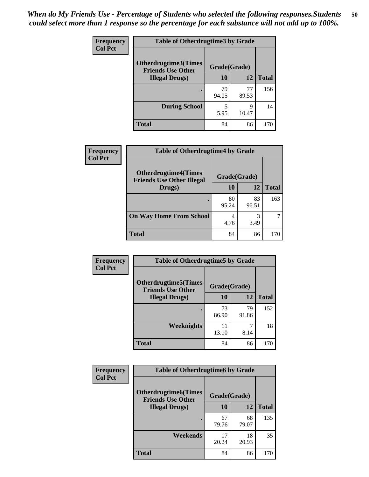| <b>Frequency</b><br><b>Col Pct</b> | <b>Table of Otherdrugtime3 by Grade</b>          |              |             |              |  |  |
|------------------------------------|--------------------------------------------------|--------------|-------------|--------------|--|--|
|                                    | Otherdrugtime3(Times<br><b>Friends Use Other</b> | Grade(Grade) |             |              |  |  |
|                                    | <b>Illegal Drugs</b> )                           | 10           | 12          | <b>Total</b> |  |  |
|                                    |                                                  | 79<br>94.05  | 77<br>89.53 | 156          |  |  |
|                                    | <b>During School</b>                             | 5<br>5.95    | q<br>10.47  | 14           |  |  |
|                                    | Total                                            | 84           | 86          | 170          |  |  |

| Frequency      | <b>Table of Otherdrugtime4 by Grade</b>                         |              |             |              |  |  |
|----------------|-----------------------------------------------------------------|--------------|-------------|--------------|--|--|
| <b>Col Pct</b> | <b>Otherdrugtime4(Times</b><br><b>Friends Use Other Illegal</b> | Grade(Grade) |             |              |  |  |
|                | Drugs)                                                          | 10           | 12          | <b>Total</b> |  |  |
|                | $\bullet$                                                       | 80<br>95.24  | 83<br>96.51 | 163          |  |  |
|                | <b>On Way Home From School</b>                                  | 4<br>4.76    | 3<br>3.49   |              |  |  |
|                | <b>Total</b>                                                    | 84           | 86          | 170          |  |  |

| <b>Frequency</b> | <b>Table of Otherdrugtime5 by Grade</b>                                  |             |             |              |  |  |
|------------------|--------------------------------------------------------------------------|-------------|-------------|--------------|--|--|
| <b>Col Pct</b>   | <b>Otherdrugtime5</b> (Times<br>Grade(Grade)<br><b>Friends Use Other</b> |             |             |              |  |  |
|                  | <b>Illegal Drugs</b> )                                                   | 10          | 12          | <b>Total</b> |  |  |
|                  |                                                                          | 73<br>86.90 | 79<br>91.86 | 152          |  |  |
|                  | Weeknights                                                               | 11<br>13.10 | 7<br>8.14   | 18           |  |  |
|                  | Total                                                                    | 84          | 86          | 170          |  |  |

| <b>Frequency</b> | <b>Table of Otherdrugtime6 by Grade</b>                 |              |             |              |  |
|------------------|---------------------------------------------------------|--------------|-------------|--------------|--|
| <b>Col Pct</b>   | <b>Otherdrugtime6(Times</b><br><b>Friends Use Other</b> | Grade(Grade) |             |              |  |
|                  | <b>Illegal Drugs</b> )                                  | 10           | 12          | <b>Total</b> |  |
|                  |                                                         | 67<br>79.76  | 68<br>79.07 | 135          |  |
|                  | Weekends                                                | 17<br>20.24  | 18<br>20.93 | 35           |  |
|                  | Total                                                   | 84           | 86          | 170          |  |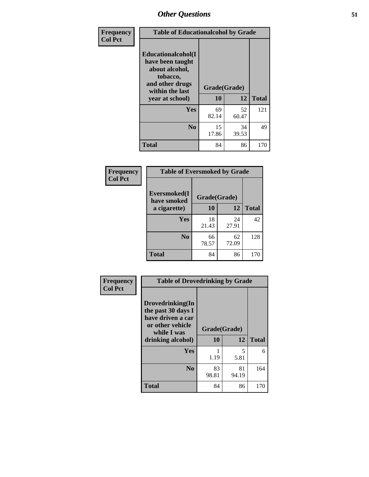| Frequency      | <b>Table of Educationalcohol by Grade</b>                                                                  |              |             |              |  |
|----------------|------------------------------------------------------------------------------------------------------------|--------------|-------------|--------------|--|
| <b>Col Pct</b> | Educationalcohol(I<br>have been taught<br>about alcohol,<br>tobacco,<br>and other drugs<br>within the last | Grade(Grade) |             |              |  |
|                | year at school)                                                                                            | 10           | 12          | <b>Total</b> |  |
|                | Yes                                                                                                        | 69<br>82.14  | 52<br>60.47 | 121          |  |
|                | N <sub>0</sub>                                                                                             | 15<br>17.86  | 34<br>39.53 | 49           |  |
|                | <b>Total</b>                                                                                               | 84           | 86          | 170          |  |

| Frequency      | <b>Table of Eversmoked by Grade</b> |              |             |              |  |  |
|----------------|-------------------------------------|--------------|-------------|--------------|--|--|
| <b>Col Pct</b> | Eversmoked(I<br>have smoked         | Grade(Grade) |             |              |  |  |
|                | a cigarette)                        | 10           | 12          | <b>Total</b> |  |  |
|                | Yes                                 | 18<br>21.43  | 24<br>27.91 | 42           |  |  |
|                | N <sub>0</sub>                      | 66<br>78.57  | 62<br>72.09 | 128          |  |  |
|                | <b>Total</b>                        | 84           | 86          | 170          |  |  |

| Frequency<br><b>Col Pct</b> | <b>Table of Drovedrinking by Grade</b>                                                                              |                    |             |              |  |  |
|-----------------------------|---------------------------------------------------------------------------------------------------------------------|--------------------|-------------|--------------|--|--|
|                             | Drovedrinking(In<br>the past 30 days I<br>have driven a car<br>or other vehicle<br>while I was<br>drinking alcohol) | Grade(Grade)<br>10 | 12          | <b>Total</b> |  |  |
|                             | <b>Yes</b>                                                                                                          | 1.19               | 5<br>5.81   | 6            |  |  |
|                             | N <sub>0</sub>                                                                                                      | 83<br>98.81        | 81<br>94.19 | 164          |  |  |
|                             | <b>Total</b>                                                                                                        | 84                 | 86          | 170          |  |  |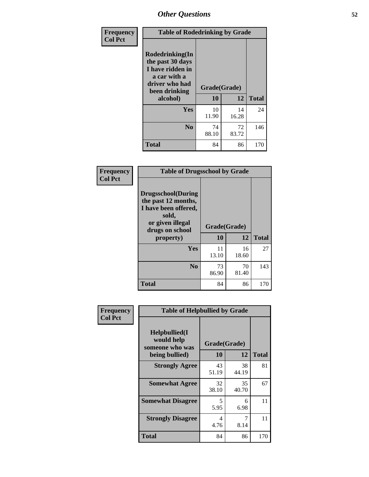| Frequency<br><b>Col Pct</b> | <b>Table of Rodedrinking by Grade</b>                                                                      |              |             |              |  |  |
|-----------------------------|------------------------------------------------------------------------------------------------------------|--------------|-------------|--------------|--|--|
|                             | Rodedrinking(In<br>the past 30 days<br>I have ridden in<br>a car with a<br>driver who had<br>been drinking | Grade(Grade) |             |              |  |  |
|                             | alcohol)                                                                                                   | 10           | 12          | <b>Total</b> |  |  |
|                             | Yes                                                                                                        | 10<br>11.90  | 14<br>16.28 | 24           |  |  |
|                             | N <sub>0</sub>                                                                                             | 74<br>88.10  | 72<br>83.72 | 146          |  |  |
|                             | <b>Total</b>                                                                                               | 84           | 86          | 170          |  |  |

#### **Frequency Col Pct**

| <b>Table of Drugsschool by Grade</b>                                                                                      |              |             |              |  |  |  |
|---------------------------------------------------------------------------------------------------------------------------|--------------|-------------|--------------|--|--|--|
| <b>Drugsschool</b> (During<br>the past 12 months,<br>I have been offered,<br>sold,<br>or given illegal<br>drugs on school | Grade(Grade) |             |              |  |  |  |
| property)                                                                                                                 | 10           | 12          | <b>Total</b> |  |  |  |
| Yes                                                                                                                       | 11<br>13.10  | 16<br>18.60 | 27           |  |  |  |
|                                                                                                                           |              |             |              |  |  |  |
| $\bf No$                                                                                                                  | 73<br>86.90  | 70<br>81.40 | 143          |  |  |  |

| Frequency      | <b>Table of Helpbullied by Grade</b>                           |             |             |              |  |  |  |
|----------------|----------------------------------------------------------------|-------------|-------------|--------------|--|--|--|
| <b>Col Pct</b> | Helpbullied(I<br>would help<br>Grade(Grade)<br>someone who was |             |             |              |  |  |  |
|                | being bullied)                                                 | <b>10</b>   | 12          | <b>Total</b> |  |  |  |
|                | <b>Strongly Agree</b>                                          | 43<br>51.19 | 38<br>44.19 | 81           |  |  |  |
|                | <b>Somewhat Agree</b>                                          | 32<br>38.10 | 35<br>40.70 | 67           |  |  |  |
|                | <b>Somewhat Disagree</b>                                       | 5<br>5.95   | 6<br>6.98   | 11           |  |  |  |
|                | <b>Strongly Disagree</b>                                       | 4<br>4.76   | 7<br>8.14   | 11           |  |  |  |
|                | <b>Total</b>                                                   | 84          | 86          | 170          |  |  |  |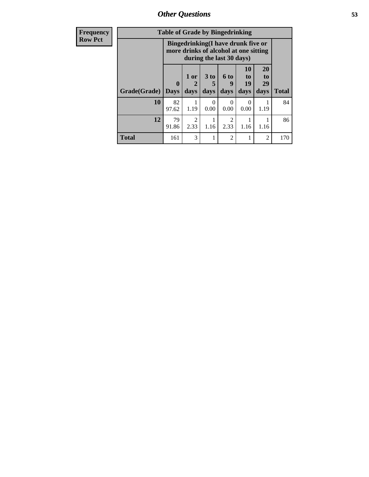*Other Questions* **53**

| <b>Frequency</b> | <b>Table of Grade by Bingedrinking</b> |                             |                        |                                                                                                         |                        |                        |                               |              |
|------------------|----------------------------------------|-----------------------------|------------------------|---------------------------------------------------------------------------------------------------------|------------------------|------------------------|-------------------------------|--------------|
| <b>Row Pct</b>   |                                        |                             |                        | Bingedrinking(I have drunk five or<br>more drinks of alcohol at one sitting<br>during the last 30 days) |                        |                        |                               |              |
|                  | Grade(Grade)                           | $\mathbf{0}$<br><b>Days</b> | $1$ or<br>days         | $3$ to<br>5<br>days                                                                                     | $6$ to<br>9<br>days    | 10<br>to<br>19<br>days | <b>20</b><br>to<br>29<br>days | <b>Total</b> |
|                  | 10                                     | 82<br>97.62                 | 1.19                   | $\Omega$<br>0.00                                                                                        | $\Omega$<br>0.00       | $\Omega$<br>0.00       | 1.19                          | 84           |
|                  | 12                                     | 79<br>91.86                 | $\mathfrak{D}$<br>2.33 | 1.16                                                                                                    | $\mathfrak{D}$<br>2.33 | 1.16                   | 1.16                          | 86           |
|                  | <b>Total</b>                           | 161                         | 3                      |                                                                                                         | $\overline{2}$         | 1                      | 2                             | 170          |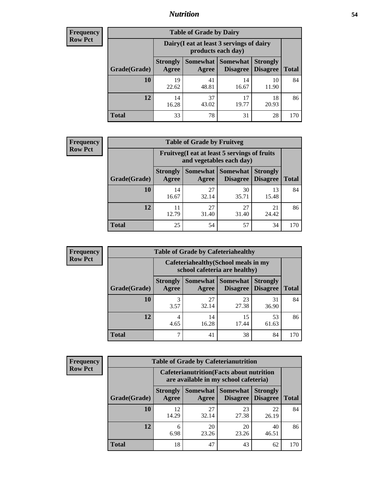## *Nutrition* **54**

| <b>Frequency</b> |
|------------------|
| <b>Row Pct</b>   |

| <b>Table of Grade by Dairy</b> |                                                                 |                   |                                    |                                    |              |  |
|--------------------------------|-----------------------------------------------------------------|-------------------|------------------------------------|------------------------------------|--------------|--|
|                                | Dairy (I eat at least 3 servings of dairy<br>products each day) |                   |                                    |                                    |              |  |
| Grade(Grade)                   | <b>Strongly</b><br>Agree                                        | Somewhat<br>Agree | <b>Somewhat</b><br><b>Disagree</b> | <b>Strongly</b><br><b>Disagree</b> | <b>Total</b> |  |
| 10                             | 19<br>22.62                                                     | 41<br>48.81       | 14<br>16.67                        | 10<br>11.90                        | 84           |  |
| 12                             | 14<br>16.28                                                     | 37<br>43.02       | 17<br>19.77                        | 18<br>20.93                        | 86           |  |
| <b>Total</b>                   | 33                                                              | 78                | 31                                 | 28                                 | 170          |  |

| <b>Frequency</b> |  |
|------------------|--|
| <b>Row Pct</b>   |  |

| 'V | <b>Table of Grade by Fruitveg</b>                                        |                          |             |                                   |                                    |              |  |
|----|--------------------------------------------------------------------------|--------------------------|-------------|-----------------------------------|------------------------------------|--------------|--|
|    | Fruitveg(I eat at least 5 servings of fruits<br>and vegetables each day) |                          |             |                                   |                                    |              |  |
|    | Grade(Grade)                                                             | <b>Strongly</b><br>Agree | Agree       | Somewhat   Somewhat  <br>Disagree | <b>Strongly</b><br><b>Disagree</b> | <b>Total</b> |  |
|    | 10                                                                       | 14<br>16.67              | 27<br>32.14 | 30<br>35.71                       | 13<br>15.48                        | 84           |  |
|    | 12                                                                       | 11<br>12.79              | 27<br>31.40 | 27<br>31.40                       | 21<br>24.42                        | 86           |  |
|    | <b>Total</b>                                                             | 25                       | 54          | 57                                | 34                                 | 170          |  |

| <b>Frequency</b> |
|------------------|
| <b>Row Pct</b>   |

| <b>Table of Grade by Cafeteriahealthy</b> |                                                                       |                     |                 |                                        |              |  |
|-------------------------------------------|-----------------------------------------------------------------------|---------------------|-----------------|----------------------------------------|--------------|--|
|                                           | Cafeteriahealthy (School meals in my<br>school cafeteria are healthy) |                     |                 |                                        |              |  |
| Grade(Grade)                              | <b>Strongly</b><br>Agree                                              | Somewhat  <br>Agree | <b>Somewhat</b> | <b>Strongly</b><br>Disagree   Disagree | <b>Total</b> |  |
| 10                                        | 3<br>3.57                                                             | 27<br>32.14         | 23<br>27.38     | 31<br>36.90                            | 84           |  |
| 12                                        | 4<br>4.65                                                             | 14<br>16.28         | 15<br>17.44     | 53<br>61.63                            | 86           |  |
| <b>Total</b>                              | 7                                                                     | 41                  | 38              | 84                                     | 170          |  |

| <b>Frequency</b> |
|------------------|
| <b>Row Pct</b>   |

| <b>Table of Grade by Cafeterianutrition</b>                                               |                          |                   |                             |                                    |              |  |
|-------------------------------------------------------------------------------------------|--------------------------|-------------------|-----------------------------|------------------------------------|--------------|--|
| <b>Cafeterianutrition</b> (Facts about nutrition<br>are available in my school cafeteria) |                          |                   |                             |                                    |              |  |
| Grade(Grade)                                                                              | <b>Strongly</b><br>Agree | Somewhat<br>Agree | <b>Somewhat</b><br>Disagree | <b>Strongly</b><br><b>Disagree</b> | <b>Total</b> |  |
| 10                                                                                        | 12<br>14.29              | 27<br>32.14       | 23<br>27.38                 | 22<br>26.19                        | 84           |  |
| 12                                                                                        | 6<br>6.98                | 20<br>23.26       | 20<br>23.26                 | 40<br>46.51                        | 86           |  |
| <b>Total</b>                                                                              | 18                       | 47                | 43                          | 62                                 | 170          |  |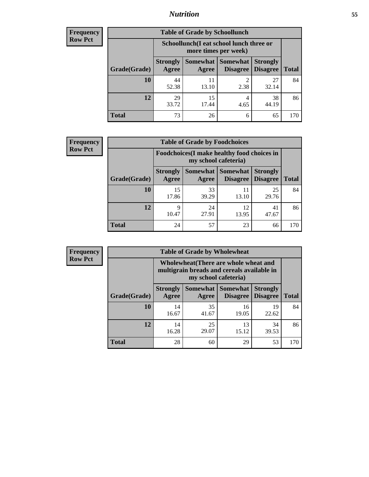## *Nutrition* **55**

| <b>Frequency</b> |
|------------------|
| Row Pct          |

| <b>Table of Grade by Schoollunch</b> |                                                                 |                   |                             |                                    |              |  |
|--------------------------------------|-----------------------------------------------------------------|-------------------|-----------------------------|------------------------------------|--------------|--|
|                                      | Schoollunch(I eat school lunch three or<br>more times per week) |                   |                             |                                    |              |  |
| Grade(Grade)                         | <b>Strongly</b><br>Agree                                        | Somewhat<br>Agree | <b>Somewhat</b><br>Disagree | <b>Strongly</b><br><b>Disagree</b> | <b>Total</b> |  |
| 10                                   | 44<br>52.38                                                     | 11<br>13.10       | $\overline{c}$<br>2.38      | 27<br>32.14                        | 84           |  |
| 12                                   | 29<br>33.72                                                     | 15<br>17.44       | 4<br>4.65                   | 38<br>44.19                        | 86           |  |
| <b>Total</b>                         | 73                                                              | 26                | 6                           | 65                                 | 170          |  |

| <b>Frequency</b> |  |
|------------------|--|
| <b>Row Pct</b>   |  |

| y | <b>Table of Grade by Foodchoices</b>                                |                          |             |                                                   |                 |              |  |
|---|---------------------------------------------------------------------|--------------------------|-------------|---------------------------------------------------|-----------------|--------------|--|
|   | Foodchoices (I make healthy food choices in<br>my school cafeteria) |                          |             |                                                   |                 |              |  |
|   | Grade(Grade)                                                        | <b>Strongly</b><br>Agree | Agree       | <b>Somewhat   Somewhat   Strongly</b><br>Disagree | <b>Disagree</b> | <b>Total</b> |  |
|   | 10                                                                  | 15<br>17.86              | 33<br>39.29 | 11<br>13.10                                       | 25<br>29.76     | 84           |  |
|   | 12                                                                  | 9<br>10.47               | 24<br>27.91 | 12<br>13.95                                       | 41<br>47.67     | 86           |  |
|   | <b>Total</b>                                                        | 24                       | 57          | 23                                                | 66              | 170          |  |

| <b>Frequency</b> | <b>Table of Grade by Wholewheat</b> |                                                                                                             |             |                                   |                                    |              |  |
|------------------|-------------------------------------|-------------------------------------------------------------------------------------------------------------|-------------|-----------------------------------|------------------------------------|--------------|--|
| <b>Row Pct</b>   |                                     | Wholewheat (There are whole wheat and<br>multigrain breads and cereals available in<br>my school cafeteria) |             |                                   |                                    |              |  |
|                  | Grade(Grade)                        | <b>Strongly</b><br>Agree                                                                                    | Agree       | Somewhat   Somewhat  <br>Disagree | <b>Strongly</b><br><b>Disagree</b> | <b>Total</b> |  |
|                  | 10                                  | 14<br>16.67                                                                                                 | 35<br>41.67 | 16<br>19.05                       | 19<br>22.62                        | 84           |  |
|                  | 12                                  | 14<br>16.28                                                                                                 | 25<br>29.07 | 13<br>15.12                       | 34<br>39.53                        | 86           |  |
|                  | <b>Total</b>                        | 28                                                                                                          | 60          | 29                                | 53                                 | 170          |  |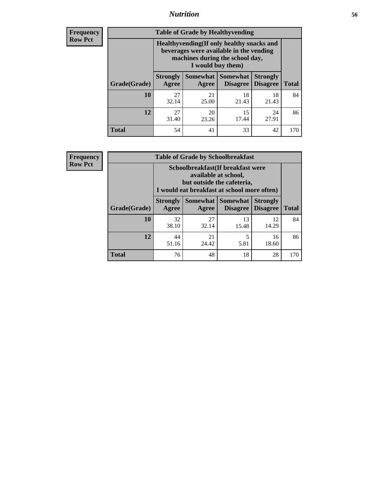## *Nutrition* **56**

**Frequency Row Pct**

| <b>Table of Grade by Healthyvending</b> |                                                                                                                                               |                          |                                    |                                    |              |  |
|-----------------------------------------|-----------------------------------------------------------------------------------------------------------------------------------------------|--------------------------|------------------------------------|------------------------------------|--------------|--|
|                                         | Healthyvending (If only healthy snacks and<br>beverages were available in the vending<br>machines during the school day,<br>I would buy them) |                          |                                    |                                    |              |  |
| Grade(Grade)                            | <b>Strongly</b><br>Agree                                                                                                                      | <b>Somewhat</b><br>Agree | <b>Somewhat</b><br><b>Disagree</b> | <b>Strongly</b><br><b>Disagree</b> | <b>Total</b> |  |
| 10                                      | 27<br>32.14                                                                                                                                   | 21<br>25.00              | 18<br>21.43                        | 18<br>21.43                        | 84           |  |
| 12                                      | 27<br>31.40                                                                                                                                   | 20<br>23.26              | 15<br>17.44                        | 24<br>27.91                        | 86           |  |
| Total                                   | 54                                                                                                                                            | 41                       | 33                                 | 42                                 | 170          |  |

**Frequency Row Pct**

| <b>Table of Grade by Schoolbreakfast</b> |                                                                                                                                         |             |                                 |                                    |              |  |  |
|------------------------------------------|-----------------------------------------------------------------------------------------------------------------------------------------|-------------|---------------------------------|------------------------------------|--------------|--|--|
|                                          | Schoolbreakfast (If breakfast were<br>available at school,<br>but outside the cafeteria,<br>I would eat breakfast at school more often) |             |                                 |                                    |              |  |  |
| Grade(Grade)                             | <b>Strongly</b><br>Agree                                                                                                                | Agree       | Somewhat   Somewhat<br>Disagree | <b>Strongly</b><br><b>Disagree</b> | <b>Total</b> |  |  |
| 10                                       | 32<br>38.10                                                                                                                             | 27<br>32.14 | 13<br>15.48                     | 12<br>14.29                        | 84           |  |  |
| 12                                       | 44<br>51.16                                                                                                                             | 21<br>24.42 | 5<br>5.81                       | 16<br>18.60                        | 86           |  |  |
| <b>Total</b>                             | 76                                                                                                                                      | 48          | 18                              | 28                                 | 170          |  |  |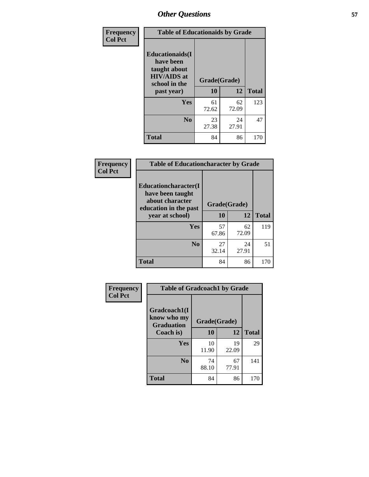| Frequency<br><b>Col Pct</b> | <b>Table of Educationaids by Grade</b>                                                                    |                    |             |              |
|-----------------------------|-----------------------------------------------------------------------------------------------------------|--------------------|-------------|--------------|
|                             | <b>Educationaids</b> (I<br>have been<br>taught about<br><b>HIV/AIDS</b> at<br>school in the<br>past year) | Grade(Grade)<br>10 | 12          | <b>Total</b> |
|                             | Yes                                                                                                       | 61<br>72.62        | 62<br>72.09 | 123          |
|                             | N <sub>0</sub>                                                                                            | 23<br>27.38        | 24<br>27.91 | 47           |
|                             | <b>Total</b>                                                                                              | 84                 | 86          | 170          |

| Frequency      | <b>Table of Educationcharacter by Grade</b> |              |             |              |
|----------------|---------------------------------------------|--------------|-------------|--------------|
| <b>Col Pct</b> | Educationcharacter(I<br>have been taught    |              |             |              |
|                | about character<br>education in the past    | Grade(Grade) |             |              |
|                | year at school)                             | 10           | 12          | <b>Total</b> |
|                | Yes                                         | 57<br>67.86  | 62<br>72.09 | 119          |
|                | N <sub>0</sub>                              | 27<br>32.14  | 24<br>27.91 | 51           |
|                | <b>Total</b>                                | 84           | 86          | 170          |

| Frequency      | <b>Table of Gradcoach1 by Grade</b>              |              |             |              |
|----------------|--------------------------------------------------|--------------|-------------|--------------|
| <b>Col Pct</b> | Gradcoach1(I<br>know who my<br><b>Graduation</b> | Grade(Grade) |             |              |
|                | Coach is)                                        | 10           | 12          | <b>Total</b> |
|                | Yes                                              | 10<br>11.90  | 19<br>22.09 | 29           |
|                | N <sub>0</sub>                                   | 74<br>88.10  | 67<br>77.91 | 141          |
|                | <b>Total</b>                                     | 84           | 86          | 170          |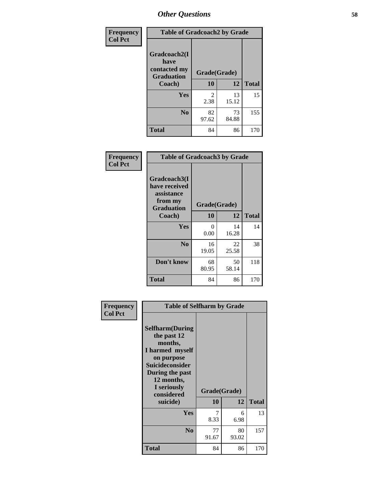| Frequency      | <b>Table of Gradcoach2 by Grade</b>       |              |             |              |
|----------------|-------------------------------------------|--------------|-------------|--------------|
| <b>Col Pct</b> |                                           |              |             |              |
|                | Gradcoach2(I                              |              |             |              |
|                | have<br>contacted my<br><b>Graduation</b> | Grade(Grade) |             |              |
|                | Coach)                                    | 10           | 12          | <b>Total</b> |
|                | Yes                                       | 2<br>2.38    | 13<br>15.12 | 15           |
|                | N <sub>0</sub>                            | 82<br>97.62  | 73<br>84.88 | 155          |
|                | <b>Total</b>                              | 84           | 86          | 170          |

| Frequency<br><b>Col Pct</b> | <b>Table of Gradcoach3 by Grade</b>                                         |              |             |              |
|-----------------------------|-----------------------------------------------------------------------------|--------------|-------------|--------------|
|                             | Gradcoach3(I<br>have received<br>assistance<br>from my<br><b>Graduation</b> | Grade(Grade) |             |              |
|                             | Coach)                                                                      | 10           | 12          | <b>Total</b> |
|                             | Yes                                                                         | 0<br>0.00    | 14<br>16.28 | 14           |
|                             | N <sub>0</sub>                                                              | 16<br>19.05  | 22<br>25.58 | 38           |
|                             | Don't know                                                                  | 68<br>80.95  | 50<br>58.14 | 118          |
|                             | <b>Total</b>                                                                | 84           | 86          | 170          |

| Frequency<br><b>Col Pct</b> | <b>Table of Selfharm by Grade</b>                                                                                                                                                      |             |                    |              |
|-----------------------------|----------------------------------------------------------------------------------------------------------------------------------------------------------------------------------------|-------------|--------------------|--------------|
|                             | <b>Selfharm</b> (During<br>the past 12<br>months,<br>I harmed myself<br>on purpose<br><b>Suicideconsider</b><br>During the past<br>12 months,<br>I seriously<br>considered<br>suicide) | 10          | Grade(Grade)<br>12 | <b>Total</b> |
|                             | Yes                                                                                                                                                                                    | 7<br>8.33   | 6<br>6.98          | 13           |
|                             | N <sub>0</sub>                                                                                                                                                                         | 77<br>91.67 | 80<br>93.02        | 157          |
|                             | <b>Total</b>                                                                                                                                                                           | 84          | 86                 | 170          |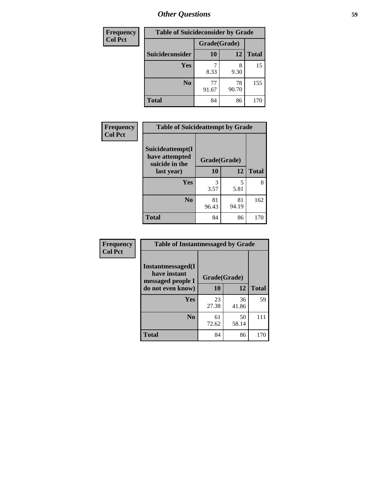| <b>Frequency</b> | <b>Table of Suicideconsider by Grade</b> |              |             |              |
|------------------|------------------------------------------|--------------|-------------|--------------|
| <b>Col Pct</b>   |                                          | Grade(Grade) |             |              |
|                  | Suicideconsider                          | 10           | 12          | <b>Total</b> |
|                  | Yes                                      | 8.33         | 8<br>9.30   | 15           |
|                  | N <sub>0</sub>                           | 77<br>91.67  | 78<br>90.70 | 155          |
|                  | <b>Total</b>                             | 84           | 86          | 170          |

| Frequency      | <b>Table of Suicideattempt by Grade</b>              |              |             |              |
|----------------|------------------------------------------------------|--------------|-------------|--------------|
| <b>Col Pct</b> | Suicideattempt(I<br>have attempted<br>suicide in the | Grade(Grade) |             |              |
|                | last year)                                           | 10           | 12          | <b>Total</b> |
|                | Yes                                                  | 3<br>3.57    | 5<br>5.81   | 8            |
|                | N <sub>0</sub>                                       | 81<br>96.43  | 81<br>94.19 | 162          |
|                | <b>Total</b>                                         | 84           | 86          | 170          |

| Frequency      | <b>Table of Instantmessaged by Grade</b>               |              |             |              |
|----------------|--------------------------------------------------------|--------------|-------------|--------------|
| <b>Col Pct</b> | Instantmessaged(I<br>have instant<br>messaged people I | Grade(Grade) |             |              |
|                | do not even know)                                      | 10           | 12          | <b>Total</b> |
|                | <b>Yes</b>                                             | 23<br>27.38  | 36<br>41.86 | 59           |
|                | N <sub>0</sub>                                         | 61<br>72.62  | 50<br>58.14 | 111          |
|                | <b>Total</b>                                           | 84           | 86          | 170          |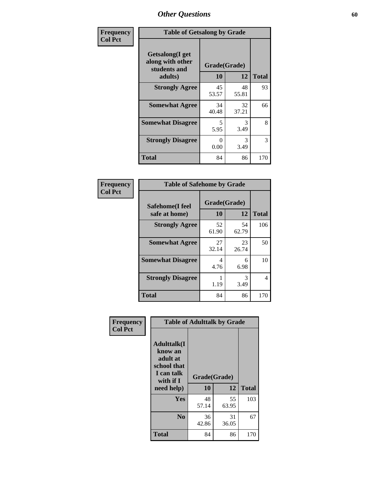| Frequency      | <b>Table of Getsalong by Grade</b>                          |              |             |              |  |  |  |
|----------------|-------------------------------------------------------------|--------------|-------------|--------------|--|--|--|
| <b>Col Pct</b> | <b>Getsalong</b> (I get<br>along with other<br>students and | Grade(Grade) |             |              |  |  |  |
|                | adults)                                                     | <b>10</b>    | 12          | <b>Total</b> |  |  |  |
|                | <b>Strongly Agree</b>                                       | 45<br>53.57  | 48<br>55.81 | 93           |  |  |  |
|                | <b>Somewhat Agree</b>                                       | 34<br>40.48  | 32<br>37.21 | 66           |  |  |  |
|                | <b>Somewhat Disagree</b>                                    | 5<br>5.95    | 3<br>3.49   | 8            |  |  |  |
|                | <b>Strongly Disagree</b>                                    | 0<br>0.00    | 3<br>3.49   | 3            |  |  |  |
|                | <b>Total</b>                                                | 84           | 86          | 170          |  |  |  |

| Frequency      | <b>Table of Safehome by Grade</b> |                           |             |              |  |  |
|----------------|-----------------------------------|---------------------------|-------------|--------------|--|--|
| <b>Col Pct</b> | Safehome(I feel<br>safe at home)  | Grade(Grade)<br><b>10</b> | 12          | <b>Total</b> |  |  |
|                | <b>Strongly Agree</b>             | 52<br>61.90               | 54<br>62.79 | 106          |  |  |
|                | <b>Somewhat Agree</b>             | 27<br>32.14               | 23<br>26.74 | 50           |  |  |
|                | <b>Somewhat Disagree</b>          | 4<br>4.76                 | 6<br>6.98   | 10           |  |  |
|                | <b>Strongly Disagree</b>          | 1.19                      | 3<br>3.49   | 4            |  |  |
|                | <b>Total</b>                      | 84                        | 86          | 170          |  |  |

| Frequency      |                                                                                     | <b>Table of Adulttalk by Grade</b> |             |              |
|----------------|-------------------------------------------------------------------------------------|------------------------------------|-------------|--------------|
| <b>Col Pct</b> | <b>Adulttalk(I</b><br>know an<br>adult at<br>school that<br>I can talk<br>with if I | Grade(Grade)                       |             |              |
|                | need help)                                                                          | 10                                 | 12          | <b>Total</b> |
|                | <b>Yes</b>                                                                          | 48<br>57.14                        | 55<br>63.95 | 103          |
|                | N <sub>0</sub>                                                                      | 36<br>42.86                        | 31<br>36.05 | 67           |
|                | <b>Total</b>                                                                        | 84                                 | 86          | 170          |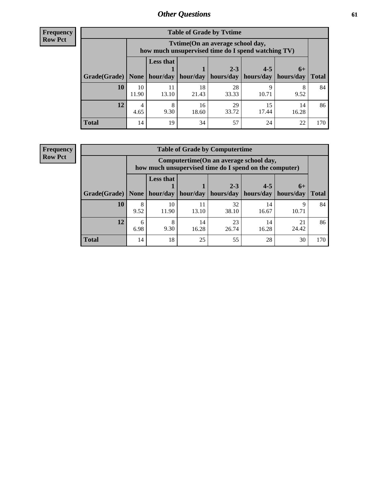**Frequency Row Pct**

r

| <b>Table of Grade by Tvtime</b> |             |                                                                                        |             |             |             |                     |              |  |  |  |
|---------------------------------|-------------|----------------------------------------------------------------------------------------|-------------|-------------|-------------|---------------------|--------------|--|--|--|
|                                 |             | Tvtime(On an average school day,<br>how much unsupervised time do I spend watching TV) |             |             |             |                     |              |  |  |  |
|                                 |             | <b>Less that</b>                                                                       |             | $2 - 3$     | $4 - 5$     |                     |              |  |  |  |
| Grade(Grade)                    | None        | hour/day                                                                               | hour/day    | hours/day   | hours/day   | $6+$<br>  hours/day | <b>Total</b> |  |  |  |
| 10                              | 10<br>11.90 | 11<br>13.10                                                                            | 18<br>21.43 | 28<br>33.33 | Q<br>10.71  | 8<br>9.52           | 84           |  |  |  |
| 12                              | 4<br>4.65   | 8<br>9.30                                                                              | 16<br>18.60 | 29<br>33.72 | 15<br>17.44 | 14<br>16.28         | 86           |  |  |  |
| <b>Total</b>                    | 14          | 19                                                                                     | 34          | 57          | 24          | 22                  | 170          |  |  |  |

**Frequency Row Pct**

| <b>Table of Grade by Computertime</b> |           |                                                                                                   |             |                      |                      |                   |              |  |  |
|---------------------------------------|-----------|---------------------------------------------------------------------------------------------------|-------------|----------------------|----------------------|-------------------|--------------|--|--|
|                                       |           | Computertime (On an average school day,<br>how much unsupervised time do I spend on the computer) |             |                      |                      |                   |              |  |  |
| Grade(Grade)                          | None      | <b>Less that</b><br>hour/day                                                                      | hour/day    | $2 - 3$<br>hours/day | $4 - 5$<br>hours/day | $6+$<br>hours/day | <b>Total</b> |  |  |
| 10                                    | 8<br>9.52 | 10<br>11.90                                                                                       | 11<br>13.10 | 32<br>38.10          | 14<br>16.67          | Q<br>10.71        | 84           |  |  |
| 12                                    | 6<br>6.98 | 8<br>23<br>21<br>14<br>14<br>24.42<br>9.30<br>16.28<br>26.74<br>16.28                             |             |                      |                      |                   |              |  |  |
| <b>Total</b>                          | 14        | 18                                                                                                | 25          | 55                   | 28                   | 30                | 170          |  |  |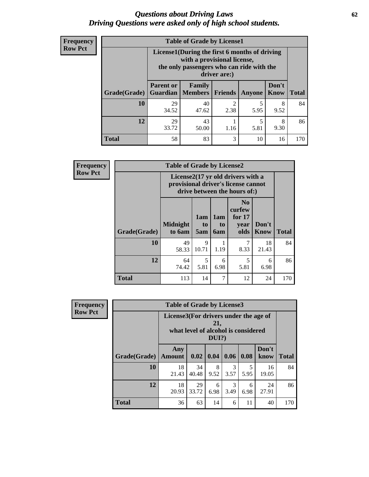#### *Questions about Driving Laws* **62** *Driving Questions were asked only of high school students.*

| <b>Frequency</b> |
|------------------|
| <b>Row Pct</b>   |

| <b>Table of Grade by License1</b> |                              |                                                                                                                                           |           |           |               |              |  |  |  |  |
|-----------------------------------|------------------------------|-------------------------------------------------------------------------------------------------------------------------------------------|-----------|-----------|---------------|--------------|--|--|--|--|
|                                   |                              | License1(During the first 6 months of driving<br>with a provisional license,<br>the only passengers who can ride with the<br>driver are:) |           |           |               |              |  |  |  |  |
| Grade(Grade)                      | <b>Parent or</b><br>Guardian | Family<br>  Members                                                                                                                       | Friends   | Anyone    | Don't<br>Know | <b>Total</b> |  |  |  |  |
| 10                                | 29<br>34.52                  | 40<br>47.62                                                                                                                               | 2<br>2.38 | 5<br>5.95 | 8<br>9.52     | 84           |  |  |  |  |
| 12                                | 29<br>33.72                  | 43<br>5<br>8<br>9.30<br>5.81<br>50.00<br>1.16                                                                                             |           |           |               |              |  |  |  |  |
| <b>Total</b>                      | 58                           | 83                                                                                                                                        | 3         | 10        | 16            | 170          |  |  |  |  |

| <b>Frequency</b> |                                                                                                          | <b>Table of Grade by License2</b> |                  |                  |                                                      |                      |              |  |  |  |
|------------------|----------------------------------------------------------------------------------------------------------|-----------------------------------|------------------|------------------|------------------------------------------------------|----------------------|--------------|--|--|--|
| <b>Row Pct</b>   | License2(17 yr old drivers with a<br>provisional driver's license cannot<br>drive between the hours of:) |                                   |                  |                  |                                                      |                      |              |  |  |  |
|                  | Grade(Grade)                                                                                             | <b>Midnight</b><br>to 6am         | 1am<br>to<br>5am | 1am<br>to<br>6am | N <sub>0</sub><br>curfew<br>for $17$<br>year<br>olds | Don't<br><b>Know</b> | <b>Total</b> |  |  |  |
|                  | 10                                                                                                       | 49<br>58.33                       | 9<br>10.71       | 1.19             | 7<br>8.33                                            | 18<br>21.43          | 84           |  |  |  |
|                  | 12                                                                                                       | 64<br>74.42                       | 5<br>5.81        | 6<br>6.98        | 5<br>5.81                                            | 6<br>6.98            | 86           |  |  |  |
|                  | <b>Total</b>                                                                                             | 113                               | 14               | 7                | 12                                                   | 24                   | 170          |  |  |  |

| Frequency      | <b>Table of Grade by License3</b> |                                                                                                 |             |           |           |           |               |              |  |
|----------------|-----------------------------------|-------------------------------------------------------------------------------------------------|-------------|-----------|-----------|-----------|---------------|--------------|--|
| <b>Row Pct</b> |                                   | License3(For drivers under the age of<br>21,<br>what level of alcohol is considered<br>$DUI$ ?) |             |           |           |           |               |              |  |
|                | Grade(Grade)                      | Any<br><b>Amount</b>                                                                            | 0.02        | 0.04      | 0.06      | 0.08      | Don't<br>know | <b>Total</b> |  |
|                | 10                                | 18<br>21.43                                                                                     | 34<br>40.48 | 8<br>9.52 | 3<br>3.57 | 5.95      | 16<br>19.05   | 84           |  |
|                | 12                                | 18<br>20.93                                                                                     | 29<br>33.72 | 6<br>6.98 | 3<br>3.49 | 6<br>6.98 | 24<br>27.91   | 86           |  |
|                | <b>Total</b>                      | 36                                                                                              | 63          | 14        | 6         | 11        | 40            | 170          |  |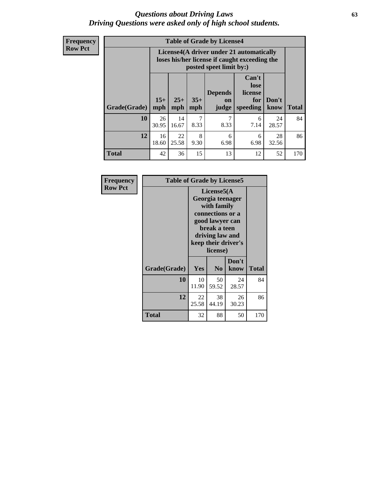#### *Questions about Driving Laws* **63** *Driving Questions were asked only of high school students.*

**Frequency Row Pct**

| <b>Table of Grade by License4</b> |             |                                                                                                                                                                                                                                                                                       |           |           |           |             |     |  |  |
|-----------------------------------|-------------|---------------------------------------------------------------------------------------------------------------------------------------------------------------------------------------------------------------------------------------------------------------------------------------|-----------|-----------|-----------|-------------|-----|--|--|
|                                   |             | License4(A driver under 21 automatically<br>loses his/her license if caught exceeding the<br>posted speet limit by:)<br>Can't<br>lose<br>license<br><b>Depends</b><br>$15+$<br>$25+$<br>$35+$<br>Don't<br>for<br><b>on</b><br><b>Total</b><br>mph<br>speeding<br>know<br>mph<br>judge |           |           |           |             |     |  |  |
| Grade(Grade)                      | mph         |                                                                                                                                                                                                                                                                                       |           |           |           |             |     |  |  |
| 10                                | 26<br>30.95 | 14<br>16.67                                                                                                                                                                                                                                                                           | 7<br>8.33 | 7<br>8.33 | 6<br>7.14 | 24<br>28.57 | 84  |  |  |
| 12                                | 16<br>18.60 | 22<br>8<br>28<br>6<br>6<br>25.58<br>6.98<br>9.30<br>6.98<br>32.56                                                                                                                                                                                                                     |           |           |           |             |     |  |  |
| <b>Total</b>                      | 42          | 36                                                                                                                                                                                                                                                                                    | 15        | 13        | 12        | 52          | 170 |  |  |

| Frequency<br><b>Row Pct</b> | <b>Table of Grade by License5</b> |             |                                                                                                                                                             |               |       |  |
|-----------------------------|-----------------------------------|-------------|-------------------------------------------------------------------------------------------------------------------------------------------------------------|---------------|-------|--|
|                             |                                   |             | License5(A)<br>Georgia teenager<br>with family<br>connections or a<br>good lawyer can<br>break a teen<br>driving law and<br>keep their driver's<br>license) |               |       |  |
|                             | Grade(Grade)                      | Yes         | N <sub>0</sub>                                                                                                                                              | Don't<br>know | Total |  |
|                             | 10                                | 10<br>11.90 | 50<br>59.52                                                                                                                                                 | 24<br>28.57   | 84    |  |
|                             | 12                                | 22<br>25.58 | 38<br>44.19                                                                                                                                                 | 26<br>30.23   | 86    |  |
|                             | <b>Total</b>                      | 32          | 88                                                                                                                                                          | 50            | 170   |  |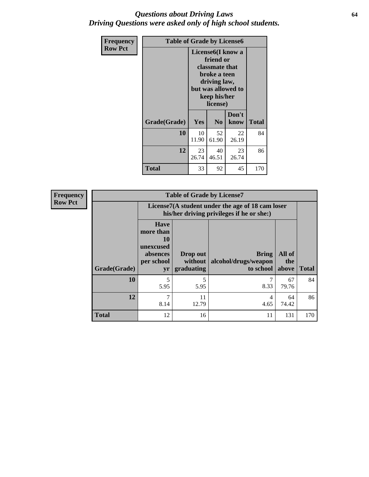### *Questions about Driving Laws* **64** *Driving Questions were asked only of high school students.*

| <b>Frequency</b> | <b>Table of Grade by License6</b> |                                                                                                                                                 |                            |               |              |
|------------------|-----------------------------------|-------------------------------------------------------------------------------------------------------------------------------------------------|----------------------------|---------------|--------------|
| <b>Row Pct</b>   |                                   | License <sub>6</sub> (I know a<br>friend or<br>classmate that<br>broke a teen<br>driving law,<br>but was allowed to<br>keep his/her<br>license) |                            |               |              |
|                  | Grade(Grade)                      | Yes                                                                                                                                             | N <sub>0</sub>             | Don't<br>know | <b>Total</b> |
|                  | 10                                | 10<br>11.90                                                                                                                                     | 52<br>22<br>61.90<br>26.19 |               |              |
|                  | 12                                | 23<br>40<br>23<br>26.74<br>46.51<br>26.74                                                                                                       |                            |               | 86           |
|                  | <b>Total</b>                      | 33                                                                                                                                              | 92                         | 45            | 170          |

| <b>Frequency</b> |              |                                                                             | <b>Table of Grade by License7</b>                                                             |                                                   |                        |              |  |  |
|------------------|--------------|-----------------------------------------------------------------------------|-----------------------------------------------------------------------------------------------|---------------------------------------------------|------------------------|--------------|--|--|
| <b>Row Pct</b>   |              |                                                                             | License7(A student under the age of 18 cam loser<br>his/her driving privileges if he or she:) |                                                   |                        |              |  |  |
|                  | Grade(Grade) | <b>Have</b><br>more than<br>10<br>unexcused<br>absences<br>per school<br>yr | Drop out<br>without  <br>graduating                                                           | <b>Bring</b><br>alcohol/drugs/weapon<br>to school | All of<br>the<br>above | <b>Total</b> |  |  |
|                  | 10           | 5<br>5.95                                                                   | 5<br>5.95                                                                                     | 8.33                                              | 67<br>79.76            | 84           |  |  |
|                  | 12           | 7<br>8.14                                                                   | 11<br>12.79                                                                                   | 4<br>4.65                                         | 64<br>74.42            | 86           |  |  |
|                  | <b>Total</b> | 12                                                                          | 16                                                                                            | 11                                                | 131                    | 170          |  |  |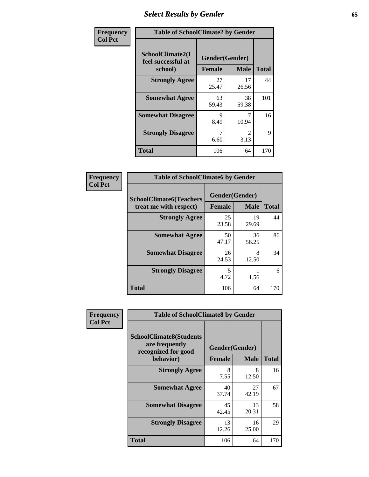# *Select Results by Gender* **65**

| Frequency      | <b>Table of SchoolClimate2 by Gender</b> |                |                        |              |
|----------------|------------------------------------------|----------------|------------------------|--------------|
| <b>Col Pct</b> | SchoolClimate2(I<br>feel successful at   | Gender(Gender) |                        |              |
|                | school)                                  | <b>Female</b>  | <b>Male</b>            | <b>Total</b> |
|                | <b>Strongly Agree</b>                    | 27<br>25.47    | 17<br>26.56            | 44           |
|                | <b>Somewhat Agree</b>                    | 63<br>59.43    | 38<br>59.38            | 101          |
|                | <b>Somewhat Disagree</b>                 | 9<br>8.49      | 10.94                  | 16           |
|                | <b>Strongly Disagree</b>                 | 6.60           | $\mathfrak{D}$<br>3.13 | 9            |
|                | <b>Total</b>                             | 106            | 64                     | 170          |

| Frequency      | <b>Table of SchoolClimate6 by Gender</b>                 |                                 |             |              |  |
|----------------|----------------------------------------------------------|---------------------------------|-------------|--------------|--|
| <b>Col Pct</b> | <b>SchoolClimate6(Teachers</b><br>treat me with respect) | Gender(Gender)<br><b>Female</b> | <b>Male</b> | <b>Total</b> |  |
|                | <b>Strongly Agree</b>                                    | 25<br>23.58                     | 19<br>29.69 | 44           |  |
|                | <b>Somewhat Agree</b>                                    | 50<br>47.17                     | 36<br>56.25 | 86           |  |
|                | <b>Somewhat Disagree</b>                                 | 26<br>24.53                     | 8<br>12.50  | 34           |  |
|                | <b>Strongly Disagree</b>                                 | 5<br>4.72                       | 1.56        | 6            |  |
|                | <b>Total</b>                                             | 106                             | 64          | 170          |  |

| <b>Frequency</b> | <b>Table of SchoolClimate8 by Gender</b>                                             |                                 |                  |     |
|------------------|--------------------------------------------------------------------------------------|---------------------------------|------------------|-----|
| <b>Col Pct</b>   | <b>SchoolClimate8(Students</b><br>are frequently<br>recognized for good<br>behavior) | Gender(Gender)<br><b>Female</b> | <b>Total</b>     |     |
|                  | <b>Strongly Agree</b>                                                                | 8                               | <b>Male</b><br>8 | 16  |
|                  |                                                                                      | 7.55                            | 12.50            |     |
|                  | <b>Somewhat Agree</b>                                                                | 40<br>37.74                     | 27<br>42.19      | 67  |
|                  | <b>Somewhat Disagree</b>                                                             | 45<br>42.45                     | 13<br>20.31      | 58  |
|                  | <b>Strongly Disagree</b>                                                             | 13<br>12.26                     | 16<br>25.00      | 29  |
|                  | Total                                                                                | 106                             | 64               | 170 |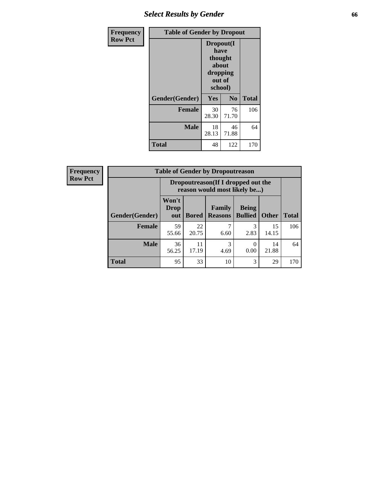## *Select Results by Gender* **66**

| <b>Frequency</b> | <b>Table of Gender by Dropout</b> |                                                                        |             |              |
|------------------|-----------------------------------|------------------------------------------------------------------------|-------------|--------------|
| <b>Row Pct</b>   |                                   | Dropout(I<br>have<br>thought<br>about<br>dropping<br>out of<br>school) |             |              |
|                  | Gender(Gender)                    | Yes                                                                    | No          | <b>Total</b> |
|                  | <b>Female</b>                     | 30<br>28.30                                                            | 76<br>71.70 | 106          |
|                  | <b>Male</b>                       | 18<br>28.13                                                            | 46<br>71.88 | 64           |
|                  | <b>Total</b>                      | 48                                                                     | 122         | 170          |

| <b>Frequency</b> | <b>Table of Gender by Dropoutreason</b> |                                                                    |              |                          |                                |              |              |
|------------------|-----------------------------------------|--------------------------------------------------------------------|--------------|--------------------------|--------------------------------|--------------|--------------|
| <b>Row Pct</b>   |                                         | Dropoutreason(If I dropped out the<br>reason would most likely be) |              |                          |                                |              |              |
|                  | Gender(Gender)                          | Won't<br><b>Drop</b><br>out                                        | <b>Bored</b> | Family<br><b>Reasons</b> | <b>Being</b><br><b>Bullied</b> | <b>Other</b> | <b>Total</b> |
|                  | Female                                  | 59<br>55.66                                                        | 22<br>20.75  | 6.60                     | 3<br>2.83                      | 15<br>14.15  | 106          |
|                  | <b>Male</b>                             | 36<br>56.25                                                        | 11<br>17.19  | 3<br>4.69                | 0.00                           | 14<br>21.88  | 64           |
|                  | <b>Total</b>                            | 95                                                                 | 33           | 10                       | 3                              | 29           | 170          |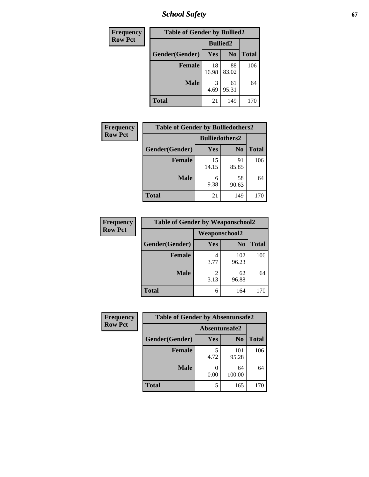*School Safety* **67**

| Frequency      | <b>Table of Gender by Bullied2</b> |                 |                |              |  |
|----------------|------------------------------------|-----------------|----------------|--------------|--|
| <b>Row Pct</b> |                                    | <b>Bullied2</b> |                |              |  |
|                | Gender(Gender)                     | Yes             | N <sub>0</sub> | <b>Total</b> |  |
|                | <b>Female</b>                      | 18<br>16.98     | 88<br>83.02    | 106          |  |
|                | <b>Male</b>                        | 3<br>4.69       | 61<br>95.31    | 64           |  |
|                | <b>Total</b>                       | 21              | 149            | 170          |  |

| Frequency      | <b>Table of Gender by Bulliedothers2</b> |                       |                |              |
|----------------|------------------------------------------|-----------------------|----------------|--------------|
| <b>Row Pct</b> |                                          | <b>Bulliedothers2</b> |                |              |
|                | Gender(Gender)                           | <b>Yes</b>            | N <sub>0</sub> | <b>Total</b> |
|                | Female                                   | 15<br>14.15           | 91<br>85.85    | 106          |
|                | <b>Male</b>                              | 6<br>9.38             | 58<br>90.63    | 64           |
|                | <b>Total</b>                             | 21                    | 149            | 170          |

| Frequency      | <b>Table of Gender by Weaponschool2</b> |                      |                |              |  |
|----------------|-----------------------------------------|----------------------|----------------|--------------|--|
| <b>Row Pct</b> |                                         | <b>Weaponschool2</b> |                |              |  |
|                | Gender(Gender)                          | <b>Yes</b>           | N <sub>0</sub> | <b>Total</b> |  |
|                | <b>Female</b>                           | 4<br>3.77            | 102<br>96.23   | 106          |  |
|                | <b>Male</b>                             | 2<br>3.13            | 62<br>96.88    | 64           |  |
|                | <b>Total</b>                            | 6                    | 164            | 170          |  |

| Frequency      | <b>Table of Gender by Absentunsafe2</b> |               |                |              |
|----------------|-----------------------------------------|---------------|----------------|--------------|
| <b>Row Pct</b> |                                         | Absentunsafe2 |                |              |
|                | Gender(Gender)                          | Yes           | N <sub>0</sub> | <b>Total</b> |
|                | <b>Female</b>                           | 4.72          | 101<br>95.28   | 106          |
|                | <b>Male</b>                             | 0.00          | 64<br>100.00   | 64           |
|                | <b>Total</b>                            |               | 165            | 170          |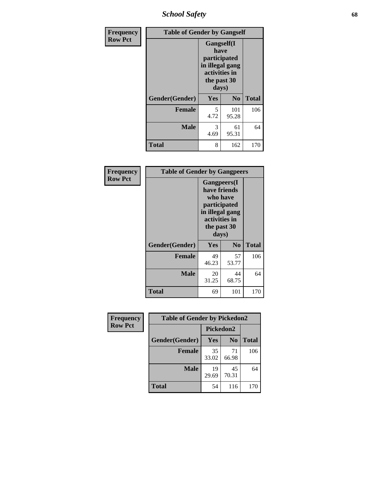*School Safety* **68**

| Frequency      | <b>Table of Gender by Gangself</b> |                                                                                                |                |              |
|----------------|------------------------------------|------------------------------------------------------------------------------------------------|----------------|--------------|
| <b>Row Pct</b> |                                    | Gangself(I<br>have<br>participated<br>in illegal gang<br>activities in<br>the past 30<br>days) |                |              |
|                | Gender(Gender)                     | Yes                                                                                            | N <sub>0</sub> | <b>Total</b> |
|                | <b>Female</b>                      | 5<br>4.72                                                                                      | 101<br>95.28   | 106          |
|                | <b>Male</b>                        | 3<br>4.69                                                                                      | 61<br>95.31    | 64           |
|                | <b>Total</b>                       | 8                                                                                              | 162            | 170          |

| Frequency      | <b>Table of Gender by Gangpeers</b> |                                                                                                                             |                |              |  |
|----------------|-------------------------------------|-----------------------------------------------------------------------------------------------------------------------------|----------------|--------------|--|
| <b>Row Pct</b> |                                     | <b>Gangpeers</b> (I<br>have friends<br>who have<br>participated<br>in illegal gang<br>activities in<br>the past 30<br>days) |                |              |  |
|                | Gender(Gender)                      | Yes                                                                                                                         | N <sub>0</sub> | <b>Total</b> |  |
|                | <b>Female</b>                       | 49<br>46.23                                                                                                                 | 57<br>53.77    | 106          |  |
|                | <b>Male</b>                         | 20<br>31.25                                                                                                                 | 44<br>68.75    | 64           |  |
|                | Total                               | 69                                                                                                                          | 101            | 170          |  |

| Frequency      | <b>Table of Gender by Pickedon2</b> |             |                |              |
|----------------|-------------------------------------|-------------|----------------|--------------|
| <b>Row Pct</b> |                                     | Pickedon2   |                |              |
|                | Gender(Gender)                      | Yes         | N <sub>0</sub> | <b>Total</b> |
|                | <b>Female</b>                       | 35<br>33.02 | 71<br>66.98    | 106          |
|                | <b>Male</b>                         | 19<br>29.69 | 45<br>70.31    | 64           |
|                | <b>Total</b>                        | 54          | 116            | 170          |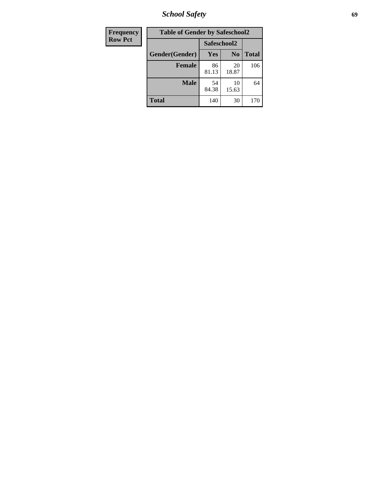*School Safety* **69**

| Frequency      | <b>Table of Gender by Safeschool2</b> |             |                |              |
|----------------|---------------------------------------|-------------|----------------|--------------|
| <b>Row Pct</b> |                                       | Safeschool2 |                |              |
|                | Gender(Gender)                        | Yes         | N <sub>0</sub> | <b>Total</b> |
|                | <b>Female</b>                         | 86<br>81.13 | 20<br>18.87    | 106          |
|                | <b>Male</b>                           | 54<br>84.38 | 10<br>15.63    | 64           |
|                | <b>Total</b>                          | 140         | 30             | 170          |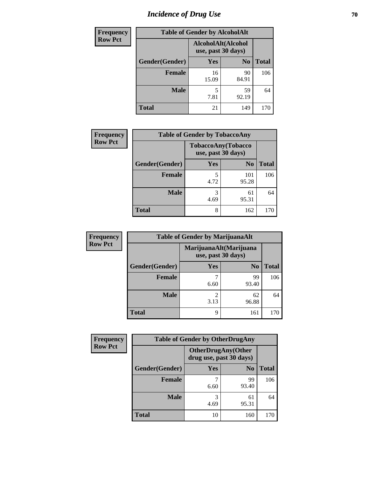# *Incidence of Drug Use* **70**

| Frequency      |                | <b>Table of Gender by AlcoholAlt</b>     |                |              |
|----------------|----------------|------------------------------------------|----------------|--------------|
| <b>Row Pct</b> |                | AlcoholAlt(Alcohol<br>use, past 30 days) |                |              |
|                | Gender(Gender) | Yes                                      | N <sub>0</sub> | <b>Total</b> |
|                | <b>Female</b>  | 16<br>15.09                              | 90<br>84.91    | 106          |
|                | <b>Male</b>    | 5<br>7.81                                | 59<br>92.19    | 64           |
|                | <b>Total</b>   | 21                                       | 149            | 170          |

| <b>Frequency</b> | <b>Table of Gender by TobaccoAny</b> |            |                                          |              |
|------------------|--------------------------------------|------------|------------------------------------------|--------------|
| <b>Row Pct</b>   |                                      |            | TobaccoAny(Tobacco<br>use, past 30 days) |              |
|                  | Gender(Gender)                       | <b>Yes</b> | N <sub>0</sub>                           | <b>Total</b> |
|                  | <b>Female</b>                        | 5<br>4.72  | 101<br>95.28                             | 106          |
|                  | <b>Male</b>                          | 3<br>4.69  | 61<br>95.31                              | 64           |
|                  | <b>Total</b>                         | 8          | 162                                      | 170          |

| <b>Frequency</b> |                | <b>Table of Gender by MarijuanaAlt</b> |                                              |              |
|------------------|----------------|----------------------------------------|----------------------------------------------|--------------|
| <b>Row Pct</b>   |                |                                        | MarijuanaAlt(Marijuana<br>use, past 30 days) |              |
|                  | Gender(Gender) | <b>Yes</b>                             | N <sub>0</sub>                               | <b>Total</b> |
|                  | <b>Female</b>  | 7<br>6.60                              | 99<br>93.40                                  | 106          |
|                  | <b>Male</b>    | 2<br>3.13                              | 62<br>96.88                                  | 64           |
|                  | <b>Total</b>   | 9                                      | 161                                          | 170          |

| <b>Frequency</b> | <b>Table of Gender by OtherDrugAny</b> |                                                      |                |              |
|------------------|----------------------------------------|------------------------------------------------------|----------------|--------------|
| <b>Row Pct</b>   |                                        | <b>OtherDrugAny(Other</b><br>drug use, past 30 days) |                |              |
|                  | Gender(Gender)                         | Yes                                                  | N <sub>0</sub> | <b>Total</b> |
|                  | <b>Female</b>                          | 6.60                                                 | 99<br>93.40    | 106          |
|                  | <b>Male</b>                            | 3<br>4.69                                            | 61<br>95.31    | 64           |
|                  | <b>Total</b>                           | 10                                                   | 160            | 170          |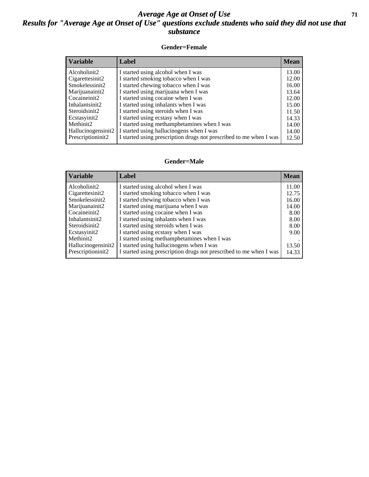### *Average Age at Onset of Use* **71** *Results for "Average Age at Onset of Use" questions exclude students who said they did not use that substance*

#### **Gender=Female**

| <b>Variable</b>    | <b>Label</b>                                                       | <b>Mean</b> |
|--------------------|--------------------------------------------------------------------|-------------|
| Alcoholinit2       | I started using alcohol when I was                                 | 13.00       |
| Cigarettesinit2    | I started smoking tobacco when I was                               | 12.00       |
| Smokelessinit2     | I started chewing tobacco when I was                               | 16.00       |
| Marijuanainit2     | I started using marijuana when I was                               | 13.64       |
| Cocaineinit2       | I started using cocaine when I was                                 | 12.00       |
| Inhalantsinit2     | I started using inhalants when I was                               | 15.00       |
| Steroidsinit2      | I started using steroids when I was                                | 11.50       |
| Ecstasyinit2       | I started using ecstasy when I was                                 | 14.33       |
| Methinit2          | I started using methamphetamines when I was                        | 14.00       |
| Hallucinogensinit2 | I started using hallucinogens when I was                           | 14.00       |
| Prescription in t2 | I started using prescription drugs not prescribed to me when I was | 12.50       |

#### **Gender=Male**

| <b>Variable</b>                 | Label                                                              | <b>Mean</b> |
|---------------------------------|--------------------------------------------------------------------|-------------|
| Alcoholinit2                    | I started using alcohol when I was                                 | 11.00       |
| Cigarettesinit2                 | I started smoking tobacco when I was                               | 12.75       |
| Smokelessinit2                  | I started chewing tobacco when I was                               | 16.00       |
| Marijuanainit2                  | I started using marijuana when I was                               | 14.00       |
| Cocaineinit2                    | I started using cocaine when I was                                 | 8.00        |
| Inhalantsinit2                  | I started using inhalants when I was                               | 8.00        |
| Steroidsinit2                   | I started using steroids when I was                                | 8.00        |
| Ecstasyinit2                    | I started using ecstasy when I was                                 | 9.00        |
| Methinit <sub>2</sub>           | I started using methamphetamines when I was                        |             |
| Hallucinogensinit2              | I started using hallucinogens when I was                           | 13.50       |
| Prescription in it <sub>2</sub> | I started using prescription drugs not prescribed to me when I was | 14.33       |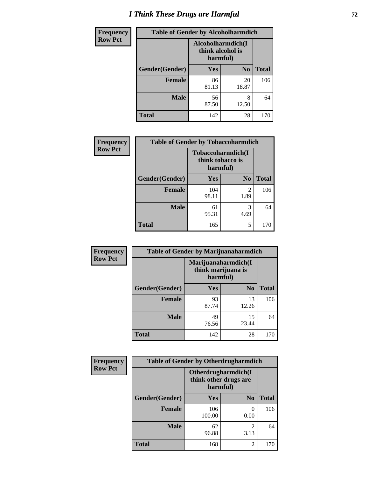# *I Think These Drugs are Harmful* **72**

| Frequency      | <b>Table of Gender by Alcoholharmdich</b> |                                                   |                |              |
|----------------|-------------------------------------------|---------------------------------------------------|----------------|--------------|
| <b>Row Pct</b> |                                           | Alcoholharmdich(I<br>think alcohol is<br>harmful) |                |              |
|                | Gender(Gender)                            | Yes                                               | N <sub>0</sub> | <b>Total</b> |
|                | <b>Female</b>                             | 86<br>81.13                                       | 20<br>18.87    | 106          |
|                | <b>Male</b>                               | 56<br>87.50                                       | 8<br>12.50     | 64           |
|                | Total                                     | 142                                               | 28             | 170          |

| Frequency      | <b>Table of Gender by Tobaccoharmdich</b> |                  |                               |              |
|----------------|-------------------------------------------|------------------|-------------------------------|--------------|
| <b>Row Pct</b> |                                           | think tobacco is | Tobaccoharmdich(I<br>harmful) |              |
|                | Gender(Gender)                            | Yes              | N <sub>0</sub>                | <b>Total</b> |
|                | <b>Female</b>                             | 104<br>98.11     | 2<br>1.89                     | 106          |
|                | <b>Male</b>                               | 61<br>95.31      | 3<br>4.69                     | 64           |
|                | <b>Total</b>                              | 165              | 5                             | 170          |

| Frequency      | <b>Table of Gender by Marijuanaharmdich</b> |                                |                     |              |
|----------------|---------------------------------------------|--------------------------------|---------------------|--------------|
| <b>Row Pct</b> |                                             | think marijuana is<br>harmful) | Marijuanaharmdich(I |              |
|                | Gender(Gender)                              | <b>Yes</b>                     | N <sub>0</sub>      | <b>Total</b> |
|                | <b>Female</b>                               | 93<br>87.74                    | 13<br>12.26         | 106          |
|                | <b>Male</b>                                 | 49<br>76.56                    | 15<br>23.44         | 64           |
|                | <b>Total</b>                                | 142                            | 28                  | 170          |

| Frequency      | <b>Table of Gender by Otherdrugharmdich</b> |                                                          |                        |              |
|----------------|---------------------------------------------|----------------------------------------------------------|------------------------|--------------|
| <b>Row Pct</b> |                                             | Otherdrugharmdich(I<br>think other drugs are<br>harmful) |                        |              |
|                | Gender(Gender)                              | <b>Yes</b>                                               | N <sub>0</sub>         | <b>Total</b> |
|                | <b>Female</b>                               | 106<br>100.00                                            | 0<br>0.00              | 106          |
|                | <b>Male</b>                                 | 62<br>96.88                                              | $\overline{c}$<br>3.13 | 64           |
|                | <b>Total</b>                                | 168                                                      | 2                      | 170          |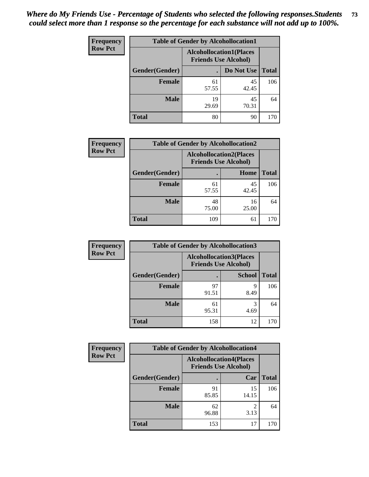| <b>Frequency</b> | <b>Table of Gender by Alcohollocation1</b> |                                                               |             |              |
|------------------|--------------------------------------------|---------------------------------------------------------------|-------------|--------------|
| <b>Row Pct</b>   |                                            | <b>Alcohollocation1(Places</b><br><b>Friends Use Alcohol)</b> |             |              |
|                  | Gender(Gender)                             |                                                               | Do Not Use  | <b>Total</b> |
|                  | <b>Female</b>                              | 61<br>57.55                                                   | 45<br>42.45 | 106          |
|                  | <b>Male</b>                                | 19<br>29.69                                                   | 45<br>70.31 | 64           |
|                  | <b>Total</b>                               | 80                                                            | 90          | 170          |

| <b>Frequency</b> | <b>Table of Gender by Alcohollocation2</b> |             |                                                               |              |
|------------------|--------------------------------------------|-------------|---------------------------------------------------------------|--------------|
| <b>Row Pct</b>   |                                            |             | <b>Alcohollocation2(Places</b><br><b>Friends Use Alcohol)</b> |              |
|                  | Gender(Gender)                             |             | Home                                                          | <b>Total</b> |
|                  | <b>Female</b>                              | 61<br>57.55 | 45<br>42.45                                                   | 106          |
|                  | <b>Male</b>                                | 48<br>75.00 | 16<br>25.00                                                   | 64           |
|                  | <b>Total</b>                               | 109         | 61                                                            | 170          |

| Frequency      | <b>Table of Gender by Alcohollocation3</b> |                                                               |               |              |
|----------------|--------------------------------------------|---------------------------------------------------------------|---------------|--------------|
| <b>Row Pct</b> |                                            | <b>Alcohollocation3(Places</b><br><b>Friends Use Alcohol)</b> |               |              |
|                | Gender(Gender)                             |                                                               | <b>School</b> | <b>Total</b> |
|                | <b>Female</b>                              | 97<br>91.51                                                   | q<br>8.49     | 106          |
|                | <b>Male</b>                                | 61<br>95.31                                                   | 4.69          | 64           |
|                | <b>Total</b>                               | 158                                                           | 12            | 170          |

| Frequency      | <b>Table of Gender by Alcohollocation4</b> |                                                               |             |              |
|----------------|--------------------------------------------|---------------------------------------------------------------|-------------|--------------|
| <b>Row Pct</b> |                                            | <b>Alcohollocation4(Places</b><br><b>Friends Use Alcohol)</b> |             |              |
|                | Gender(Gender)                             |                                                               | Car         | <b>Total</b> |
|                | Female                                     | 91<br>85.85                                                   | 15<br>14.15 | 106          |
|                | <b>Male</b>                                | 62<br>96.88                                                   | 2<br>3.13   | 64           |
|                | <b>Total</b>                               | 153                                                           | 17          | 170          |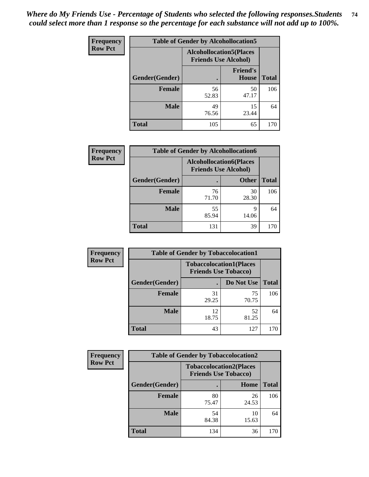| <b>Frequency</b> | <b>Table of Gender by Alcohollocation5</b> |                                                               |                                 |              |
|------------------|--------------------------------------------|---------------------------------------------------------------|---------------------------------|--------------|
| <b>Row Pct</b>   |                                            | <b>Alcohollocation5(Places</b><br><b>Friends Use Alcohol)</b> |                                 |              |
|                  | Gender(Gender)                             |                                                               | <b>Friend's</b><br><b>House</b> | <b>Total</b> |
|                  | <b>Female</b>                              | 56<br>52.83                                                   | 50<br>47.17                     | 106          |
|                  | <b>Male</b>                                | 49<br>76.56                                                   | 15<br>23.44                     | 64           |
|                  | <b>Total</b>                               | 105                                                           | 65                              | 170          |

| Frequency      | <b>Table of Gender by Alcohollocation6</b> |                                                               |              |              |
|----------------|--------------------------------------------|---------------------------------------------------------------|--------------|--------------|
| <b>Row Pct</b> |                                            | <b>Alcohollocation6(Places</b><br><b>Friends Use Alcohol)</b> |              |              |
|                | <b>Gender</b> (Gender)                     |                                                               | <b>Other</b> | <b>Total</b> |
|                | Female                                     | 76<br>71.70                                                   | 30<br>28.30  | 106          |
|                | <b>Male</b>                                | 55<br>85.94                                                   | 9<br>14.06   | 64           |
|                | <b>Total</b>                               | 131                                                           | 39           | 170          |

| Frequency      |                | <b>Table of Gender by Tobaccolocation1</b>                    |             |              |
|----------------|----------------|---------------------------------------------------------------|-------------|--------------|
| <b>Row Pct</b> |                | <b>Tobaccolocation1(Places</b><br><b>Friends Use Tobacco)</b> |             |              |
|                | Gender(Gender) |                                                               | Do Not Use  | <b>Total</b> |
|                | Female         | 31<br>29.25                                                   | 75<br>70.75 | 106          |
|                | <b>Male</b>    | 12<br>18.75                                                   | 52<br>81.25 | 64           |
|                | <b>Total</b>   | 43                                                            | 127         | 170          |

| <b>Frequency</b> | <b>Table of Gender by Tobaccolocation2</b> |                                                               |             |              |
|------------------|--------------------------------------------|---------------------------------------------------------------|-------------|--------------|
| <b>Row Pct</b>   |                                            | <b>Tobaccolocation2(Places</b><br><b>Friends Use Tobacco)</b> |             |              |
|                  | Gender(Gender)                             |                                                               | Home        | <b>Total</b> |
|                  | Female                                     | 80<br>75.47                                                   | 26<br>24.53 | 106          |
|                  | <b>Male</b>                                | 54<br>84.38                                                   | 10<br>15.63 | 64           |
|                  | <b>Total</b>                               | 134                                                           | 36          | 170          |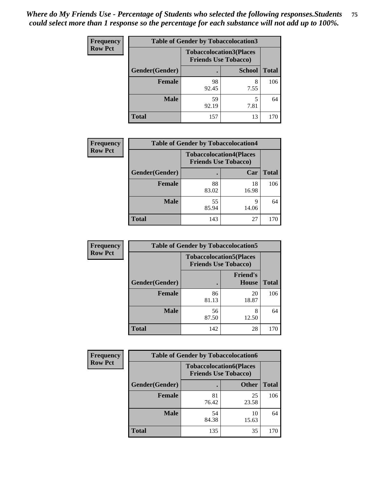| <b>Frequency</b> | <b>Table of Gender by Tobaccolocation3</b> |             |                                                               |              |  |
|------------------|--------------------------------------------|-------------|---------------------------------------------------------------|--------------|--|
| <b>Row Pct</b>   |                                            |             | <b>Tobaccolocation3(Places</b><br><b>Friends Use Tobacco)</b> |              |  |
|                  | Gender(Gender)                             |             | <b>School</b>                                                 | <b>Total</b> |  |
|                  | <b>Female</b>                              | 98<br>92.45 | 7.55                                                          | 106          |  |
|                  | <b>Male</b>                                | 59<br>92.19 | 7.81                                                          | 64           |  |
|                  | <b>Total</b>                               | 157         | 13                                                            | 170          |  |

| <b>Frequency</b> | <b>Table of Gender by Tobaccolocation4</b> |                             |                                |              |
|------------------|--------------------------------------------|-----------------------------|--------------------------------|--------------|
| <b>Row Pct</b>   |                                            | <b>Friends Use Tobacco)</b> | <b>Tobaccolocation4(Places</b> |              |
|                  | Gender(Gender)                             |                             | Car                            | <b>Total</b> |
|                  | Female                                     | 88<br>83.02                 | 18<br>16.98                    | 106          |
|                  | <b>Male</b>                                | 55<br>85.94                 | 14.06                          | 64           |
|                  | <b>Total</b>                               | 143                         | 27                             | 170          |

| <b>Frequency</b> | <b>Table of Gender by Tobaccolocation5</b> |                                                               |                                 |              |
|------------------|--------------------------------------------|---------------------------------------------------------------|---------------------------------|--------------|
| <b>Row Pct</b>   |                                            | <b>Tobaccolocation5(Places</b><br><b>Friends Use Tobacco)</b> |                                 |              |
|                  | Gender(Gender)                             |                                                               | <b>Friend's</b><br><b>House</b> | <b>Total</b> |
|                  | <b>Female</b>                              | 86<br>81.13                                                   | 20<br>18.87                     | 106          |
|                  | <b>Male</b>                                | 56<br>87.50                                                   | 8<br>12.50                      | 64           |
|                  | <b>Total</b>                               | 142                                                           | 28                              | 170          |

| <b>Frequency</b> | <b>Table of Gender by Tobaccolocation6</b> |                                                               |              |              |
|------------------|--------------------------------------------|---------------------------------------------------------------|--------------|--------------|
| <b>Row Pct</b>   |                                            | <b>Tobaccolocation6(Places</b><br><b>Friends Use Tobacco)</b> |              |              |
|                  | Gender(Gender)                             |                                                               | <b>Other</b> | <b>Total</b> |
|                  | Female                                     | 81<br>76.42                                                   | 25<br>23.58  | 106          |
|                  | <b>Male</b>                                | 54<br>84.38                                                   | 10<br>15.63  | 64           |
|                  | <b>Total</b>                               | 135                                                           | 35           | 170          |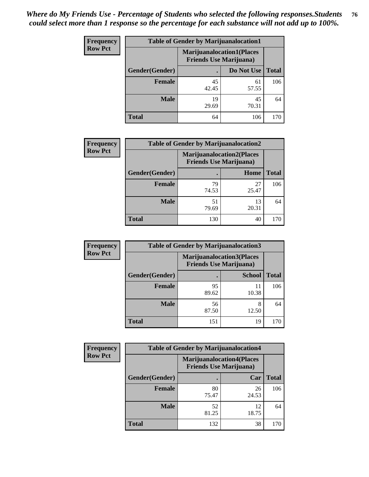| <b>Frequency</b> | <b>Table of Gender by Marijuanalocation1</b> |                                                                    |             |              |
|------------------|----------------------------------------------|--------------------------------------------------------------------|-------------|--------------|
| <b>Row Pct</b>   |                                              | <b>Marijuanalocation1(Places</b><br><b>Friends Use Marijuana</b> ) |             |              |
|                  | Gender(Gender)                               |                                                                    | Do Not Use  | <b>Total</b> |
|                  | <b>Female</b>                                | 45<br>42.45                                                        | 61<br>57.55 | 106          |
|                  | <b>Male</b>                                  | 19<br>29.69                                                        | 45<br>70.31 | 64           |
|                  | <b>Total</b>                                 | 64                                                                 | 106         | 170          |

| <b>Frequency</b> | <b>Table of Gender by Marijuanalocation2</b> |                                                                    |             |              |
|------------------|----------------------------------------------|--------------------------------------------------------------------|-------------|--------------|
| <b>Row Pct</b>   |                                              | <b>Marijuanalocation2(Places</b><br><b>Friends Use Marijuana</b> ) |             |              |
|                  | Gender(Gender)                               |                                                                    | Home        | <b>Total</b> |
|                  | Female                                       | 79<br>74.53                                                        | 27<br>25.47 | 106          |
|                  | <b>Male</b>                                  | 51<br>79.69                                                        | 13<br>20.31 | 64           |
|                  | <b>Total</b>                                 | 130                                                                | 40          | 170          |

| Frequency      | <b>Table of Gender by Marijuanalocation3</b> |                                                                    |               |              |
|----------------|----------------------------------------------|--------------------------------------------------------------------|---------------|--------------|
| <b>Row Pct</b> |                                              | <b>Marijuanalocation3(Places</b><br><b>Friends Use Marijuana</b> ) |               |              |
|                | Gender(Gender)                               |                                                                    | <b>School</b> | <b>Total</b> |
|                | Female                                       | 95<br>89.62                                                        | 11<br>10.38   | 106          |
|                | <b>Male</b>                                  | 56<br>87.50                                                        | 12.50         | 64           |
|                | <b>Total</b>                                 | 151                                                                | 19            | 170          |

| <b>Frequency</b> | <b>Table of Gender by Marijuanalocation4</b> |                                                                    |             |              |  |
|------------------|----------------------------------------------|--------------------------------------------------------------------|-------------|--------------|--|
| <b>Row Pct</b>   |                                              | <b>Marijuanalocation4(Places</b><br><b>Friends Use Marijuana</b> ) |             |              |  |
|                  | Gender(Gender)                               |                                                                    | Car         | <b>Total</b> |  |
|                  | <b>Female</b>                                | 80<br>75.47                                                        | 26<br>24.53 | 106          |  |
|                  | <b>Male</b>                                  | 52<br>81.25                                                        | 12<br>18.75 | 64           |  |
|                  | <b>Total</b>                                 | 132                                                                | 38          |              |  |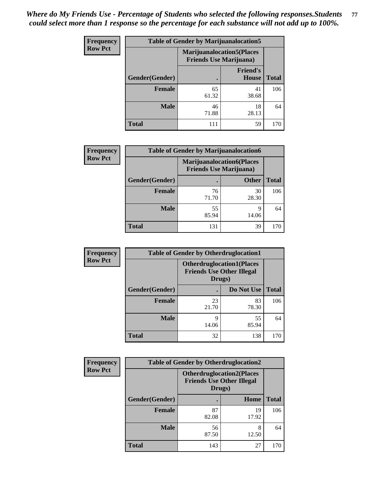| <b>Frequency</b> | <b>Table of Gender by Marijuanalocation5</b> |                                                                     |                          |              |
|------------------|----------------------------------------------|---------------------------------------------------------------------|--------------------------|--------------|
| <b>Row Pct</b>   |                                              | <b>Marijuanalocation5</b> (Places<br><b>Friends Use Marijuana</b> ) |                          |              |
|                  | Gender(Gender)                               |                                                                     | <b>Friend's</b><br>House | <b>Total</b> |
|                  | <b>Female</b>                                | 65<br>61.32                                                         | 41<br>38.68              | 106          |
|                  | <b>Male</b>                                  | 46<br>71.88                                                         | 18<br>28.13              | 64           |
|                  | <b>Total</b>                                 | 111                                                                 | 59                       | 170          |

| <b>Frequency</b> | <b>Table of Gender by Marijuanalocation6</b> |                                                                    |              |              |  |
|------------------|----------------------------------------------|--------------------------------------------------------------------|--------------|--------------|--|
| <b>Row Pct</b>   |                                              | <b>Marijuanalocation6(Places</b><br><b>Friends Use Marijuana</b> ) |              |              |  |
|                  | Gender(Gender)                               |                                                                    | <b>Other</b> | <b>Total</b> |  |
|                  | <b>Female</b>                                | 76<br>71.70                                                        | 30<br>28.30  | 106          |  |
|                  | <b>Male</b>                                  | 55<br>85.94                                                        | q<br>14.06   | 64           |  |
|                  | <b>Total</b>                                 | 131                                                                | 39           | 170          |  |

| <b>Frequency</b> | <b>Table of Gender by Otherdruglocation1</b> |                                                                                |             |              |
|------------------|----------------------------------------------|--------------------------------------------------------------------------------|-------------|--------------|
| <b>Row Pct</b>   |                                              | <b>Otherdruglocation1(Places</b><br><b>Friends Use Other Illegal</b><br>Drugs) |             |              |
|                  | Gender(Gender)                               |                                                                                | Do Not Use  | <b>Total</b> |
|                  | <b>Female</b>                                | 23<br>21.70                                                                    | 83<br>78.30 | 106          |
|                  | <b>Male</b>                                  | Q<br>14.06                                                                     | 55<br>85.94 | 64           |
|                  | <b>Total</b>                                 | 32                                                                             | 138         | 170          |

| Frequency      | <b>Table of Gender by Otherdruglocation2</b> |                                                                                |             |              |
|----------------|----------------------------------------------|--------------------------------------------------------------------------------|-------------|--------------|
| <b>Row Pct</b> |                                              | <b>Otherdruglocation2(Places</b><br><b>Friends Use Other Illegal</b><br>Drugs) |             |              |
|                | Gender(Gender)                               |                                                                                | Home        | <b>Total</b> |
|                | Female                                       | 87<br>82.08                                                                    | 19<br>17.92 | 106          |
|                | <b>Male</b>                                  | 56<br>87.50                                                                    | 8<br>12.50  | 64           |
|                | <b>Total</b>                                 | 143                                                                            | 27          | 170          |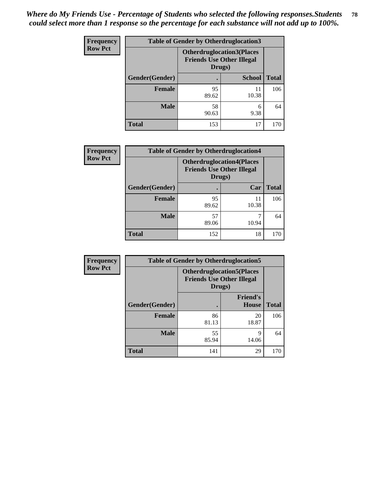| Frequency      | <b>Table of Gender by Otherdruglocation3</b> |                                                                                |               |              |
|----------------|----------------------------------------------|--------------------------------------------------------------------------------|---------------|--------------|
| <b>Row Pct</b> |                                              | <b>Otherdruglocation3(Places</b><br><b>Friends Use Other Illegal</b><br>Drugs) |               |              |
|                | Gender(Gender)                               |                                                                                | <b>School</b> | <b>Total</b> |
|                | Female                                       | 95<br>89.62                                                                    | 11<br>10.38   | 106          |
|                | <b>Male</b>                                  | 58<br>90.63                                                                    | 6<br>9.38     | 64           |
|                | <b>Total</b>                                 | 153                                                                            | 17            | 170          |

| Frequency      | <b>Table of Gender by Otherdruglocation4</b> |                                                                                |             |              |
|----------------|----------------------------------------------|--------------------------------------------------------------------------------|-------------|--------------|
| <b>Row Pct</b> |                                              | <b>Otherdruglocation4(Places</b><br><b>Friends Use Other Illegal</b><br>Drugs) |             |              |
|                | Gender(Gender)                               |                                                                                | Car         | <b>Total</b> |
|                | Female                                       | 95<br>89.62                                                                    | 11<br>10.38 | 106          |
|                | <b>Male</b>                                  | 57<br>89.06                                                                    | 10.94       | 64           |
|                | <b>Total</b>                                 | 152                                                                            | 18          | 170          |

| Frequency      | <b>Table of Gender by Otherdruglocation5</b> |                                                                                |                                 |              |
|----------------|----------------------------------------------|--------------------------------------------------------------------------------|---------------------------------|--------------|
| <b>Row Pct</b> |                                              | <b>Otherdruglocation5(Places</b><br><b>Friends Use Other Illegal</b><br>Drugs) |                                 |              |
|                | Gender(Gender)                               |                                                                                | <b>Friend's</b><br><b>House</b> | <b>Total</b> |
|                | <b>Female</b>                                | 86<br>81.13                                                                    | 20<br>18.87                     | 106          |
|                | <b>Male</b>                                  | 55<br>85.94                                                                    | 9<br>14.06                      | 64           |
|                | <b>Total</b>                                 | 141                                                                            | 29                              | 170          |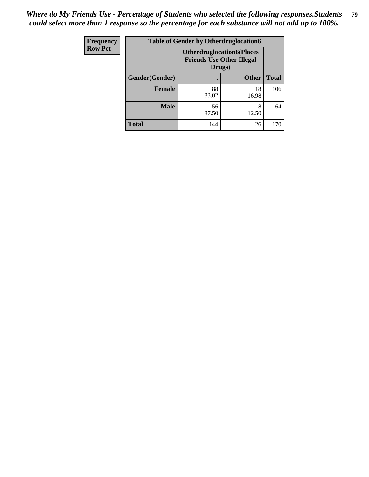| Frequency      | <b>Table of Gender by Otherdruglocation6</b> |                                                                                |              |              |
|----------------|----------------------------------------------|--------------------------------------------------------------------------------|--------------|--------------|
| <b>Row Pct</b> |                                              | <b>Otherdruglocation6(Places</b><br><b>Friends Use Other Illegal</b><br>Drugs) |              |              |
|                | Gender(Gender)                               |                                                                                | <b>Other</b> | <b>Total</b> |
|                | Female                                       | 88<br>83.02                                                                    | 18<br>16.98  | 106          |
|                | <b>Male</b>                                  | 56<br>87.50                                                                    | 8<br>12.50   | 64           |
|                | <b>Total</b>                                 | 144                                                                            | 26           | 170          |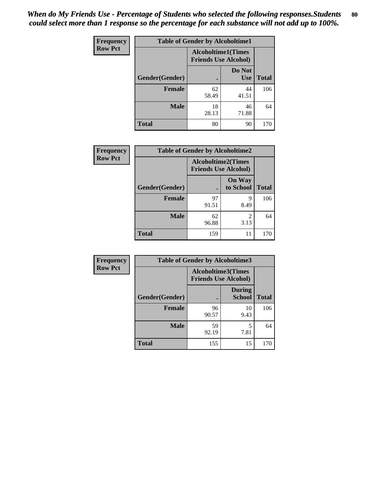| Frequency      | <b>Table of Gender by Alcoholtime1</b> |                                                          |                      |              |
|----------------|----------------------------------------|----------------------------------------------------------|----------------------|--------------|
| <b>Row Pct</b> |                                        | <b>Alcoholtime1(Times</b><br><b>Friends Use Alcohol)</b> |                      |              |
|                | Gender(Gender)                         | ٠                                                        | Do Not<br><b>Use</b> | <b>Total</b> |
|                | <b>Female</b>                          | 62<br>58.49                                              | 44<br>41.51          | 106          |
|                | <b>Male</b>                            | 18<br>28.13                                              | 46<br>71.88          | 64           |
|                | <b>Total</b>                           | 80                                                       | 90                   | 170          |

| <b>Frequency</b> | <b>Table of Gender by Alcoholtime2</b> |                                                          |                            |              |
|------------------|----------------------------------------|----------------------------------------------------------|----------------------------|--------------|
| <b>Row Pct</b>   |                                        | <b>Alcoholtime2(Times</b><br><b>Friends Use Alcohol)</b> |                            |              |
|                  | Gender(Gender)                         |                                                          | <b>On Way</b><br>to School | <b>Total</b> |
|                  | <b>Female</b>                          | 97<br>91.51                                              | 9<br>8.49                  | 106          |
|                  | <b>Male</b>                            | 62<br>96.88                                              | 2<br>3.13                  | 64           |
|                  | <b>Total</b>                           | 159                                                      | 11                         | 170          |

| Frequency      | <b>Table of Gender by Alcoholtime3</b> |                                                          |                                |              |  |
|----------------|----------------------------------------|----------------------------------------------------------|--------------------------------|--------------|--|
| <b>Row Pct</b> |                                        | <b>Alcoholtime3(Times</b><br><b>Friends Use Alcohol)</b> |                                |              |  |
|                | Gender(Gender)                         |                                                          | <b>During</b><br><b>School</b> | <b>Total</b> |  |
|                | <b>Female</b>                          | 96<br>90.57                                              | 10<br>9.43                     | 106          |  |
|                | <b>Male</b>                            | 59<br>92.19                                              | 5<br>7.81                      | 64           |  |
|                | <b>Total</b>                           | 155                                                      | 15                             | 170          |  |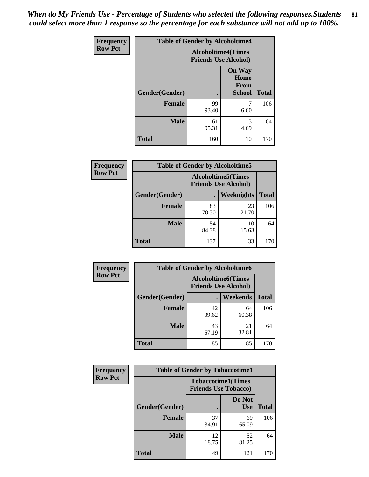*When do My Friends Use - Percentage of Students who selected the following responses.Students could select more than 1 response so the percentage for each substance will not add up to 100%.* **81**

| <b>Frequency</b> | <b>Table of Gender by Alcoholtime4</b> |                                                          |                                                       |              |
|------------------|----------------------------------------|----------------------------------------------------------|-------------------------------------------------------|--------------|
| <b>Row Pct</b>   |                                        | <b>Alcoholtime4(Times</b><br><b>Friends Use Alcohol)</b> |                                                       |              |
|                  | <b>Gender</b> (Gender)                 | $\bullet$                                                | <b>On Way</b><br>Home<br><b>From</b><br><b>School</b> | <b>Total</b> |
|                  | <b>Female</b>                          | 99<br>93.40                                              | 6.60                                                  | 106          |
|                  | <b>Male</b>                            | 61<br>95.31                                              | 3<br>4.69                                             | 64           |
|                  | <b>Total</b>                           | 160                                                      | 10                                                    | 170          |

| <b>Frequency</b> | <b>Table of Gender by Alcoholtime5</b> |                                                           |             |              |  |
|------------------|----------------------------------------|-----------------------------------------------------------|-------------|--------------|--|
| <b>Row Pct</b>   |                                        | <b>Alcoholtime5</b> (Times<br><b>Friends Use Alcohol)</b> |             |              |  |
|                  | Gender(Gender)                         |                                                           | Weeknights  | <b>Total</b> |  |
|                  | <b>Female</b>                          | 83<br>78.30                                               | 23<br>21.70 | 106          |  |
|                  | <b>Male</b>                            | 54<br>84.38                                               | 10<br>15.63 | 64           |  |
|                  | <b>Total</b>                           | 137                                                       | 33          | 170          |  |

| <b>Frequency</b> |                | <b>Table of Gender by Alcoholtime6</b>                   |             |              |
|------------------|----------------|----------------------------------------------------------|-------------|--------------|
| <b>Row Pct</b>   |                | <b>Alcoholtime6(Times</b><br><b>Friends Use Alcohol)</b> |             |              |
|                  | Gender(Gender) |                                                          | Weekends    | <b>Total</b> |
|                  | Female         | 42<br>39.62                                              | 64<br>60.38 | 106          |
|                  | <b>Male</b>    | 43<br>67.19                                              | 21<br>32.81 | 64           |
|                  | <b>Total</b>   | 85                                                       | 85          | 170          |

| Frequency      | <b>Table of Gender by Tobaccotime1</b> |                                                          |                      |              |
|----------------|----------------------------------------|----------------------------------------------------------|----------------------|--------------|
| <b>Row Pct</b> |                                        | <b>Tobaccotime1(Times</b><br><b>Friends Use Tobacco)</b> |                      |              |
|                | Gender(Gender)                         |                                                          | Do Not<br><b>Use</b> | <b>Total</b> |
|                | Female                                 | 37<br>34.91                                              | 69<br>65.09          | 106          |
|                | <b>Male</b>                            | 12<br>18.75                                              | 52<br>81.25          | 64           |
|                | <b>Total</b>                           | 49                                                       | 121                  | 170          |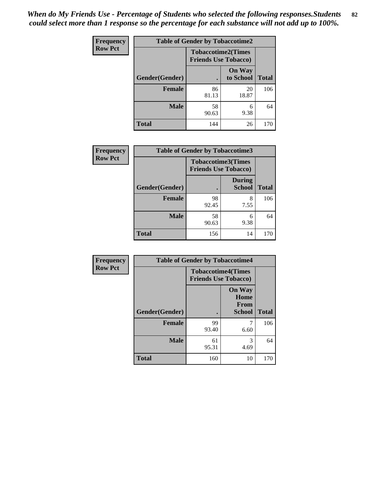| Frequency      | <b>Table of Gender by Tobaccotime2</b> |                                                          |                            |              |
|----------------|----------------------------------------|----------------------------------------------------------|----------------------------|--------------|
| <b>Row Pct</b> |                                        | <b>Tobaccotime2(Times</b><br><b>Friends Use Tobacco)</b> |                            |              |
|                | Gender(Gender)                         |                                                          | <b>On Way</b><br>to School | <b>Total</b> |
|                | Female                                 | 86<br>81.13                                              | 20<br>18.87                | 106          |
|                | <b>Male</b>                            | 58<br>90.63                                              | 6<br>9.38                  | 64           |
|                | <b>Total</b>                           | 144                                                      | 26                         | 170          |

| Frequency      | <b>Table of Gender by Tobaccotime3</b> |                                                          |                                |              |
|----------------|----------------------------------------|----------------------------------------------------------|--------------------------------|--------------|
| <b>Row Pct</b> |                                        | <b>Tobaccotime3(Times</b><br><b>Friends Use Tobacco)</b> |                                |              |
|                | Gender(Gender)                         |                                                          | <b>During</b><br><b>School</b> | <b>Total</b> |
|                | <b>Female</b>                          | 98<br>92.45                                              | 8<br>7.55                      | 106          |
|                | <b>Male</b>                            | 58<br>90.63                                              | 6<br>9.38                      | 64           |
|                | <b>Total</b>                           | 156                                                      | 14                             | 170          |

| <b>Frequency</b> | <b>Table of Gender by Tobaccotime4</b> |                                                          |                                                |              |
|------------------|----------------------------------------|----------------------------------------------------------|------------------------------------------------|--------------|
| <b>Row Pct</b>   |                                        | <b>Tobaccotime4(Times</b><br><b>Friends Use Tobacco)</b> |                                                |              |
|                  | Gender(Gender)                         |                                                          | <b>On Way</b><br>Home<br>From<br><b>School</b> | <b>Total</b> |
|                  | <b>Female</b>                          | 99<br>93.40                                              | 7<br>6.60                                      | 106          |
|                  | <b>Male</b>                            | 61<br>95.31                                              | 3<br>4.69                                      | 64           |
|                  | <b>Total</b>                           | 160                                                      | 10                                             | 170          |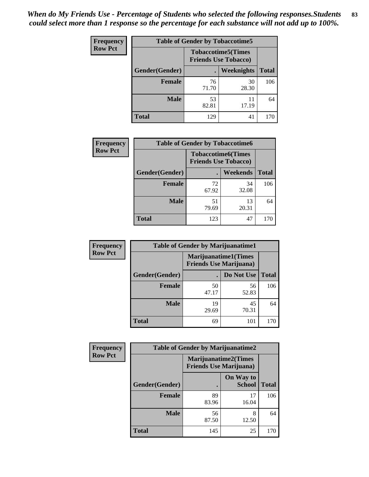*When do My Friends Use - Percentage of Students who selected the following responses.Students could select more than 1 response so the percentage for each substance will not add up to 100%.* **83**

| <b>Frequency</b> | <b>Table of Gender by Tobaccotime5</b> |             |                                                           |              |  |
|------------------|----------------------------------------|-------------|-----------------------------------------------------------|--------------|--|
| <b>Row Pct</b>   |                                        |             | <b>Tobaccotime5</b> (Times<br><b>Friends Use Tobacco)</b> |              |  |
|                  | Gender(Gender)                         |             | Weeknights                                                | <b>Total</b> |  |
|                  | <b>Female</b>                          | 76<br>71.70 | 30<br>28.30                                               | 106          |  |
|                  | <b>Male</b>                            | 53<br>82.81 | 11<br>17.19                                               | 64           |  |
|                  | <b>Total</b>                           | 129         | 41                                                        | 170          |  |

| <b>Frequency</b> | <b>Table of Gender by Tobaccotime6</b> |                             |                           |              |  |
|------------------|----------------------------------------|-----------------------------|---------------------------|--------------|--|
| <b>Row Pct</b>   |                                        | <b>Friends Use Tobacco)</b> | <b>Tobaccotime6(Times</b> |              |  |
|                  | Gender(Gender)                         |                             | Weekends                  | <b>Total</b> |  |
|                  | <b>Female</b>                          | 72<br>67.92                 | 34<br>32.08               | 106          |  |
|                  | <b>Male</b>                            | 51<br>79.69                 | 13<br>20.31               | 64           |  |
|                  | <b>Total</b>                           | 123                         | 47                        | 170          |  |

| Frequency      |                | <b>Table of Gender by Marijuanatime1</b>                      |             |              |  |
|----------------|----------------|---------------------------------------------------------------|-------------|--------------|--|
| <b>Row Pct</b> |                | <b>Marijuanatime1(Times</b><br><b>Friends Use Marijuana</b> ) |             |              |  |
|                | Gender(Gender) |                                                               | Do Not Use  | <b>Total</b> |  |
|                | <b>Female</b>  | 50<br>47.17                                                   | 56<br>52.83 | 106          |  |
|                | <b>Male</b>    | 19<br>29.69                                                   | 45<br>70.31 | 64           |  |
|                | <b>Total</b>   | 69                                                            | 101         | 170          |  |

| Frequency      | <b>Table of Gender by Marijuanatime2</b> |                                                               |                            |              |
|----------------|------------------------------------------|---------------------------------------------------------------|----------------------------|--------------|
| <b>Row Pct</b> |                                          | <b>Marijuanatime2(Times</b><br><b>Friends Use Marijuana</b> ) |                            |              |
|                | Gender(Gender)                           |                                                               | On Way to<br><b>School</b> | <b>Total</b> |
|                | <b>Female</b>                            | 89<br>83.96                                                   | 17<br>16.04                | 106          |
|                | <b>Male</b>                              | 56<br>87.50                                                   | 8<br>12.50                 | 64           |
|                | <b>Total</b>                             | 145                                                           | 25                         | 170          |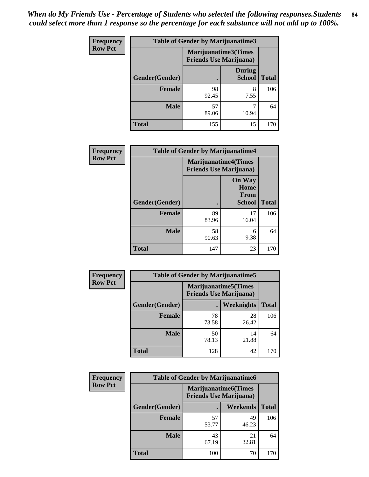| Frequency      | <b>Table of Gender by Marijuanatime3</b> |                                                        |                                |              |
|----------------|------------------------------------------|--------------------------------------------------------|--------------------------------|--------------|
| <b>Row Pct</b> |                                          | Marijuanatime3(Times<br><b>Friends Use Marijuana</b> ) |                                |              |
|                | Gender(Gender)                           |                                                        | <b>During</b><br><b>School</b> | <b>Total</b> |
|                | <b>Female</b>                            | 98<br>92.45                                            | 8<br>7.55                      | 106          |
|                | <b>Male</b>                              | 57<br>89.06                                            | 10.94                          | 64           |
|                | <b>Total</b>                             | 155                                                    | 15                             | 170          |

| Frequency      | <b>Table of Gender by Marijuanatime4</b> |                                |                                                       |              |
|----------------|------------------------------------------|--------------------------------|-------------------------------------------------------|--------------|
| <b>Row Pct</b> |                                          | <b>Friends Use Marijuana</b> ) | <b>Marijuanatime4(Times</b>                           |              |
|                | Gender(Gender)                           |                                | <b>On Way</b><br>Home<br><b>From</b><br><b>School</b> | <b>Total</b> |
|                | <b>Female</b>                            | 89<br>83.96                    | 17<br>16.04                                           | 106          |
|                | <b>Male</b>                              | 58<br>90.63                    | 6<br>9.38                                             | 64           |
|                | <b>Total</b>                             | 147                            | 23                                                    | 170          |

| Frequency      | <b>Table of Gender by Marijuanatime5</b> |                                                                |             |              |
|----------------|------------------------------------------|----------------------------------------------------------------|-------------|--------------|
| <b>Row Pct</b> |                                          | <b>Marijuanatime5</b> (Times<br><b>Friends Use Marijuana</b> ) |             |              |
|                | Gender(Gender)                           |                                                                | Weeknights  | <b>Total</b> |
|                | <b>Female</b>                            | 78<br>73.58                                                    | 28<br>26.42 | 106          |
|                | <b>Male</b>                              | 50<br>78.13                                                    | 14<br>21.88 | 64           |
|                | <b>Total</b>                             | 128                                                            | 42          | 170          |

| Frequency      | <b>Table of Gender by Marijuanatime6</b> |                                                               |                 |              |  |
|----------------|------------------------------------------|---------------------------------------------------------------|-----------------|--------------|--|
| <b>Row Pct</b> |                                          | <b>Marijuanatime6(Times</b><br><b>Friends Use Marijuana</b> ) |                 |              |  |
|                | Gender(Gender)                           |                                                               | <b>Weekends</b> | <b>Total</b> |  |
|                | <b>Female</b>                            | 57<br>53.77                                                   | 49<br>46.23     | 106          |  |
|                | <b>Male</b>                              | 43<br>67.19                                                   | 21<br>32.81     | 64           |  |
|                | <b>Total</b>                             | 100                                                           | 70              | 170          |  |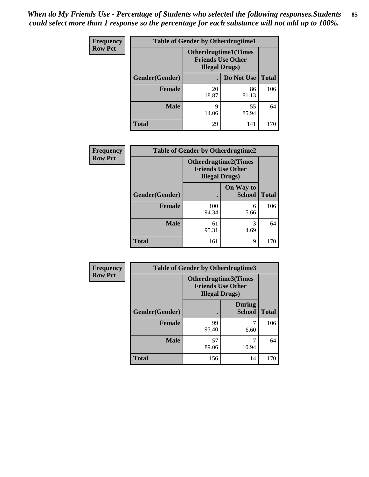| <b>Frequency</b> | <b>Table of Gender by Otherdrugtime1</b> |                                                   |                             |     |
|------------------|------------------------------------------|---------------------------------------------------|-----------------------------|-----|
| <b>Row Pct</b>   |                                          | <b>Friends Use Other</b><br><b>Illegal Drugs)</b> | <b>Otherdrugtime1(Times</b> |     |
|                  | Gender(Gender)                           |                                                   | Do Not Use   Total          |     |
|                  | <b>Female</b>                            | 20<br>18.87                                       | 86<br>81.13                 | 106 |
|                  | <b>Male</b>                              | 9<br>14.06                                        | 55<br>85.94                 | 64  |
|                  | <b>Total</b>                             | 29                                                | 141                         | 170 |

| Frequency      | <b>Table of Gender by Otherdrugtime2</b> |                                                                                   |                            |              |
|----------------|------------------------------------------|-----------------------------------------------------------------------------------|----------------------------|--------------|
| <b>Row Pct</b> |                                          | <b>Otherdrugtime2(Times</b><br><b>Friends Use Other</b><br><b>Illegal Drugs</b> ) |                            |              |
|                | Gender(Gender)                           |                                                                                   | On Way to<br><b>School</b> | <b>Total</b> |
|                | <b>Female</b>                            | 100<br>94.34                                                                      | 6<br>5.66                  | 106          |
|                | <b>Male</b>                              | 61<br>95.31                                                                       | 3<br>4.69                  | 64           |
|                | <b>Total</b>                             | 161                                                                               | 9                          | 170          |

| Frequency      | <b>Table of Gender by Otherdrugtime3</b> |                                                                            |                                |              |
|----------------|------------------------------------------|----------------------------------------------------------------------------|--------------------------------|--------------|
| <b>Row Pct</b> |                                          | Otherdrugtime3(Times<br><b>Friends Use Other</b><br><b>Illegal Drugs</b> ) |                                |              |
|                | Gender(Gender)                           |                                                                            | <b>During</b><br><b>School</b> | <b>Total</b> |
|                | <b>Female</b>                            | 99<br>93.40                                                                | 6.60                           | 106          |
|                | <b>Male</b>                              | 57<br>89.06                                                                | 7<br>10.94                     | 64           |
|                | <b>Total</b>                             | 156                                                                        | 14                             | 170          |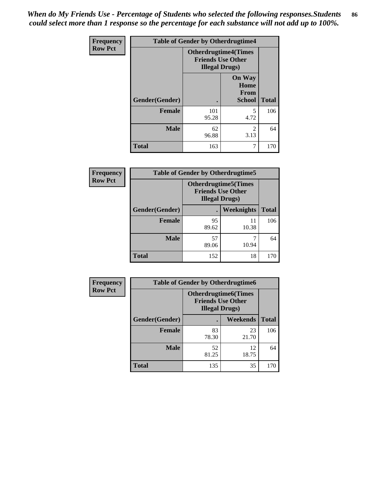*When do My Friends Use - Percentage of Students who selected the following responses.Students could select more than 1 response so the percentage for each substance will not add up to 100%.* **86**

| <b>Frequency</b> | <b>Table of Gender by Otherdrugtime4</b> |                                                    |                                                |              |
|------------------|------------------------------------------|----------------------------------------------------|------------------------------------------------|--------------|
| <b>Row Pct</b>   |                                          | <b>Friends Use Other</b><br><b>Illegal Drugs</b> ) | <b>Otherdrugtime4(Times</b>                    |              |
|                  | Gender(Gender)                           |                                                    | <b>On Way</b><br>Home<br>From<br><b>School</b> | <b>Total</b> |
|                  | Female                                   | 101<br>95.28                                       | 5<br>4.72                                      | 106          |
|                  | <b>Male</b>                              | 62<br>96.88                                        | $\mathfrak{D}$<br>3.13                         | 64           |
|                  | <b>Total</b>                             | 163                                                | 7                                              | 170          |

| Frequency      | <b>Table of Gender by Otherdrugtime5</b> |                                                                                    |             |              |
|----------------|------------------------------------------|------------------------------------------------------------------------------------|-------------|--------------|
| <b>Row Pct</b> |                                          | <b>Otherdrugtime5</b> (Times<br><b>Friends Use Other</b><br><b>Illegal Drugs</b> ) |             |              |
|                | Gender(Gender)                           |                                                                                    | Weeknights  | <b>Total</b> |
|                | <b>Female</b>                            | 95<br>89.62                                                                        | 11<br>10.38 | 106          |
|                | <b>Male</b>                              | 57<br>89.06                                                                        | 10.94       | 64           |
|                | <b>Total</b>                             | 152                                                                                | 18          | 170          |

| <b>Frequency</b> | <b>Table of Gender by Otherdrugtime6</b> |                                                                                   |                 |              |  |
|------------------|------------------------------------------|-----------------------------------------------------------------------------------|-----------------|--------------|--|
| <b>Row Pct</b>   |                                          | <b>Otherdrugtime6(Times</b><br><b>Friends Use Other</b><br><b>Illegal Drugs</b> ) |                 |              |  |
|                  | Gender(Gender)                           |                                                                                   | <b>Weekends</b> | <b>Total</b> |  |
|                  | <b>Female</b>                            | 83<br>78.30                                                                       | 23<br>21.70     | 106          |  |
|                  | <b>Male</b>                              | 52<br>81.25                                                                       | 12<br>18.75     | 64           |  |
|                  | <b>Total</b>                             | 135                                                                               | 35              | 170          |  |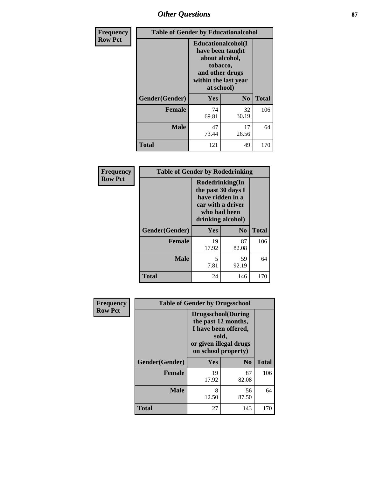## *Other Questions* **87**

| Frequency      | <b>Table of Gender by Educationalcohol</b> |                                                                                                                               |                |              |
|----------------|--------------------------------------------|-------------------------------------------------------------------------------------------------------------------------------|----------------|--------------|
| <b>Row Pct</b> |                                            | Educationalcohol(I<br>have been taught<br>about alcohol,<br>tobacco,<br>and other drugs<br>within the last year<br>at school) |                |              |
|                | Gender(Gender)                             | Yes                                                                                                                           | N <sub>0</sub> | <b>Total</b> |
|                | <b>Female</b>                              | 74<br>69.81                                                                                                                   | 32<br>30.19    | 106          |
|                | <b>Male</b>                                | 47<br>73.44                                                                                                                   | 17<br>26.56    | 64           |
|                | Total                                      | 121                                                                                                                           | 49             | 170          |

| Frequency      | <b>Table of Gender by Rodedrinking</b> |                                                                                                                     |                |              |  |
|----------------|----------------------------------------|---------------------------------------------------------------------------------------------------------------------|----------------|--------------|--|
| <b>Row Pct</b> |                                        | Rodedrinking(In<br>the past 30 days I<br>have ridden in a<br>car with a driver<br>who had been<br>drinking alcohol) |                |              |  |
|                | Gender(Gender)                         | Yes                                                                                                                 | N <sub>0</sub> | <b>Total</b> |  |
|                | <b>Female</b>                          | 19<br>17.92                                                                                                         | 87<br>82.08    | 106          |  |
|                | <b>Male</b>                            | 5<br>7.81                                                                                                           | 59<br>92.19    | 64           |  |
|                | <b>Total</b>                           | 24                                                                                                                  | 146            | 170          |  |

| Frequency      | <b>Table of Gender by Drugsschool</b> |                                                                                                                                     |                |              |  |
|----------------|---------------------------------------|-------------------------------------------------------------------------------------------------------------------------------------|----------------|--------------|--|
| <b>Row Pct</b> |                                       | <b>Drugsschool</b> (During<br>the past 12 months,<br>I have been offered,<br>sold,<br>or given illegal drugs<br>on school property) |                |              |  |
|                | Gender(Gender)                        | <b>Yes</b>                                                                                                                          | N <sub>0</sub> | <b>Total</b> |  |
|                | <b>Female</b>                         | 19<br>17.92                                                                                                                         | 87<br>82.08    | 106          |  |
|                | <b>Male</b>                           | 8<br>12.50                                                                                                                          | 56<br>87.50    | 64           |  |
|                | <b>Total</b>                          | 27                                                                                                                                  | 143            | 170          |  |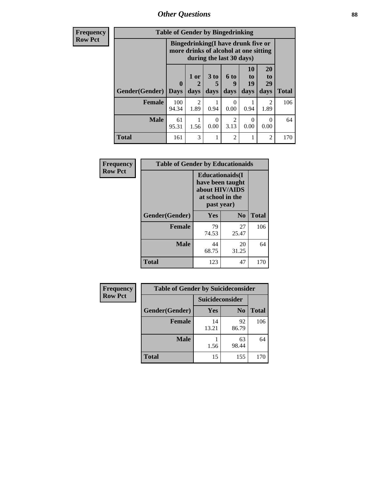*Other Questions* **88**

**Frequency Row Pct**

| <b>Table of Gender by Bingedrinking</b> |                         |                                                                                                                |              |                              |                                    |                        |              |
|-----------------------------------------|-------------------------|----------------------------------------------------------------------------------------------------------------|--------------|------------------------------|------------------------------------|------------------------|--------------|
|                                         |                         | <b>Bingedrinking(I have drunk five or</b><br>more drinks of alcohol at one sitting<br>during the last 30 days) |              |                              |                                    |                        |              |
| <b>Gender</b> (Gender)                  | $\bf{0}$<br><b>Days</b> | 1 or<br>2<br>days                                                                                              | 3 to<br>days | 6 <sub>to</sub><br>9<br>days | 10<br>t <sub>0</sub><br>19<br>days | 20<br>to<br>29<br>days |              |
|                                         |                         |                                                                                                                |              |                              |                                    |                        | <b>Total</b> |
| <b>Female</b>                           | 100<br>94.34            | $\mathfrak{D}$<br>1.89                                                                                         | 0.94         | $\mathbf{\Omega}$<br>0.00    | 0.94                               | $\overline{2}$<br>1.89 | 106          |
| <b>Male</b>                             | 61<br>95.31             | 1.56                                                                                                           | 0<br>0.00    | 2<br>3.13                    | 0<br>0.00                          | 0<br>0.00              | 64           |

| Frequency      | <b>Table of Gender by Educationaids</b> |                                                                                                 |             |              |  |
|----------------|-----------------------------------------|-------------------------------------------------------------------------------------------------|-------------|--------------|--|
| <b>Row Pct</b> |                                         | <b>Educationaids</b> (I<br>have been taught<br>about HIV/AIDS<br>at school in the<br>past year) |             |              |  |
|                | Gender(Gender)                          | Yes                                                                                             | $\bf N_0$   | <b>Total</b> |  |
|                | <b>Female</b>                           | 79<br>74.53                                                                                     | 27<br>25.47 | 106          |  |
|                | <b>Male</b>                             | 44<br>68.75                                                                                     | 20<br>31.25 | 64           |  |
|                | <b>Total</b>                            | 123                                                                                             | 47          | 170          |  |

| <b>Frequency</b> | <b>Table of Gender by Suicideconsider</b> |                 |                |              |
|------------------|-------------------------------------------|-----------------|----------------|--------------|
| <b>Row Pct</b>   |                                           | Suicideconsider |                |              |
|                  | Gender(Gender)                            | Yes             | N <sub>0</sub> | <b>Total</b> |
|                  | <b>Female</b>                             | 14<br>13.21     | 92<br>86.79    | 106          |
|                  | <b>Male</b>                               | 1.56            | 63<br>98.44    | 64           |
|                  | <b>Total</b>                              | 15              | 155            | 170          |